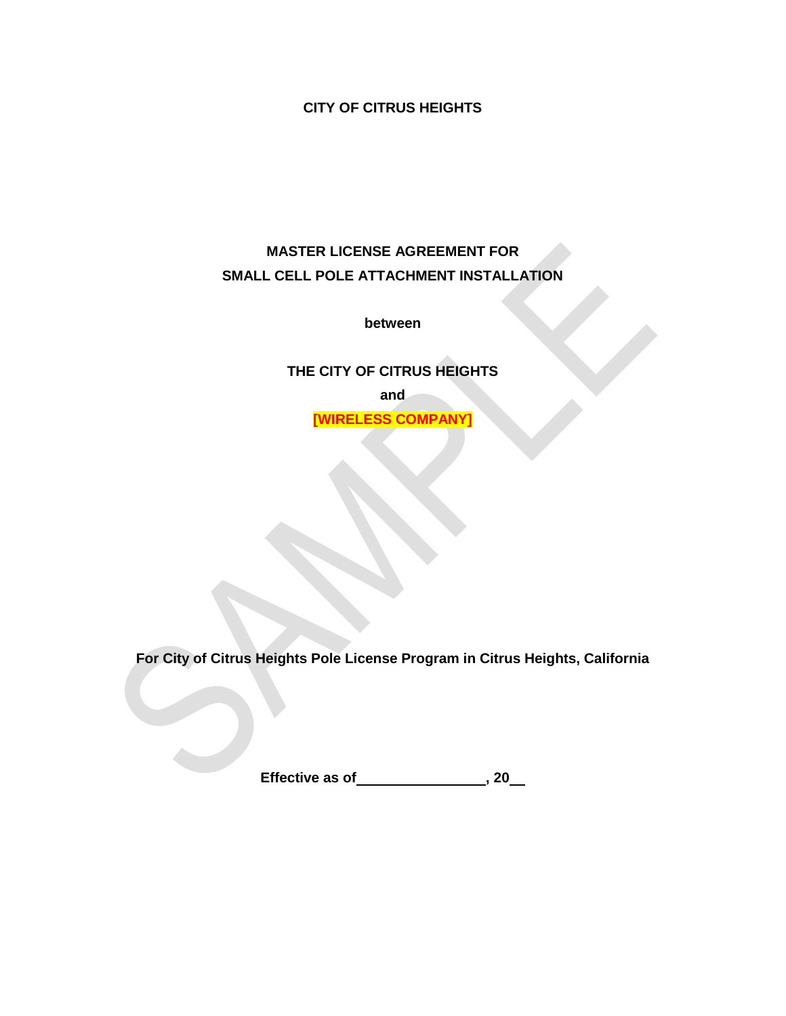**CITY OF CITRUS HEIGHTS**

# **MASTER LICENSE AGREEMENT FOR SMALL CELL POLE ATTACHMENT INSTALLATION**

**between**

**THE CITY OF CITRUS HEIGHTS**

**and**

**[WIRELESS COMPANY]**

**For City of Citrus Heights Pole License Program in Citrus Heights, California**

**Effective as of , 20**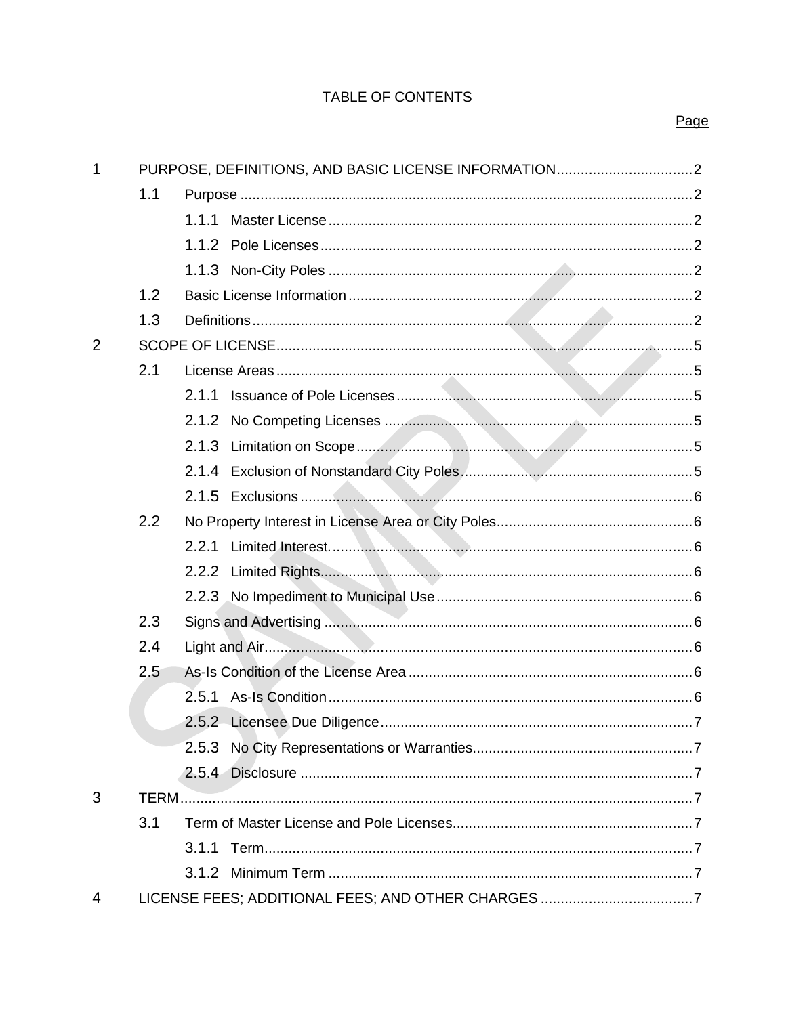## TABLE OF CONTENTS

## Page

| $\mathbf 1$ |     |  |
|-------------|-----|--|
|             | 1.1 |  |
|             |     |  |
|             |     |  |
|             |     |  |
|             | 1.2 |  |
|             | 1.3 |  |
| 2           |     |  |
|             | 2.1 |  |
|             |     |  |
|             |     |  |
|             |     |  |
|             |     |  |
|             |     |  |
|             | 2.2 |  |
|             |     |  |
|             |     |  |
|             |     |  |
|             | 2.3 |  |
|             | 2.4 |  |
|             | 2.5 |  |
|             |     |  |
|             |     |  |
|             |     |  |
|             |     |  |
| 3           |     |  |
|             | 3.1 |  |
|             |     |  |
|             |     |  |
| 4           |     |  |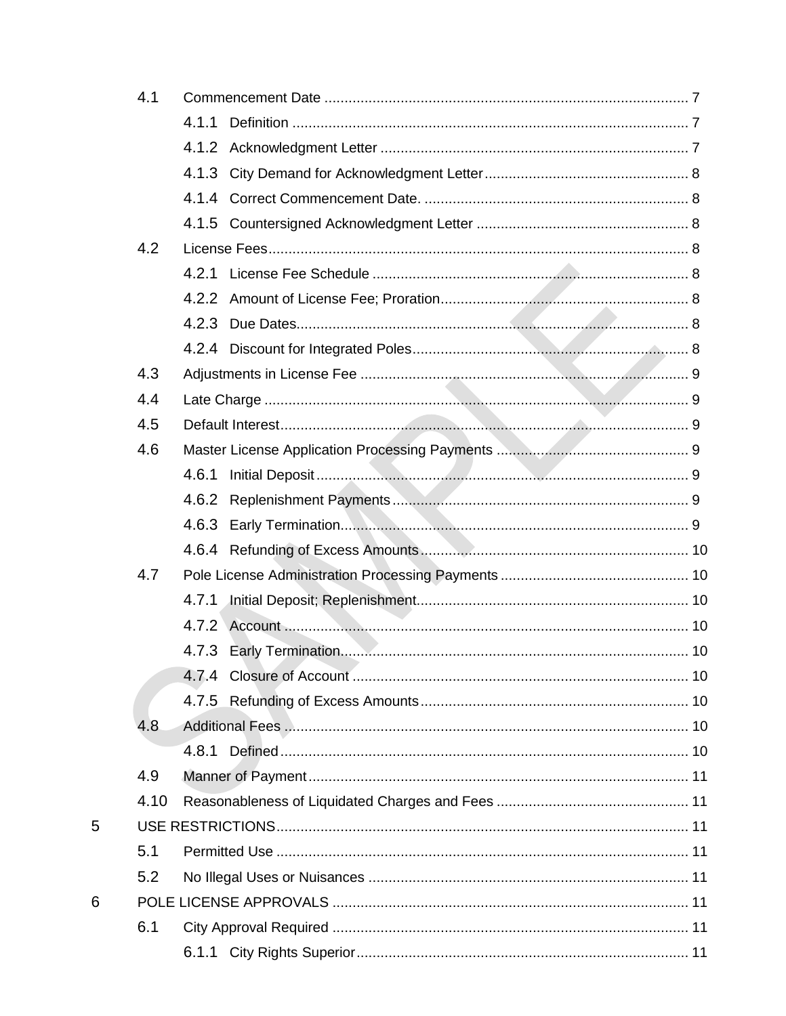| 4.1  |       |  |
|------|-------|--|
|      | 4.1.1 |  |
|      |       |  |
|      |       |  |
|      |       |  |
|      |       |  |
| 4.2  |       |  |
|      | 4.2.1 |  |
|      |       |  |
|      |       |  |
|      |       |  |
| 4.3  |       |  |
| 4.4  |       |  |
| 4.5  |       |  |
| 4.6  |       |  |
|      | 4.6.1 |  |
|      | 4.6.2 |  |
|      | 4.6.3 |  |
|      |       |  |
| 4.7  |       |  |
|      | 4.7.1 |  |
|      |       |  |
|      |       |  |
|      |       |  |
|      |       |  |
| 4.8  |       |  |
|      |       |  |
| 4.9  |       |  |
| 4.10 |       |  |
|      |       |  |
| 5.1  |       |  |
| 5.2  |       |  |
|      |       |  |
| 6.1  |       |  |
|      |       |  |
|      |       |  |

 $\overline{5}$ 

 $\boldsymbol{6}$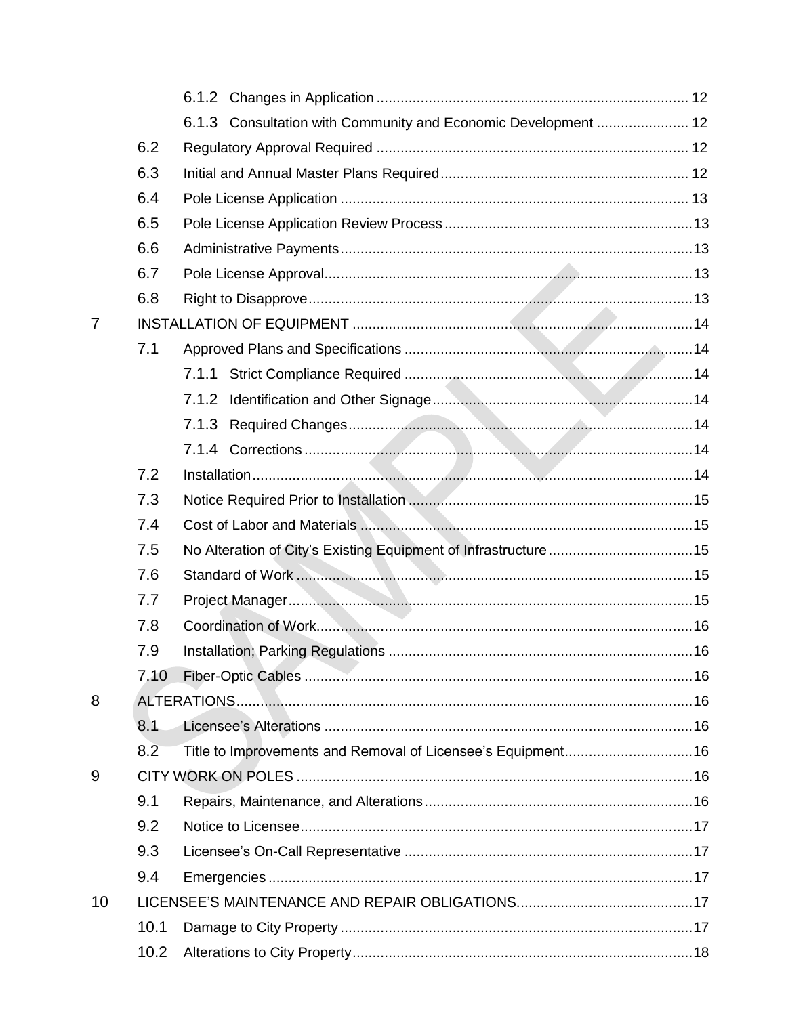|    |      | 6.1.3 Consultation with Community and Economic Development  12 |  |
|----|------|----------------------------------------------------------------|--|
|    | 6.2  |                                                                |  |
|    | 6.3  |                                                                |  |
|    | 6.4  |                                                                |  |
|    | 6.5  |                                                                |  |
|    | 6.6  |                                                                |  |
|    | 6.7  |                                                                |  |
|    | 6.8  |                                                                |  |
| 7  |      |                                                                |  |
|    | 7.1  |                                                                |  |
|    |      |                                                                |  |
|    |      | 7.1.2                                                          |  |
|    |      |                                                                |  |
|    |      |                                                                |  |
|    | 7.2  |                                                                |  |
|    | 7.3  |                                                                |  |
|    | 7.4  |                                                                |  |
|    | 7.5  |                                                                |  |
|    | 7.6  |                                                                |  |
|    | 7.7  |                                                                |  |
|    | 7.8  |                                                                |  |
|    | 7.9  |                                                                |  |
|    | 7.10 |                                                                |  |
| 8  |      |                                                                |  |
|    | 8.1  |                                                                |  |
|    | 8.2  | Title to Improvements and Removal of Licensee's Equipment16    |  |
| 9  |      |                                                                |  |
|    | 9.1  |                                                                |  |
|    | 9.2  |                                                                |  |
|    | 9.3  |                                                                |  |
|    | 9.4  |                                                                |  |
| 10 |      |                                                                |  |
|    | 10.1 |                                                                |  |
|    | 10.2 |                                                                |  |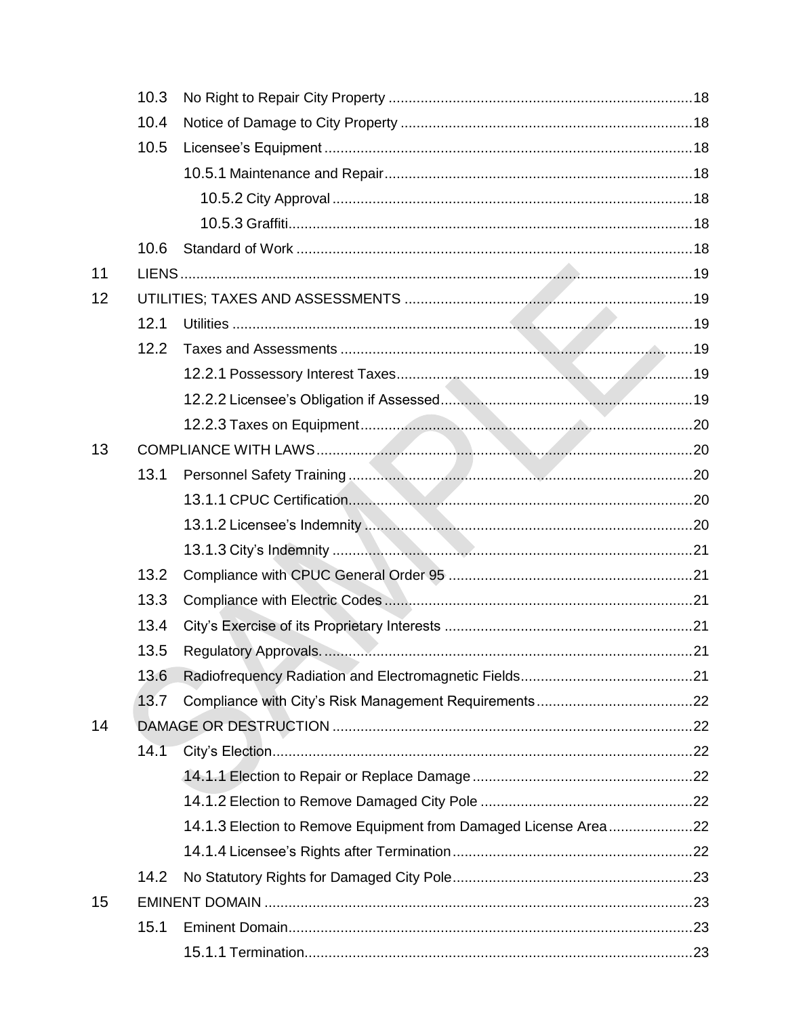|    | 10.3 |  |
|----|------|--|
|    | 10.4 |  |
|    | 10.5 |  |
|    |      |  |
|    |      |  |
|    |      |  |
|    | 10.6 |  |
| 11 |      |  |
| 12 |      |  |
|    | 12.1 |  |
|    | 12.2 |  |
|    |      |  |
|    |      |  |
|    |      |  |
| 13 |      |  |
|    | 13.1 |  |
|    |      |  |
|    |      |  |
|    |      |  |
|    | 13.2 |  |
|    | 13.3 |  |
|    | 13.4 |  |
|    | 13.5 |  |
|    | 13.6 |  |
|    | 13.7 |  |
| 14 |      |  |
|    | 14.1 |  |
|    |      |  |
|    |      |  |
|    |      |  |
|    |      |  |
|    | 14.2 |  |
| 15 |      |  |
|    | 15.1 |  |
|    |      |  |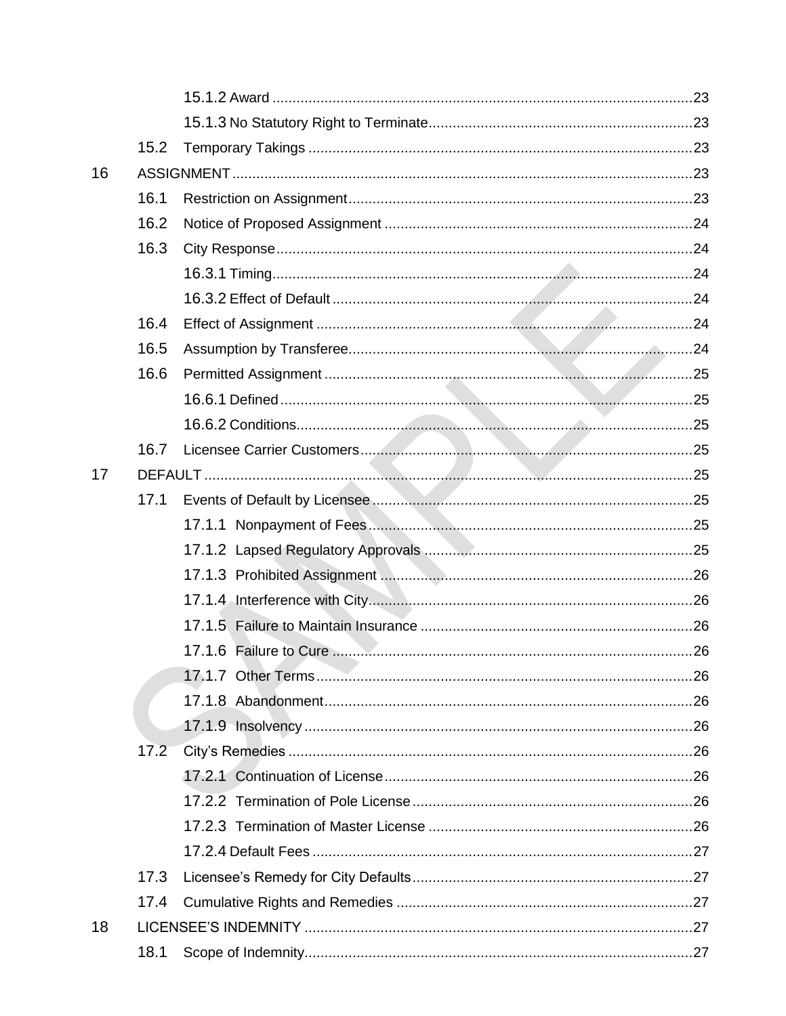|    | 15.2 |  |
|----|------|--|
| 16 |      |  |
|    | 16.1 |  |
|    | 16.2 |  |
|    | 16.3 |  |
|    |      |  |
|    |      |  |
|    | 16.4 |  |
|    | 16.5 |  |
|    | 16.6 |  |
|    |      |  |
|    |      |  |
|    | 16.7 |  |
| 17 |      |  |
|    | 17.1 |  |
|    |      |  |
|    |      |  |
|    |      |  |
|    |      |  |
|    |      |  |
|    |      |  |
|    |      |  |
|    |      |  |
|    |      |  |
|    | 17.2 |  |
|    |      |  |
|    |      |  |
|    |      |  |
|    |      |  |
|    | 17.3 |  |
|    | 17.4 |  |
| 18 |      |  |
|    | 18.1 |  |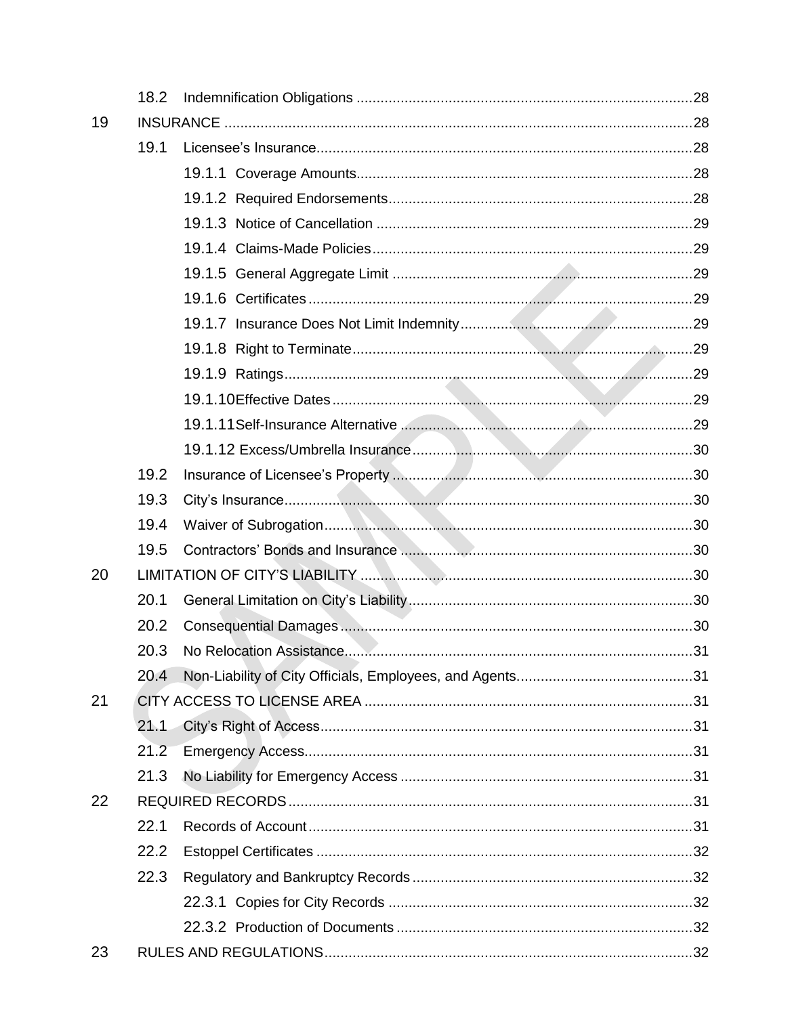|    | 18.2 |  |
|----|------|--|
| 19 |      |  |
|    | 19.1 |  |
|    |      |  |
|    |      |  |
|    |      |  |
|    |      |  |
|    |      |  |
|    |      |  |
|    |      |  |
|    |      |  |
|    |      |  |
|    |      |  |
|    |      |  |
|    |      |  |
|    | 19.2 |  |
|    | 19.3 |  |
|    | 19.4 |  |
|    | 19.5 |  |
| 20 |      |  |
|    | 20.1 |  |
|    | 20.2 |  |
|    | 20.3 |  |
|    | 20.4 |  |
| 21 |      |  |
|    | 21.1 |  |
|    | 21.2 |  |
|    | 21.3 |  |
| 22 |      |  |
|    | 22.1 |  |
|    | 22.2 |  |
|    | 22.3 |  |
|    |      |  |
|    |      |  |
| 23 |      |  |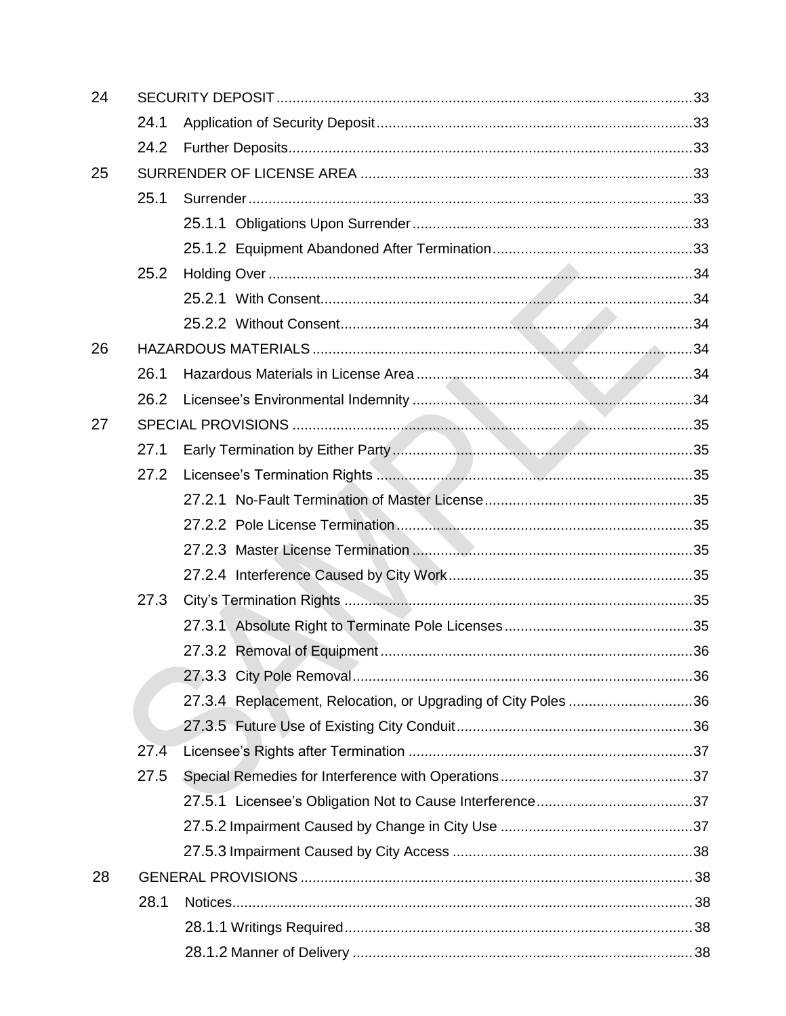| 24 |      |                                                               |  |
|----|------|---------------------------------------------------------------|--|
|    | 24.1 |                                                               |  |
|    | 24.2 |                                                               |  |
| 25 |      |                                                               |  |
|    | 25.1 |                                                               |  |
|    |      |                                                               |  |
|    |      |                                                               |  |
|    | 25.2 |                                                               |  |
|    |      |                                                               |  |
|    |      |                                                               |  |
| 26 |      |                                                               |  |
|    | 26.1 |                                                               |  |
|    | 26.2 |                                                               |  |
| 27 |      |                                                               |  |
|    | 27.1 |                                                               |  |
|    | 27.2 |                                                               |  |
|    |      |                                                               |  |
|    |      |                                                               |  |
|    |      |                                                               |  |
|    |      |                                                               |  |
|    | 27.3 |                                                               |  |
|    |      |                                                               |  |
|    |      |                                                               |  |
|    |      |                                                               |  |
|    |      | 27.3.4 Replacement, Relocation, or Upgrading of City Poles 36 |  |
|    |      |                                                               |  |
|    | 27.4 |                                                               |  |
|    | 27.5 |                                                               |  |
|    |      |                                                               |  |
|    |      |                                                               |  |
|    |      |                                                               |  |
| 28 |      |                                                               |  |
|    | 28.1 |                                                               |  |
|    |      |                                                               |  |
|    |      |                                                               |  |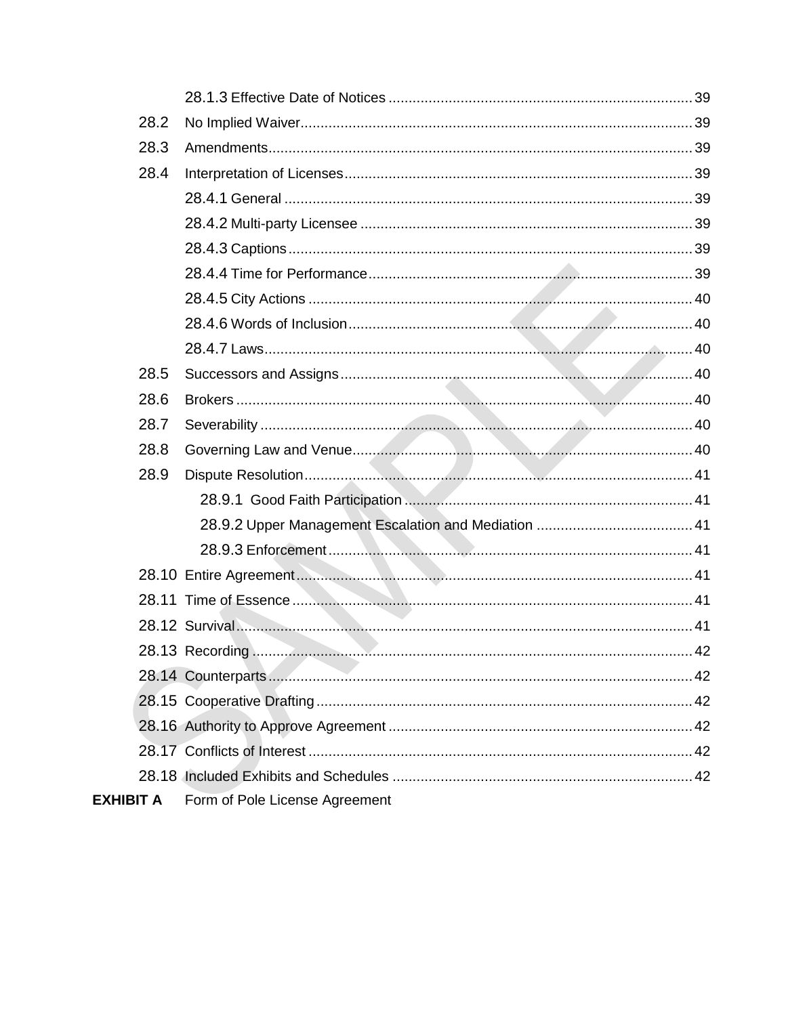| 28.2             |                                                                                              |
|------------------|----------------------------------------------------------------------------------------------|
| 28.3             |                                                                                              |
| 28.4             |                                                                                              |
|                  |                                                                                              |
|                  |                                                                                              |
|                  |                                                                                              |
|                  |                                                                                              |
|                  |                                                                                              |
|                  |                                                                                              |
|                  |                                                                                              |
| 28.5             |                                                                                              |
| 28.6             |                                                                                              |
| 28.7             |                                                                                              |
| 28.8             |                                                                                              |
| 28.9             |                                                                                              |
|                  |                                                                                              |
|                  |                                                                                              |
|                  |                                                                                              |
|                  |                                                                                              |
|                  |                                                                                              |
|                  | 28.12 Survival 28.12 Survival 28.12 Survival 28.12 Survival 28.12 Survival 28.12 Survival 20 |
|                  |                                                                                              |
|                  |                                                                                              |
|                  |                                                                                              |
|                  |                                                                                              |
|                  |                                                                                              |
|                  |                                                                                              |
| <b>EXHIBIT A</b> | Form of Pole License Agreement                                                               |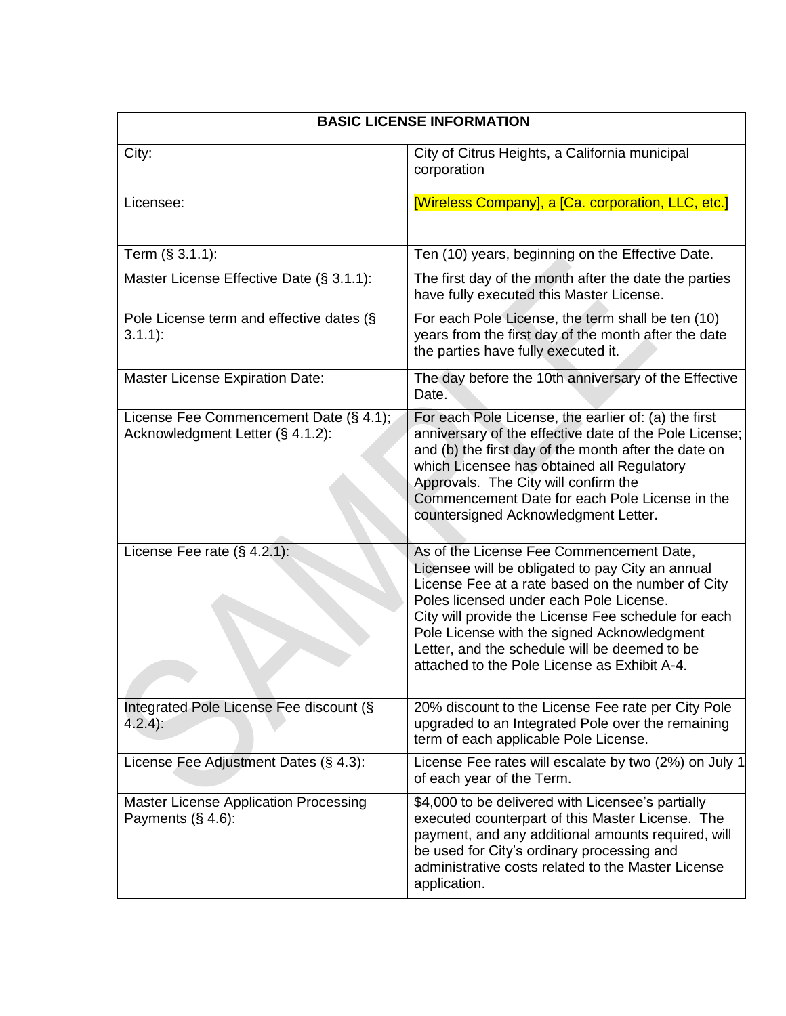| <b>BASIC LICENSE INFORMATION</b>                                           |                                                                                                                                                                                                                                                                                                                                                                                                     |  |  |
|----------------------------------------------------------------------------|-----------------------------------------------------------------------------------------------------------------------------------------------------------------------------------------------------------------------------------------------------------------------------------------------------------------------------------------------------------------------------------------------------|--|--|
| City:                                                                      | City of Citrus Heights, a California municipal<br>corporation                                                                                                                                                                                                                                                                                                                                       |  |  |
| Licensee:                                                                  | [Wireless Company], a [Ca. corporation, LLC, etc.]                                                                                                                                                                                                                                                                                                                                                  |  |  |
| Term (§ 3.1.1):                                                            | Ten (10) years, beginning on the Effective Date.                                                                                                                                                                                                                                                                                                                                                    |  |  |
| Master License Effective Date (§ 3.1.1):                                   | The first day of the month after the date the parties<br>have fully executed this Master License.                                                                                                                                                                                                                                                                                                   |  |  |
| Pole License term and effective dates (§<br>$3.1.1$ :                      | For each Pole License, the term shall be ten (10)<br>years from the first day of the month after the date<br>the parties have fully executed it.                                                                                                                                                                                                                                                    |  |  |
| <b>Master License Expiration Date:</b>                                     | The day before the 10th anniversary of the Effective<br>Date.                                                                                                                                                                                                                                                                                                                                       |  |  |
| License Fee Commencement Date (§ 4.1);<br>Acknowledgment Letter (§ 4.1.2): | For each Pole License, the earlier of: (a) the first<br>anniversary of the effective date of the Pole License;<br>and (b) the first day of the month after the date on<br>which Licensee has obtained all Regulatory<br>Approvals. The City will confirm the<br>Commencement Date for each Pole License in the<br>countersigned Acknowledgment Letter.                                              |  |  |
| License Fee rate $(\S 4.2.1)$ :                                            | As of the License Fee Commencement Date,<br>Licensee will be obligated to pay City an annual<br>License Fee at a rate based on the number of City<br>Poles licensed under each Pole License.<br>City will provide the License Fee schedule for each<br>Pole License with the signed Acknowledgment<br>Letter, and the schedule will be deemed to be<br>attached to the Pole License as Exhibit A-4. |  |  |
| Integrated Pole License Fee discount (§<br>$4.2.4$ :                       | 20% discount to the License Fee rate per City Pole<br>upgraded to an Integrated Pole over the remaining<br>term of each applicable Pole License.                                                                                                                                                                                                                                                    |  |  |
| License Fee Adjustment Dates (§ 4.3):                                      | License Fee rates will escalate by two (2%) on July 1<br>of each year of the Term.                                                                                                                                                                                                                                                                                                                  |  |  |
| <b>Master License Application Processing</b><br>Payments $(\S 4.6)$ :      | \$4,000 to be delivered with Licensee's partially<br>executed counterpart of this Master License. The<br>payment, and any additional amounts required, will<br>be used for City's ordinary processing and<br>administrative costs related to the Master License<br>application.                                                                                                                     |  |  |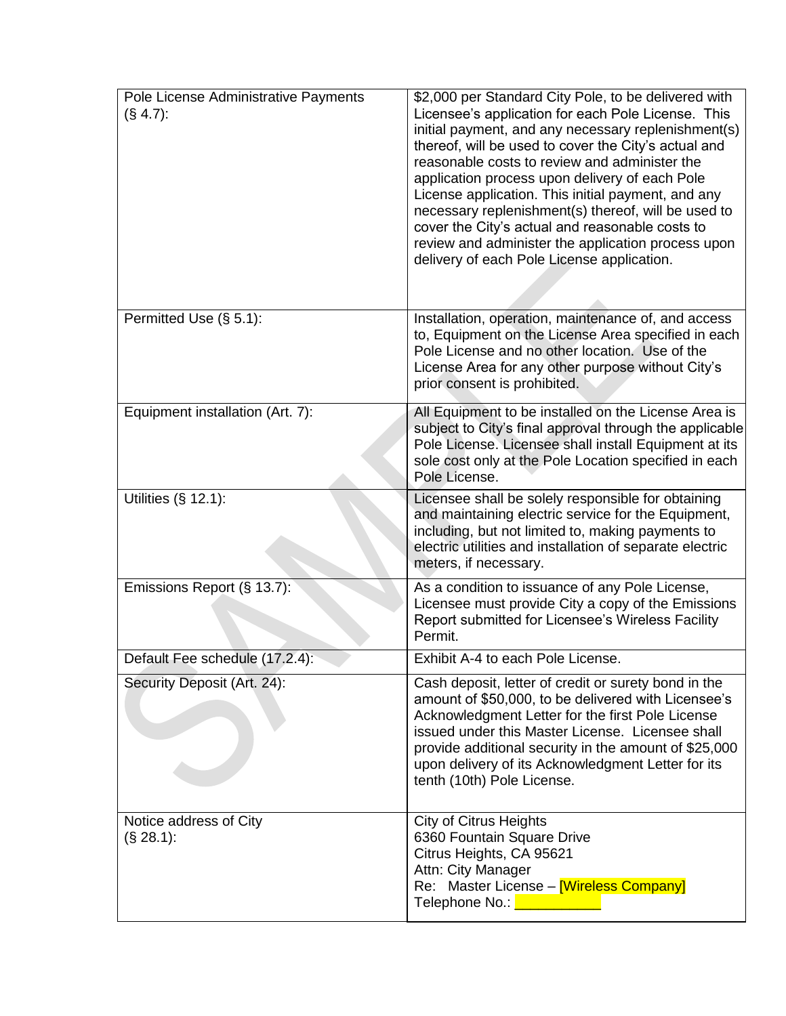| Pole License Administrative Payments<br>$(S\,4.7)$ : | \$2,000 per Standard City Pole, to be delivered with<br>Licensee's application for each Pole License. This<br>initial payment, and any necessary replenishment(s)<br>thereof, will be used to cover the City's actual and<br>reasonable costs to review and administer the<br>application process upon delivery of each Pole<br>License application. This initial payment, and any<br>necessary replenishment(s) thereof, will be used to<br>cover the City's actual and reasonable costs to<br>review and administer the application process upon<br>delivery of each Pole License application. |
|------------------------------------------------------|--------------------------------------------------------------------------------------------------------------------------------------------------------------------------------------------------------------------------------------------------------------------------------------------------------------------------------------------------------------------------------------------------------------------------------------------------------------------------------------------------------------------------------------------------------------------------------------------------|
| Permitted Use (§ 5.1):                               | Installation, operation, maintenance of, and access<br>to, Equipment on the License Area specified in each<br>Pole License and no other location. Use of the<br>License Area for any other purpose without City's<br>prior consent is prohibited.                                                                                                                                                                                                                                                                                                                                                |
| Equipment installation (Art. 7):                     | All Equipment to be installed on the License Area is<br>subject to City's final approval through the applicable<br>Pole License. Licensee shall install Equipment at its<br>sole cost only at the Pole Location specified in each<br>Pole License.                                                                                                                                                                                                                                                                                                                                               |
| Utilities $(S$ 12.1):                                | Licensee shall be solely responsible for obtaining<br>and maintaining electric service for the Equipment,<br>including, but not limited to, making payments to<br>electric utilities and installation of separate electric<br>meters, if necessary.                                                                                                                                                                                                                                                                                                                                              |
| Emissions Report (§ 13.7):                           | As a condition to issuance of any Pole License,<br>Licensee must provide City a copy of the Emissions<br>Report submitted for Licensee's Wireless Facility<br>Permit.                                                                                                                                                                                                                                                                                                                                                                                                                            |
| Default Fee schedule (17.2.4):                       | Exhibit A-4 to each Pole License.                                                                                                                                                                                                                                                                                                                                                                                                                                                                                                                                                                |
| Security Deposit (Art. 24):                          | Cash deposit, letter of credit or surety bond in the<br>amount of \$50,000, to be delivered with Licensee's<br>Acknowledgment Letter for the first Pole License<br>issued under this Master License. Licensee shall<br>provide additional security in the amount of \$25,000<br>upon delivery of its Acknowledgment Letter for its<br>tenth (10th) Pole License.                                                                                                                                                                                                                                 |
| Notice address of City<br>(S. 28.1):                 | <b>City of Citrus Heights</b><br>6360 Fountain Square Drive<br>Citrus Heights, CA 95621<br>Attn: City Manager<br>Re: Master License - [Wireless Company]<br>Telephone No.: No.: 2008 2012                                                                                                                                                                                                                                                                                                                                                                                                        |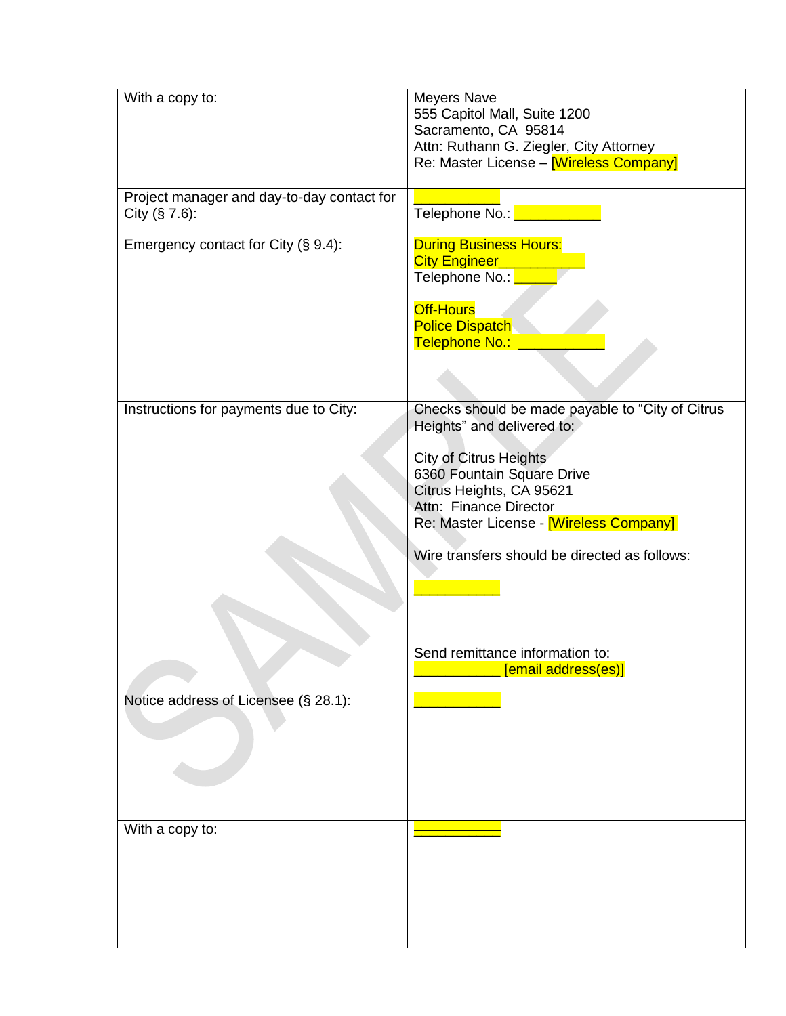| With a copy to:                                                 | <b>Meyers Nave</b><br>555 Capitol Mall, Suite 1200<br>Sacramento, CA 95814<br>Attn: Ruthann G. Ziegler, City Attorney<br>Re: Master License - Wireless Company                                                                                                                                  |
|-----------------------------------------------------------------|-------------------------------------------------------------------------------------------------------------------------------------------------------------------------------------------------------------------------------------------------------------------------------------------------|
| Project manager and day-to-day contact for<br>City $(\S 7.6)$ : |                                                                                                                                                                                                                                                                                                 |
| Emergency contact for City (§ 9.4):                             | <b>During Business Hours:</b><br>City Engineer_<br>Telephone No.:<br><b>Off-Hours</b><br><b>Police Dispatch</b><br>Telephone No.:                                                                                                                                                               |
| Instructions for payments due to City:                          | Checks should be made payable to "City of Citrus<br>Heights" and delivered to:<br><b>City of Citrus Heights</b><br>6360 Fountain Square Drive<br>Citrus Heights, CA 95621<br>Attn: Finance Director<br>Re: Master License - [Wireless Company]<br>Wire transfers should be directed as follows: |
|                                                                 | Send remittance information to:<br>[email address(es)]                                                                                                                                                                                                                                          |
| Notice address of Licensee (§ 28.1):                            |                                                                                                                                                                                                                                                                                                 |
| With a copy to:                                                 |                                                                                                                                                                                                                                                                                                 |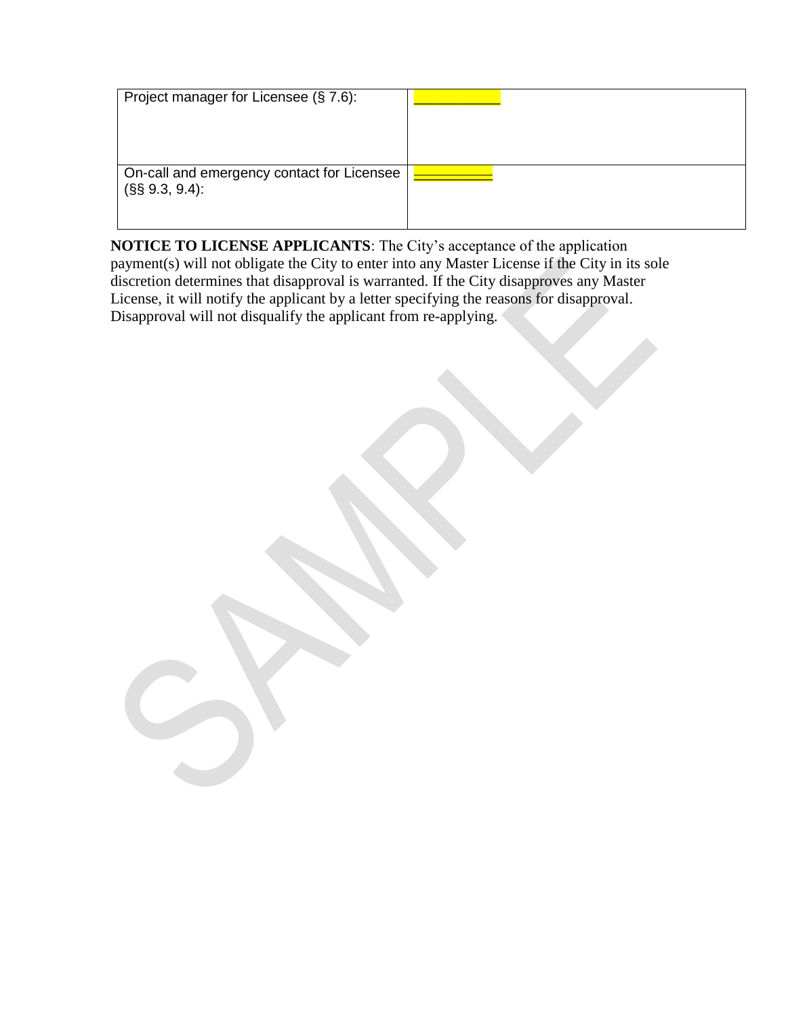| Project manager for Licensee (§ 7.6):                          |  |
|----------------------------------------------------------------|--|
| On-call and emergency contact for Licensee<br>$(S\$ 9.3, 9.4): |  |

**NOTICE TO LICENSE APPLICANTS**: The City's acceptance of the application payment(s) will not obligate the City to enter into any Master License if the City in its sole discretion determines that disapproval is warranted. If the City disapproves any Master License, it will notify the applicant by a letter specifying the reasons for disapproval. Disapproval will not disqualify the applicant from re-applying.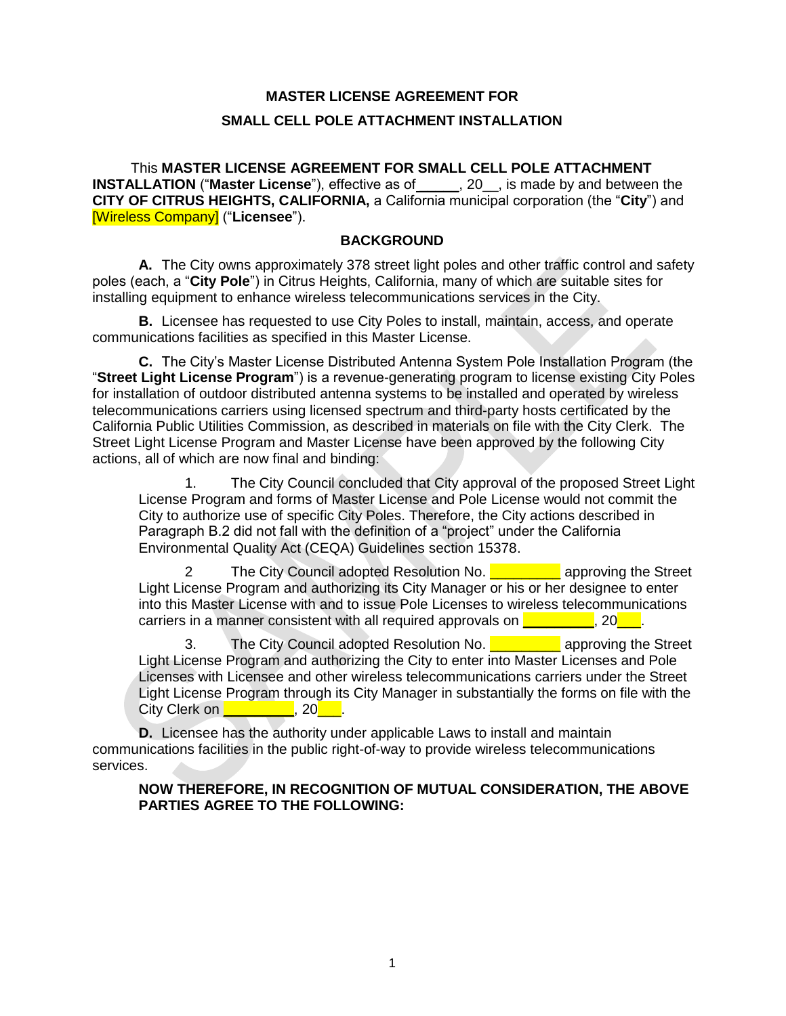# **MASTER LICENSE AGREEMENT FOR SMALL CELL POLE ATTACHMENT INSTALLATION**

This **MASTER LICENSE AGREEMENT FOR SMALL CELL POLE ATTACHMENT INSTALLATION** ("**Master License**"), effective as of \_\_\_\_\_, 20\_\_, is made by and between the **CITY OF CITRUS HEIGHTS, CALIFORNIA,** a California municipal corporation (the "**City**") and [Wireless Company] ("**Licensee**").

### **BACKGROUND**

**A.** The City owns approximately 378 street light poles and other traffic control and safety poles (each, a "**City Pole**") in Citrus Heights, California, many of which are suitable sites for installing equipment to enhance wireless telecommunications services in the City.

**B.** Licensee has requested to use City Poles to install, maintain, access, and operate communications facilities as specified in this Master License.

**C.** The City's Master License Distributed Antenna System Pole Installation Program (the "**Street Light License Program**") is a revenue-generating program to license existing City Poles for installation of outdoor distributed antenna systems to be installed and operated by wireless telecommunications carriers using licensed spectrum and third-party hosts certificated by the California Public Utilities Commission, as described in materials on file with the City Clerk. The Street Light License Program and Master License have been approved by the following City actions, all of which are now final and binding:

1. The City Council concluded that City approval of the proposed Street Light License Program and forms of Master License and Pole License would not commit the City to authorize use of specific City Poles. Therefore, the City actions described in Paragraph B.2 did not fall with the definition of a "project" under the California Environmental Quality Act (CEQA) Guidelines section 15378.

2 The City Council adopted Resolution No. **The Street** approving the Street Light License Program and authorizing its City Manager or his or her designee to enter into this Master License with and to issue Pole Licenses to wireless telecommunications carriers in a manner consistent with all required approvals on  $\qquad \qquad$ , 20

3. The City Council adopted Resolution No. **Quilibe 20 approving the Street** Light License Program and authorizing the City to enter into Master Licenses and Pole Licenses with Licensee and other wireless telecommunications carriers under the Street Light License Program through its City Manager in substantially the forms on file with the City Clerk on **Example 20**, 20<sup>-1</sup>.

**D.** Licensee has the authority under applicable Laws to install and maintain communications facilities in the public right-of-way to provide wireless telecommunications services.

#### **NOW THEREFORE, IN RECOGNITION OF MUTUAL CONSIDERATION, THE ABOVE PARTIES AGREE TO THE FOLLOWING:**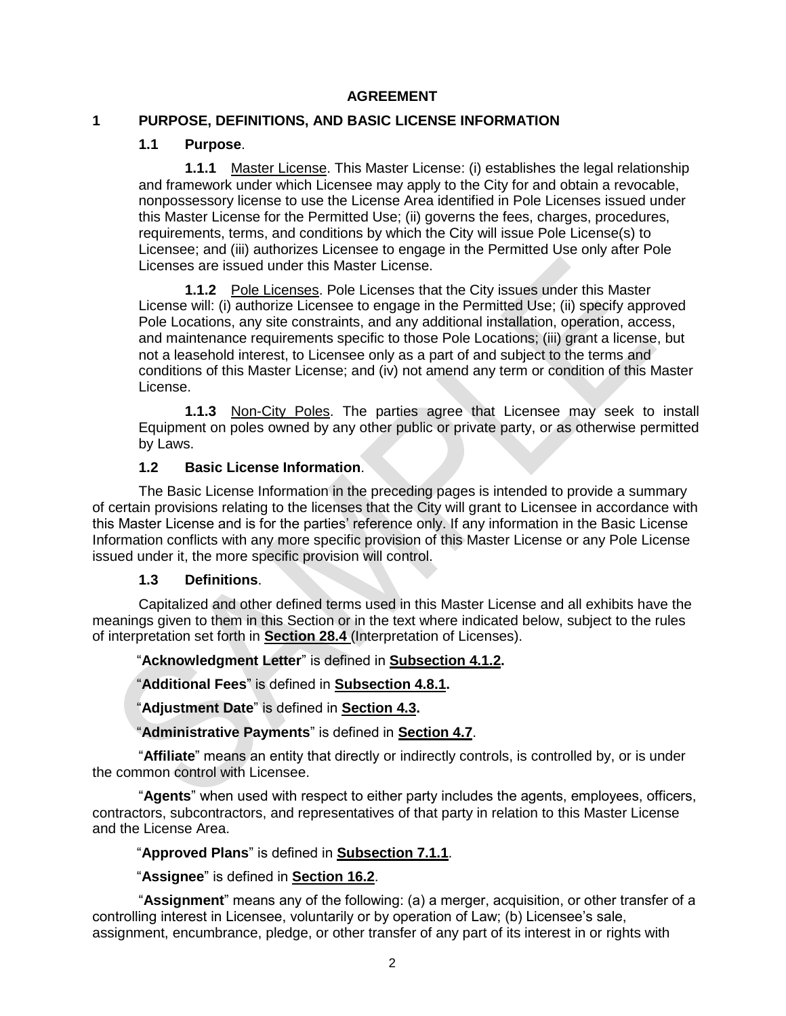### **AGREEMENT**

### **1 PURPOSE, DEFINITIONS, AND BASIC LICENSE INFORMATION**

#### **1.1 Purpose**.

**1.1.1** Master License. This Master License: (i) establishes the legal relationship and framework under which Licensee may apply to the City for and obtain a revocable, nonpossessory license to use the License Area identified in Pole Licenses issued under this Master License for the Permitted Use; (ii) governs the fees, charges, procedures, requirements, terms, and conditions by which the City will issue Pole License(s) to Licensee; and (iii) authorizes Licensee to engage in the Permitted Use only after Pole Licenses are issued under this Master License.

**1.1.2** Pole Licenses. Pole Licenses that the City issues under this Master License will: (i) authorize Licensee to engage in the Permitted Use; (ii) specify approved Pole Locations, any site constraints, and any additional installation, operation, access, and maintenance requirements specific to those Pole Locations; (iii) grant a license, but not a leasehold interest, to Licensee only as a part of and subject to the terms and conditions of this Master License; and (iv) not amend any term or condition of this Master License.

**1.1.3** Non-City Poles. The parties agree that Licensee may seek to install Equipment on poles owned by any other public or private party, or as otherwise permitted by Laws.

### **1.2 Basic License Information**.

The Basic License Information in the preceding pages is intended to provide a summary of certain provisions relating to the licenses that the City will grant to Licensee in accordance with this Master License and is for the parties' reference only. If any information in the Basic License Information conflicts with any more specific provision of this Master License or any Pole License issued under it, the more specific provision will control.

#### **1.3 Definitions**.

Capitalized and other defined terms used in this Master License and all exhibits have the meanings given to them in this Section or in the text where indicated below, subject to the rules of interpretation set forth in **Section 28.4** (Interpretation of Licenses).

### "**Acknowledgment Letter**" is defined in **Subsection 4.1.2.**

"**Additional Fees**" is defined in **Subsection 4.8.1.** 

"**Adjustment Date**" is defined in **Section 4.3.** 

### "**Administrative Payments**" is defined in **Section 4.7**.

"**Affiliate**" means an entity that directly or indirectly controls, is controlled by, or is under the common control with Licensee.

"**Agents**" when used with respect to either party includes the agents, employees, officers, contractors, subcontractors, and representatives of that party in relation to this Master License and the License Area.

## "**Approved Plans**" is defined in **Subsection 7.1.1**.

"**Assignee**" is defined in **Section 16.2**.

"**Assignment**" means any of the following: (a) a merger, acquisition, or other transfer of a controlling interest in Licensee, voluntarily or by operation of Law; (b) Licensee's sale, assignment, encumbrance, pledge, or other transfer of any part of its interest in or rights with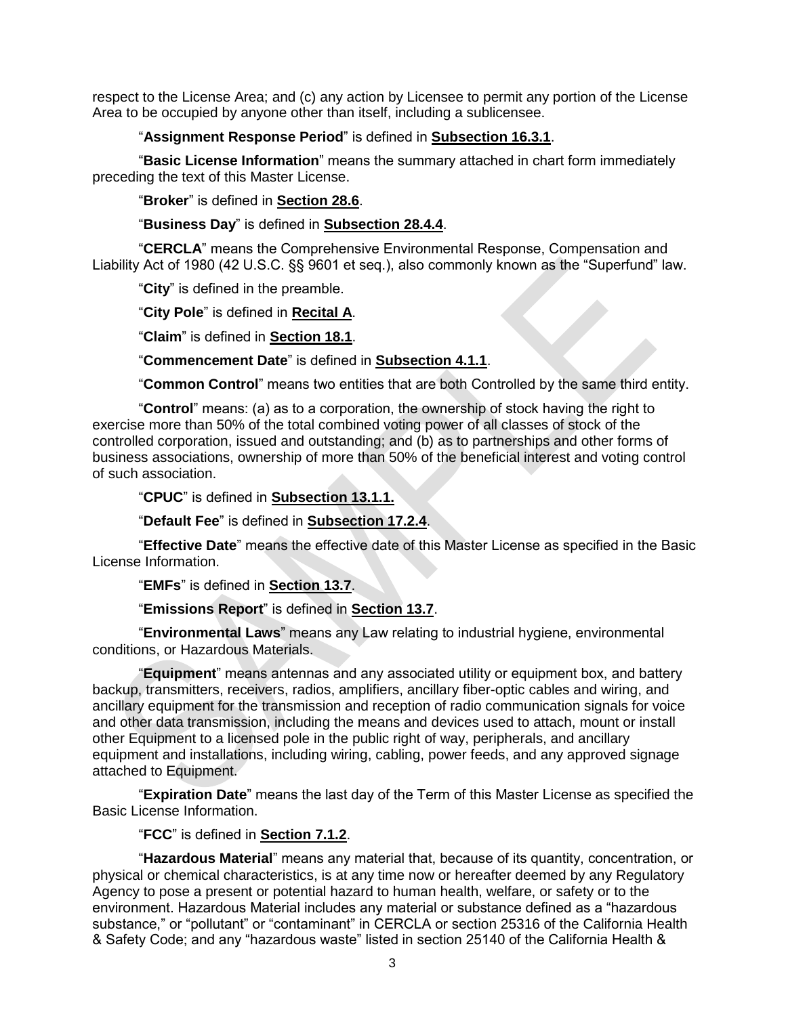respect to the License Area; and (c) any action by Licensee to permit any portion of the License Area to be occupied by anyone other than itself, including a sublicensee.

#### "**Assignment Response Period**" is defined in **Subsection 16.3.1**.

"**Basic License Information**" means the summary attached in chart form immediately preceding the text of this Master License.

"**Broker**" is defined in **Section 28.6**.

"**Business Day**" is defined in **Subsection 28.4.4**.

"**CERCLA**" means the Comprehensive Environmental Response, Compensation and Liability Act of 1980 (42 U.S.C. §§ 9601 et seq.), also commonly known as the "Superfund" law.

"**City**" is defined in the preamble.

"**City Pole**" is defined in **Recital A**.

"**Claim**" is defined in **Section 18.1**.

"**Commencement Date**" is defined in **Subsection 4.1.1**.

"**Common Control**" means two entities that are both Controlled by the same third entity.

"**Control**" means: (a) as to a corporation, the ownership of stock having the right to exercise more than 50% of the total combined voting power of all classes of stock of the controlled corporation, issued and outstanding; and (b) as to partnerships and other forms of business associations, ownership of more than 50% of the beneficial interest and voting control of such association.

"**CPUC**" is defined in **Subsection 13.1.1.**

"**Default Fee**" is defined in **Subsection 17.2.4**.

"**Effective Date**" means the effective date of this Master License as specified in the Basic License Information.

"**EMFs**" is defined in **Section 13.7**.

"**Emissions Report**" is defined in **Section 13.7**.

"**Environmental Laws**" means any Law relating to industrial hygiene, environmental conditions, or Hazardous Materials.

"**Equipment**" means antennas and any associated utility or equipment box, and battery backup, transmitters, receivers, radios, amplifiers, ancillary fiber-optic cables and wiring, and ancillary equipment for the transmission and reception of radio communication signals for voice and other data transmission, including the means and devices used to attach, mount or install other Equipment to a licensed pole in the public right of way, peripherals, and ancillary equipment and installations, including wiring, cabling, power feeds, and any approved signage attached to Equipment.

"**Expiration Date**" means the last day of the Term of this Master License as specified the Basic License Information.

"**FCC**" is defined in **Section 7.1.2**.

"**Hazardous Material**" means any material that, because of its quantity, concentration, or physical or chemical characteristics, is at any time now or hereafter deemed by any Regulatory Agency to pose a present or potential hazard to human health, welfare, or safety or to the environment. Hazardous Material includes any material or substance defined as a "hazardous substance," or "pollutant" or "contaminant" in CERCLA or section 25316 of the California Health & Safety Code; and any "hazardous waste" listed in section 25140 of the California Health &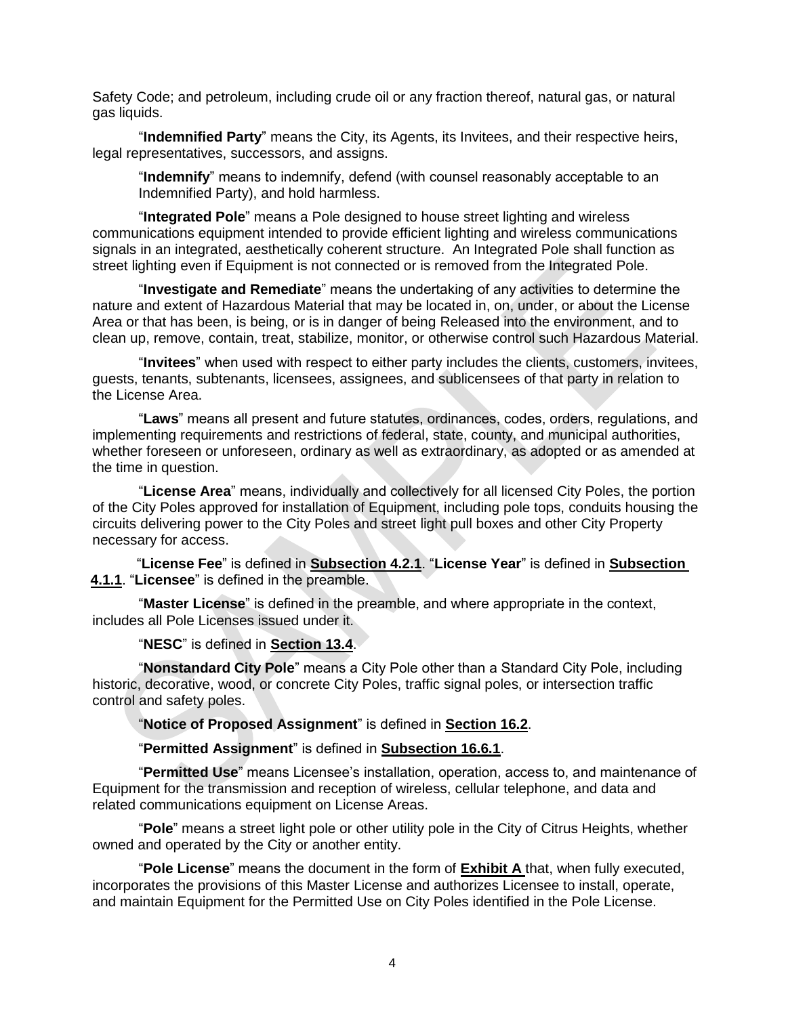Safety Code; and petroleum, including crude oil or any fraction thereof, natural gas, or natural gas liquids.

"**Indemnified Party**" means the City, its Agents, its Invitees, and their respective heirs, legal representatives, successors, and assigns.

"**Indemnify**" means to indemnify, defend (with counsel reasonably acceptable to an Indemnified Party), and hold harmless.

"**Integrated Pole**" means a Pole designed to house street lighting and wireless communications equipment intended to provide efficient lighting and wireless communications signals in an integrated, aesthetically coherent structure. An Integrated Pole shall function as street lighting even if Equipment is not connected or is removed from the Integrated Pole.

"**Investigate and Remediate**" means the undertaking of any activities to determine the nature and extent of Hazardous Material that may be located in, on, under, or about the License Area or that has been, is being, or is in danger of being Released into the environment, and to clean up, remove, contain, treat, stabilize, monitor, or otherwise control such Hazardous Material.

"**Invitees**" when used with respect to either party includes the clients, customers, invitees, guests, tenants, subtenants, licensees, assignees, and sublicensees of that party in relation to the License Area.

"**Laws**" means all present and future statutes, ordinances, codes, orders, regulations, and implementing requirements and restrictions of federal, state, county, and municipal authorities, whether foreseen or unforeseen, ordinary as well as extraordinary, as adopted or as amended at the time in question.

"**License Area**" means, individually and collectively for all licensed City Poles, the portion of the City Poles approved for installation of Equipment, including pole tops, conduits housing the circuits delivering power to the City Poles and street light pull boxes and other City Property necessary for access.

"**License Fee**" is defined in **Subsection 4.2.1**. "**License Year**" is defined in **Subsection 4.1.1**. "**Licensee**" is defined in the preamble.

"**Master License**" is defined in the preamble, and where appropriate in the context, includes all Pole Licenses issued under it.

"**NESC**" is defined in **Section 13.4**.

"**Nonstandard City Pole**" means a City Pole other than a Standard City Pole, including historic, decorative, wood, or concrete City Poles, traffic signal poles, or intersection traffic control and safety poles.

"**Notice of Proposed Assignment**" is defined in **Section 16.2**.

"**Permitted Assignment**" is defined in **Subsection 16.6.1**.

"**Permitted Use**" means Licensee's installation, operation, access to, and maintenance of Equipment for the transmission and reception of wireless, cellular telephone, and data and related communications equipment on License Areas.

"**Pole**" means a street light pole or other utility pole in the City of Citrus Heights, whether owned and operated by the City or another entity.

"**Pole License**" means the document in the form of **Exhibit A** that, when fully executed, incorporates the provisions of this Master License and authorizes Licensee to install, operate, and maintain Equipment for the Permitted Use on City Poles identified in the Pole License.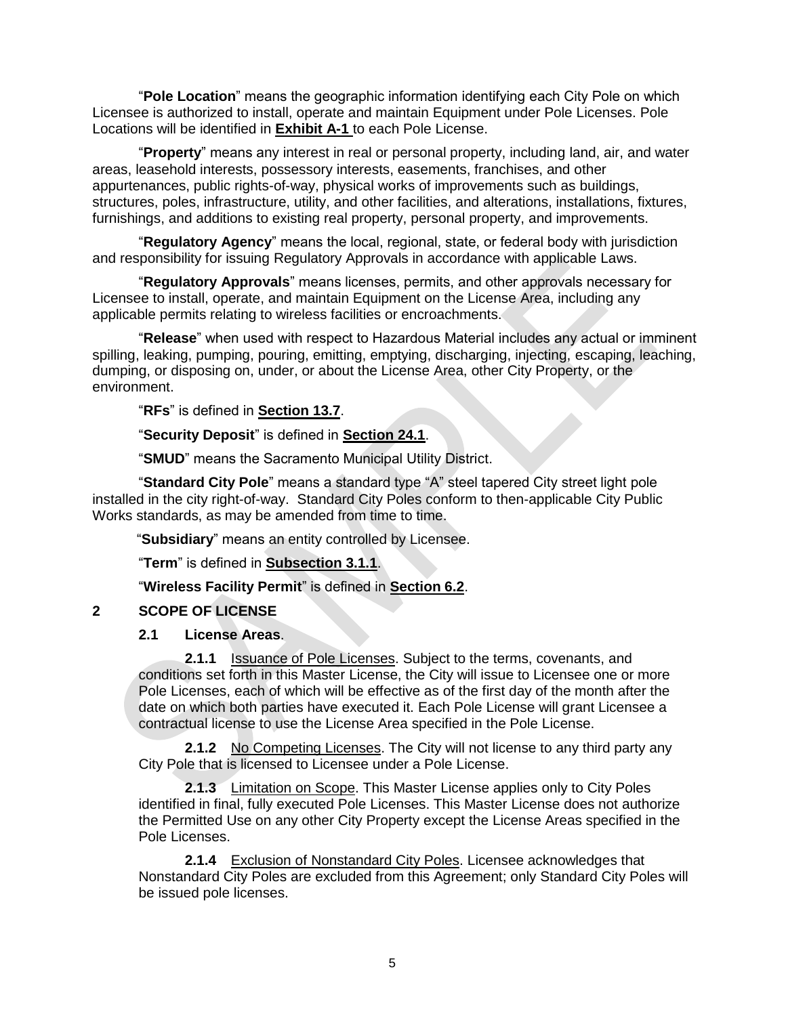"**Pole Location**" means the geographic information identifying each City Pole on which Licensee is authorized to install, operate and maintain Equipment under Pole Licenses. Pole Locations will be identified in **Exhibit A-1** to each Pole License.

"**Property**" means any interest in real or personal property, including land, air, and water areas, leasehold interests, possessory interests, easements, franchises, and other appurtenances, public rights-of-way, physical works of improvements such as buildings, structures, poles, infrastructure, utility, and other facilities, and alterations, installations, fixtures, furnishings, and additions to existing real property, personal property, and improvements.

"**Regulatory Agency**" means the local, regional, state, or federal body with jurisdiction and responsibility for issuing Regulatory Approvals in accordance with applicable Laws.

"**Regulatory Approvals**" means licenses, permits, and other approvals necessary for Licensee to install, operate, and maintain Equipment on the License Area, including any applicable permits relating to wireless facilities or encroachments.

"**Release**" when used with respect to Hazardous Material includes any actual or imminent spilling, leaking, pumping, pouring, emitting, emptying, discharging, injecting, escaping, leaching, dumping, or disposing on, under, or about the License Area, other City Property, or the environment.

"**RFs**" is defined in **Section 13.7**.

"**Security Deposit**" is defined in **Section 24.1**.

"**SMUD**" means the Sacramento Municipal Utility District.

"**Standard City Pole**" means a standard type "A" steel tapered City street light pole installed in the city right-of-way. Standard City Poles conform to then-applicable City Public Works standards, as may be amended from time to time.

"**Subsidiary**" means an entity controlled by Licensee.

"**Term**" is defined in **Subsection 3.1.1**.

"**Wireless Facility Permit**" is defined in **Section 6.2**.

### **2 SCOPE OF LICENSE**

#### **2.1 License Areas**.

**2.1.1** Issuance of Pole Licenses. Subject to the terms, covenants, and conditions set forth in this Master License, the City will issue to Licensee one or more Pole Licenses, each of which will be effective as of the first day of the month after the date on which both parties have executed it. Each Pole License will grant Licensee a contractual license to use the License Area specified in the Pole License.

**2.1.2** No Competing Licenses. The City will not license to any third party any City Pole that is licensed to Licensee under a Pole License.

**2.1.3** Limitation on Scope. This Master License applies only to City Poles identified in final, fully executed Pole Licenses. This Master License does not authorize the Permitted Use on any other City Property except the License Areas specified in the Pole Licenses.

**2.1.4** Exclusion of Nonstandard City Poles. Licensee acknowledges that Nonstandard City Poles are excluded from this Agreement; only Standard City Poles will be issued pole licenses.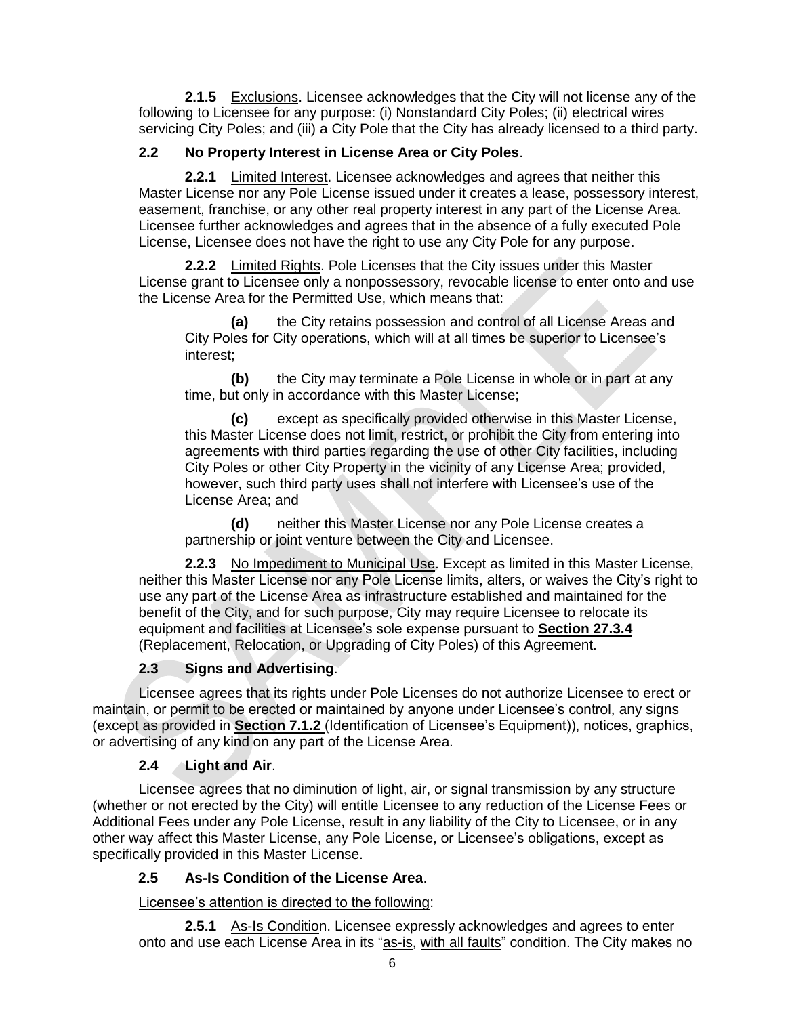**2.1.5** Exclusions. Licensee acknowledges that the City will not license any of the following to Licensee for any purpose: (i) Nonstandard City Poles; (ii) electrical wires servicing City Poles; and (iii) a City Pole that the City has already licensed to a third party.

## **2.2 No Property Interest in License Area or City Poles**.

**2.2.1** Limited Interest. Licensee acknowledges and agrees that neither this Master License nor any Pole License issued under it creates a lease, possessory interest, easement, franchise, or any other real property interest in any part of the License Area. Licensee further acknowledges and agrees that in the absence of a fully executed Pole License, Licensee does not have the right to use any City Pole for any purpose.

**2.2.2** Limited Rights. Pole Licenses that the City issues under this Master License grant to Licensee only a nonpossessory, revocable license to enter onto and use the License Area for the Permitted Use, which means that:

**(a)** the City retains possession and control of all License Areas and City Poles for City operations, which will at all times be superior to Licensee's interest;

**(b)** the City may terminate a Pole License in whole or in part at any time, but only in accordance with this Master License;

**(c)** except as specifically provided otherwise in this Master License, this Master License does not limit, restrict, or prohibit the City from entering into agreements with third parties regarding the use of other City facilities, including City Poles or other City Property in the vicinity of any License Area; provided, however, such third party uses shall not interfere with Licensee's use of the License Area; and

**(d)** neither this Master License nor any Pole License creates a partnership or joint venture between the City and Licensee.

**2.2.3** No Impediment to Municipal Use. Except as limited in this Master License, neither this Master License nor any Pole License limits, alters, or waives the City's right to use any part of the License Area as infrastructure established and maintained for the benefit of the City, and for such purpose, City may require Licensee to relocate its equipment and facilities at Licensee's sole expense pursuant to **Section 27.3.4** (Replacement, Relocation, or Upgrading of City Poles) of this Agreement.

## **2.3 Signs and Advertising**.

Licensee agrees that its rights under Pole Licenses do not authorize Licensee to erect or maintain, or permit to be erected or maintained by anyone under Licensee's control, any signs (except as provided in **Section 7.1.2** (Identification of Licensee's Equipment)), notices, graphics, or advertising of any kind on any part of the License Area.

### **2.4 Light and Air**.

Licensee agrees that no diminution of light, air, or signal transmission by any structure (whether or not erected by the City) will entitle Licensee to any reduction of the License Fees or Additional Fees under any Pole License, result in any liability of the City to Licensee, or in any other way affect this Master License, any Pole License, or Licensee's obligations, except as specifically provided in this Master License.

## **2.5 As-Is Condition of the License Area**.

Licensee's attention is directed to the following:

**2.5.1** As-Is Condition. Licensee expressly acknowledges and agrees to enter onto and use each License Area in its "as-is, with all faults" condition. The City makes no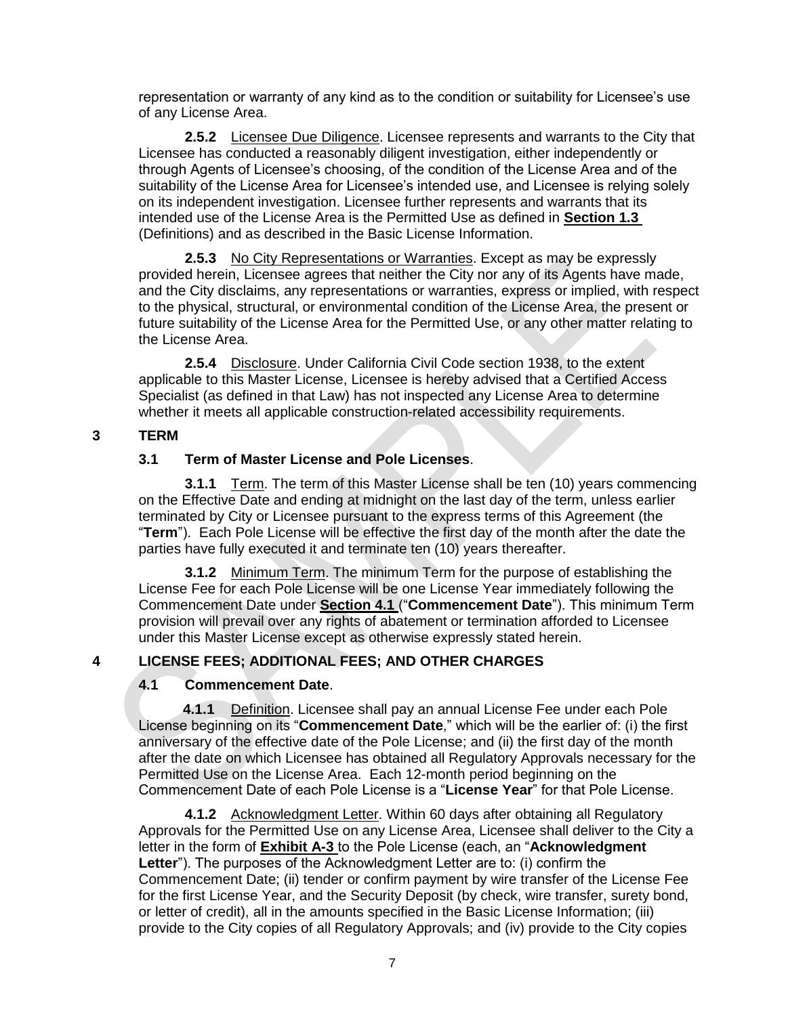representation or warranty of any kind as to the condition or suitability for Licensee's use of any License Area.

**2.5.2** Licensee Due Diligence. Licensee represents and warrants to the City that Licensee has conducted a reasonably diligent investigation, either independently or through Agents of Licensee's choosing, of the condition of the License Area and of the suitability of the License Area for Licensee's intended use, and Licensee is relying solely on its independent investigation. Licensee further represents and warrants that its intended use of the License Area is the Permitted Use as defined in **Section 1.3**  (Definitions) and as described in the Basic License Information.

**2.5.3** No City Representations or Warranties. Except as may be expressly provided herein, Licensee agrees that neither the City nor any of its Agents have made, and the City disclaims, any representations or warranties, express or implied, with respect to the physical, structural, or environmental condition of the License Area, the present or future suitability of the License Area for the Permitted Use, or any other matter relating to the License Area.

**2.5.4** Disclosure. Under California Civil Code section 1938, to the extent applicable to this Master License, Licensee is hereby advised that a Certified Access Specialist (as defined in that Law) has not inspected any License Area to determine whether it meets all applicable construction-related accessibility requirements.

### **3 TERM**

### **3.1 Term of Master License and Pole Licenses**.

**3.1.1** Term. The term of this Master License shall be ten (10) years commencing on the Effective Date and ending at midnight on the last day of the term, unless earlier terminated by City or Licensee pursuant to the express terms of this Agreement (the "**Term**"). Each Pole License will be effective the first day of the month after the date the parties have fully executed it and terminate ten (10) years thereafter.

**3.1.2** Minimum Term. The minimum Term for the purpose of establishing the License Fee for each Pole License will be one License Year immediately following the Commencement Date under **Section 4.1** ("**Commencement Date**"). This minimum Term provision will prevail over any rights of abatement or termination afforded to Licensee under this Master License except as otherwise expressly stated herein.

### **4 LICENSE FEES; ADDITIONAL FEES; AND OTHER CHARGES**

### **4.1 Commencement Date**.

**4.1.1** Definition. Licensee shall pay an annual License Fee under each Pole License beginning on its "**Commencement Date**," which will be the earlier of: (i) the first anniversary of the effective date of the Pole License; and (ii) the first day of the month after the date on which Licensee has obtained all Regulatory Approvals necessary for the Permitted Use on the License Area. Each 12-month period beginning on the Commencement Date of each Pole License is a "**License Year**" for that Pole License.

**4.1.2** Acknowledgment Letter. Within 60 days after obtaining all Regulatory Approvals for the Permitted Use on any License Area, Licensee shall deliver to the City a letter in the form of **Exhibit A-3** to the Pole License (each, an "**Acknowledgment Letter**"). The purposes of the Acknowledgment Letter are to: (i) confirm the Commencement Date; (ii) tender or confirm payment by wire transfer of the License Fee for the first License Year, and the Security Deposit (by check, wire transfer, surety bond, or letter of credit), all in the amounts specified in the Basic License Information; (iii) provide to the City copies of all Regulatory Approvals; and (iv) provide to the City copies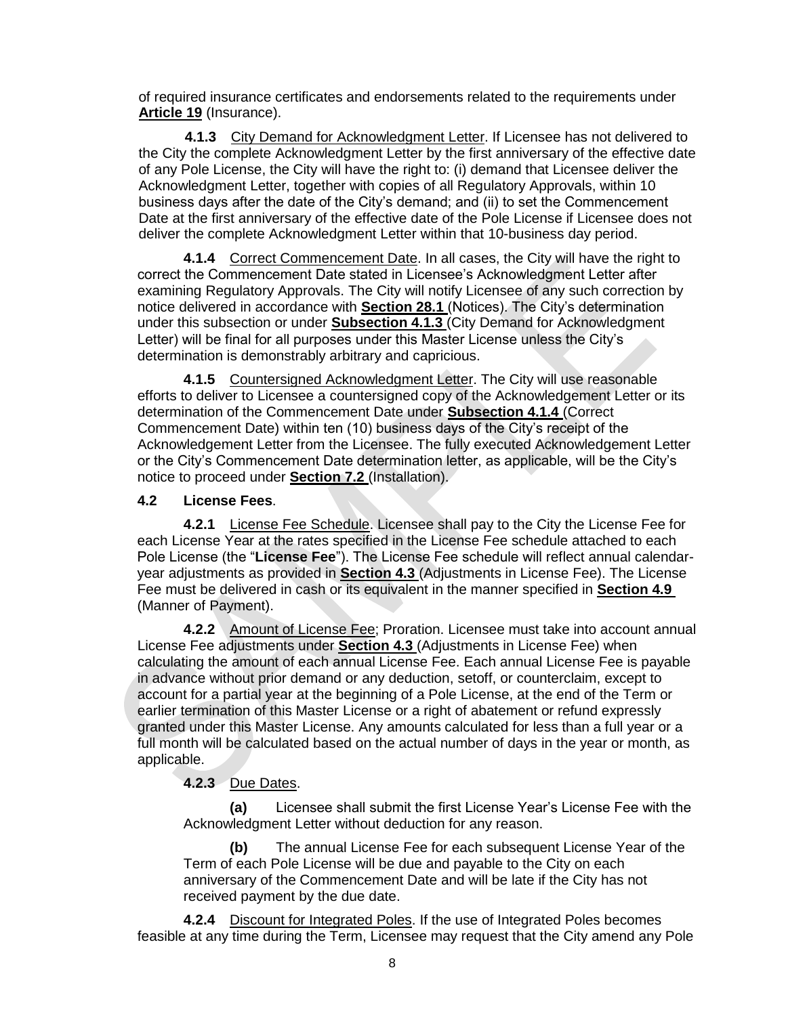of required insurance certificates and endorsements related to the requirements under **Article 19** (Insurance).

**4.1.3** City Demand for Acknowledgment Letter. If Licensee has not delivered to the City the complete Acknowledgment Letter by the first anniversary of the effective date of any Pole License, the City will have the right to: (i) demand that Licensee deliver the Acknowledgment Letter, together with copies of all Regulatory Approvals, within 10 business days after the date of the City's demand; and (ii) to set the Commencement Date at the first anniversary of the effective date of the Pole License if Licensee does not deliver the complete Acknowledgment Letter within that 10-business day period.

**4.1.4** Correct Commencement Date. In all cases, the City will have the right to correct the Commencement Date stated in Licensee's Acknowledgment Letter after examining Regulatory Approvals. The City will notify Licensee of any such correction by notice delivered in accordance with **Section 28.1** (Notices). The City's determination under this subsection or under **Subsection 4.1.3** (City Demand for Acknowledgment Letter) will be final for all purposes under this Master License unless the City's determination is demonstrably arbitrary and capricious.

**4.1.5** Countersigned Acknowledgment Letter. The City will use reasonable efforts to deliver to Licensee a countersigned copy of the Acknowledgement Letter or its determination of the Commencement Date under **Subsection 4.1.4** (Correct Commencement Date) within ten (10) business days of the City's receipt of the Acknowledgement Letter from the Licensee. The fully executed Acknowledgement Letter or the City's Commencement Date determination letter, as applicable, will be the City's notice to proceed under **Section 7.2** (Installation).

### **4.2 License Fees**.

**4.2.1** License Fee Schedule. Licensee shall pay to the City the License Fee for each License Year at the rates specified in the License Fee schedule attached to each Pole License (the "**License Fee**"). The License Fee schedule will reflect annual calendaryear adjustments as provided in **Section 4.3** (Adjustments in License Fee). The License Fee must be delivered in cash or its equivalent in the manner specified in **Section 4.9**  (Manner of Payment).

**4.2.2** Amount of License Fee; Proration. Licensee must take into account annual License Fee adjustments under **Section 4.3** (Adjustments in License Fee) when calculating the amount of each annual License Fee. Each annual License Fee is payable in advance without prior demand or any deduction, setoff, or counterclaim, except to account for a partial year at the beginning of a Pole License, at the end of the Term or earlier termination of this Master License or a right of abatement or refund expressly granted under this Master License. Any amounts calculated for less than a full year or a full month will be calculated based on the actual number of days in the year or month, as applicable.

## **4.2.3** Due Dates.

**(a)** Licensee shall submit the first License Year's License Fee with the Acknowledgment Letter without deduction for any reason.

**(b)** The annual License Fee for each subsequent License Year of the Term of each Pole License will be due and payable to the City on each anniversary of the Commencement Date and will be late if the City has not received payment by the due date.

**4.2.4** Discount for Integrated Poles. If the use of Integrated Poles becomes feasible at any time during the Term, Licensee may request that the City amend any Pole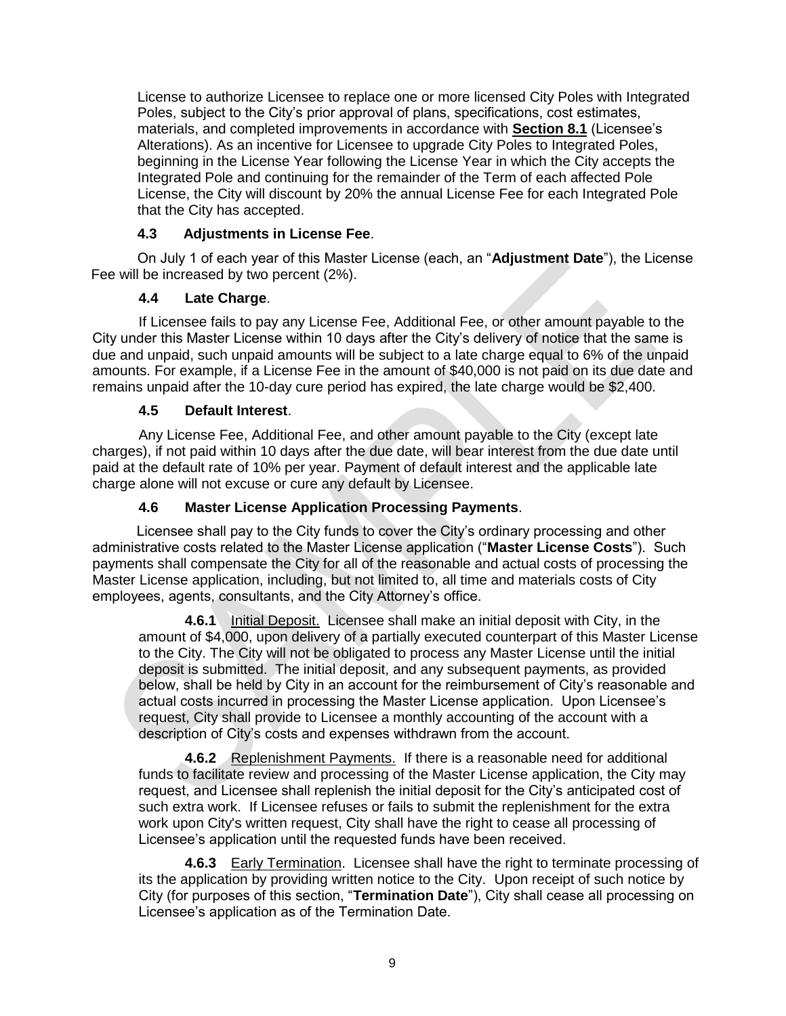License to authorize Licensee to replace one or more licensed City Poles with Integrated Poles, subject to the City's prior approval of plans, specifications, cost estimates, materials, and completed improvements in accordance with **Section 8.1** (Licensee's Alterations). As an incentive for Licensee to upgrade City Poles to Integrated Poles, beginning in the License Year following the License Year in which the City accepts the Integrated Pole and continuing for the remainder of the Term of each affected Pole License, the City will discount by 20% the annual License Fee for each Integrated Pole that the City has accepted.

## **4.3 Adjustments in License Fee**.

On July 1 of each year of this Master License (each, an "**Adjustment Date**"), the License Fee will be increased by two percent (2%).

## **4.4 Late Charge**.

If Licensee fails to pay any License Fee, Additional Fee, or other amount payable to the City under this Master License within 10 days after the City's delivery of notice that the same is due and unpaid, such unpaid amounts will be subject to a late charge equal to 6% of the unpaid amounts. For example, if a License Fee in the amount of \$40,000 is not paid on its due date and remains unpaid after the 10-day cure period has expired, the late charge would be \$2,400.

## **4.5 Default Interest**.

Any License Fee, Additional Fee, and other amount payable to the City (except late charges), if not paid within 10 days after the due date, will bear interest from the due date until paid at the default rate of 10% per year. Payment of default interest and the applicable late charge alone will not excuse or cure any default by Licensee.

### **4.6 Master License Application Processing Payments**.

Licensee shall pay to the City funds to cover the City's ordinary processing and other administrative costs related to the Master License application ("**Master License Costs**"). Such payments shall compensate the City for all of the reasonable and actual costs of processing the Master License application, including, but not limited to, all time and materials costs of City employees, agents, consultants, and the City Attorney's office.

**4.6.1** Initial Deposit. Licensee shall make an initial deposit with City, in the amount of \$4,000, upon delivery of a partially executed counterpart of this Master License to the City. The City will not be obligated to process any Master License until the initial deposit is submitted. The initial deposit, and any subsequent payments, as provided below, shall be held by City in an account for the reimbursement of City's reasonable and actual costs incurred in processing the Master License application. Upon Licensee's request, City shall provide to Licensee a monthly accounting of the account with a description of City's costs and expenses withdrawn from the account.

**4.6.2** Replenishment Payments. If there is a reasonable need for additional funds to facilitate review and processing of the Master License application, the City may request, and Licensee shall replenish the initial deposit for the City's anticipated cost of such extra work. If Licensee refuses or fails to submit the replenishment for the extra work upon City's written request, City shall have the right to cease all processing of Licensee's application until the requested funds have been received.

**4.6.3** Early Termination. Licensee shall have the right to terminate processing of its the application by providing written notice to the City. Upon receipt of such notice by City (for purposes of this section, "**Termination Date**"), City shall cease all processing on Licensee's application as of the Termination Date.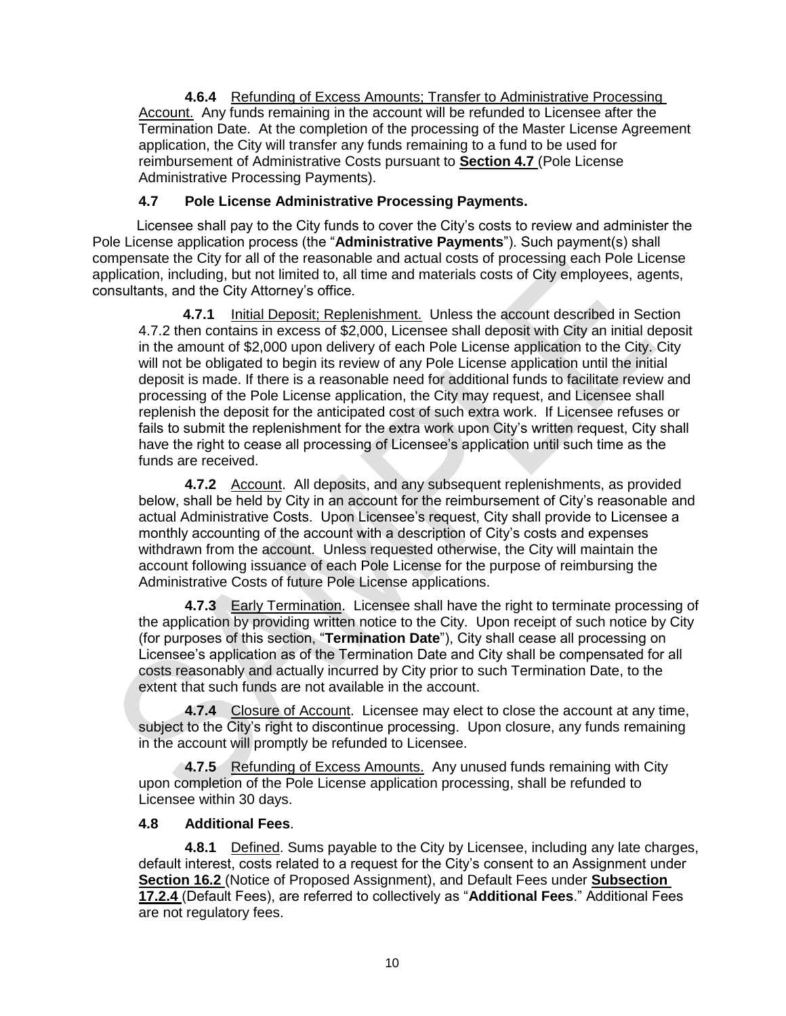**4.6.4** Refunding of Excess Amounts; Transfer to Administrative Processing Account. Any funds remaining in the account will be refunded to Licensee after the Termination Date. At the completion of the processing of the Master License Agreement application, the City will transfer any funds remaining to a fund to be used for reimbursement of Administrative Costs pursuant to **Section 4.7** (Pole License Administrative Processing Payments).

### **4.7 Pole License Administrative Processing Payments.**

Licensee shall pay to the City funds to cover the City's costs to review and administer the Pole License application process (the "**Administrative Payments**"). Such payment(s) shall compensate the City for all of the reasonable and actual costs of processing each Pole License application, including, but not limited to, all time and materials costs of City employees, agents, consultants, and the City Attorney's office.

**4.7.1** Initial Deposit; Replenishment. Unless the account described in Section 4.7.2 then contains in excess of \$2,000, Licensee shall deposit with City an initial deposit in the amount of \$2,000 upon delivery of each Pole License application to the City. City will not be obligated to begin its review of any Pole License application until the initial deposit is made. If there is a reasonable need for additional funds to facilitate review and processing of the Pole License application, the City may request, and Licensee shall replenish the deposit for the anticipated cost of such extra work. If Licensee refuses or fails to submit the replenishment for the extra work upon City's written request, City shall have the right to cease all processing of Licensee's application until such time as the funds are received.

**4.7.2** Account. All deposits, and any subsequent replenishments, as provided below, shall be held by City in an account for the reimbursement of City's reasonable and actual Administrative Costs. Upon Licensee's request, City shall provide to Licensee a monthly accounting of the account with a description of City's costs and expenses withdrawn from the account. Unless requested otherwise, the City will maintain the account following issuance of each Pole License for the purpose of reimbursing the Administrative Costs of future Pole License applications.

**4.7.3** Early Termination. Licensee shall have the right to terminate processing of the application by providing written notice to the City. Upon receipt of such notice by City (for purposes of this section, "**Termination Date**"), City shall cease all processing on Licensee's application as of the Termination Date and City shall be compensated for all costs reasonably and actually incurred by City prior to such Termination Date, to the extent that such funds are not available in the account.

**4.7.4** Closure of Account. Licensee may elect to close the account at any time, subject to the City's right to discontinue processing. Upon closure, any funds remaining in the account will promptly be refunded to Licensee.

**4.7.5** Refunding of Excess Amounts. Any unused funds remaining with City upon completion of the Pole License application processing, shall be refunded to Licensee within 30 days.

### **4.8 Additional Fees**.

**4.8.1** Defined. Sums payable to the City by Licensee, including any late charges, default interest, costs related to a request for the City's consent to an Assignment under **Section 16.2** (Notice of Proposed Assignment), and Default Fees under **Subsection 17.2.4** (Default Fees), are referred to collectively as "**Additional Fees**." Additional Fees are not regulatory fees.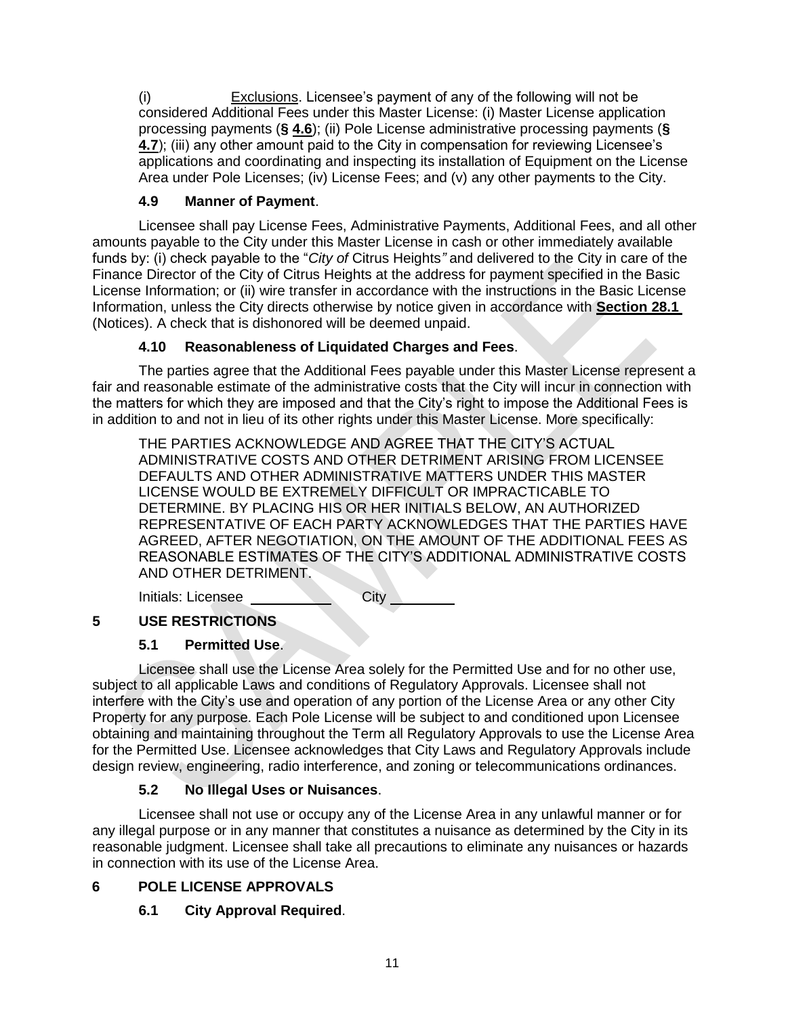(i) Exclusions. Licensee's payment of any of the following will not be considered Additional Fees under this Master License: (i) Master License application processing payments (**§ 4.6**); (ii) Pole License administrative processing payments (**§ 4.7**); (iii) any other amount paid to the City in compensation for reviewing Licensee's applications and coordinating and inspecting its installation of Equipment on the License Area under Pole Licenses; (iv) License Fees; and (v) any other payments to the City.

## **4.9 Manner of Payment**.

Licensee shall pay License Fees, Administrative Payments, Additional Fees, and all other amounts payable to the City under this Master License in cash or other immediately available funds by: (i) check payable to the "*City of* Citrus Heights*"* and delivered to the City in care of the Finance Director of the City of Citrus Heights at the address for payment specified in the Basic License Information; or (ii) wire transfer in accordance with the instructions in the Basic License Information, unless the City directs otherwise by notice given in accordance with **Section 28.1**  (Notices). A check that is dishonored will be deemed unpaid.

## **4.10 Reasonableness of Liquidated Charges and Fees**.

The parties agree that the Additional Fees payable under this Master License represent a fair and reasonable estimate of the administrative costs that the City will incur in connection with the matters for which they are imposed and that the City's right to impose the Additional Fees is in addition to and not in lieu of its other rights under this Master License. More specifically:

THE PARTIES ACKNOWLEDGE AND AGREE THAT THE CITY'S ACTUAL ADMINISTRATIVE COSTS AND OTHER DETRIMENT ARISING FROM LICENSEE DEFAULTS AND OTHER ADMINISTRATIVE MATTERS UNDER THIS MASTER LICENSE WOULD BE EXTREMELY DIFFICULT OR IMPRACTICABLE TO DETERMINE. BY PLACING HIS OR HER INITIALS BELOW, AN AUTHORIZED REPRESENTATIVE OF EACH PARTY ACKNOWLEDGES THAT THE PARTIES HAVE AGREED, AFTER NEGOTIATION, ON THE AMOUNT OF THE ADDITIONAL FEES AS REASONABLE ESTIMATES OF THE CITY'S ADDITIONAL ADMINISTRATIVE COSTS AND OTHER DETRIMENT.

Initials: Licensee \_\_\_\_\_\_\_\_\_\_\_\_\_\_City

## **5 USE RESTRICTIONS**

# **5.1 Permitted Use**.

Licensee shall use the License Area solely for the Permitted Use and for no other use, subject to all applicable Laws and conditions of Regulatory Approvals. Licensee shall not interfere with the City's use and operation of any portion of the License Area or any other City Property for any purpose. Each Pole License will be subject to and conditioned upon Licensee obtaining and maintaining throughout the Term all Regulatory Approvals to use the License Area for the Permitted Use. Licensee acknowledges that City Laws and Regulatory Approvals include design review, engineering, radio interference, and zoning or telecommunications ordinances.

## **5.2 No Illegal Uses or Nuisances**.

Licensee shall not use or occupy any of the License Area in any unlawful manner or for any illegal purpose or in any manner that constitutes a nuisance as determined by the City in its reasonable judgment. Licensee shall take all precautions to eliminate any nuisances or hazards in connection with its use of the License Area.

## **6 POLE LICENSE APPROVALS**

# **6.1 City Approval Required**.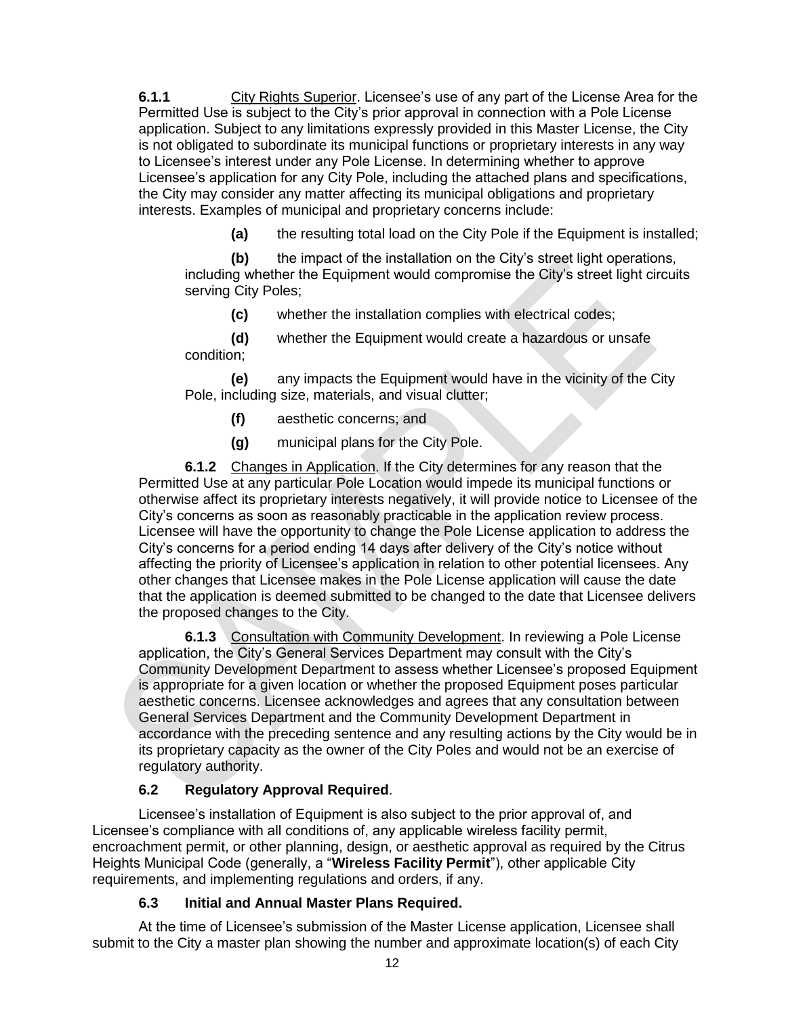**6.1.1** City Rights Superior. Licensee's use of any part of the License Area for the Permitted Use is subject to the City's prior approval in connection with a Pole License application. Subject to any limitations expressly provided in this Master License, the City is not obligated to subordinate its municipal functions or proprietary interests in any way to Licensee's interest under any Pole License. In determining whether to approve Licensee's application for any City Pole, including the attached plans and specifications, the City may consider any matter affecting its municipal obligations and proprietary interests. Examples of municipal and proprietary concerns include:

**(a)** the resulting total load on the City Pole if the Equipment is installed;

**(b)** the impact of the installation on the City's street light operations, including whether the Equipment would compromise the City's street light circuits serving City Poles;

**(c)** whether the installation complies with electrical codes;

**(d)** whether the Equipment would create a hazardous or unsafe condition;

**(e)** any impacts the Equipment would have in the vicinity of the City Pole, including size, materials, and visual clutter;

- **(f)** aesthetic concerns; and
- **(g)** municipal plans for the City Pole.

**6.1.2** Changes in Application. If the City determines for any reason that the Permitted Use at any particular Pole Location would impede its municipal functions or otherwise affect its proprietary interests negatively, it will provide notice to Licensee of the City's concerns as soon as reasonably practicable in the application review process. Licensee will have the opportunity to change the Pole License application to address the City's concerns for a period ending 14 days after delivery of the City's notice without affecting the priority of Licensee's application in relation to other potential licensees. Any other changes that Licensee makes in the Pole License application will cause the date that the application is deemed submitted to be changed to the date that Licensee delivers the proposed changes to the City.

**6.1.3** Consultation with Community Development. In reviewing a Pole License application, the City's General Services Department may consult with the City's Community Development Department to assess whether Licensee's proposed Equipment is appropriate for a given location or whether the proposed Equipment poses particular aesthetic concerns. Licensee acknowledges and agrees that any consultation between General Services Department and the Community Development Department in accordance with the preceding sentence and any resulting actions by the City would be in its proprietary capacity as the owner of the City Poles and would not be an exercise of regulatory authority.

### **6.2 Regulatory Approval Required**.

Licensee's installation of Equipment is also subject to the prior approval of, and Licensee's compliance with all conditions of, any applicable wireless facility permit, encroachment permit, or other planning, design, or aesthetic approval as required by the Citrus Heights Municipal Code (generally, a "**Wireless Facility Permit**"), other applicable City requirements, and implementing regulations and orders, if any.

### **6.3 Initial and Annual Master Plans Required.**

At the time of Licensee's submission of the Master License application, Licensee shall submit to the City a master plan showing the number and approximate location(s) of each City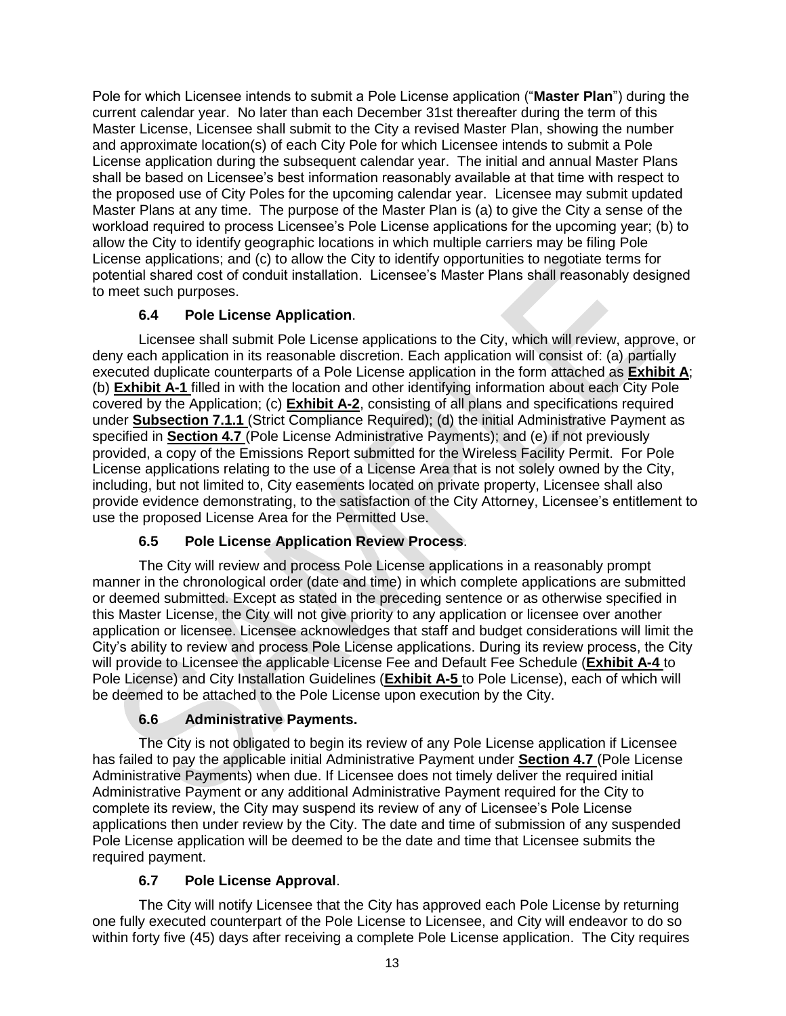Pole for which Licensee intends to submit a Pole License application ("**Master Plan**") during the current calendar year. No later than each December 31st thereafter during the term of this Master License, Licensee shall submit to the City a revised Master Plan, showing the number and approximate location(s) of each City Pole for which Licensee intends to submit a Pole License application during the subsequent calendar year. The initial and annual Master Plans shall be based on Licensee's best information reasonably available at that time with respect to the proposed use of City Poles for the upcoming calendar year. Licensee may submit updated Master Plans at any time. The purpose of the Master Plan is (a) to give the City a sense of the workload required to process Licensee's Pole License applications for the upcoming year; (b) to allow the City to identify geographic locations in which multiple carriers may be filing Pole License applications; and (c) to allow the City to identify opportunities to negotiate terms for potential shared cost of conduit installation. Licensee's Master Plans shall reasonably designed to meet such purposes.

## **6.4 Pole License Application**.

Licensee shall submit Pole License applications to the City, which will review, approve, or deny each application in its reasonable discretion. Each application will consist of: (a) partially executed duplicate counterparts of a Pole License application in the form attached as **Exhibit A**; (b) **Exhibit A-1** filled in with the location and other identifying information about each City Pole covered by the Application; (c) **Exhibit A-2**, consisting of all plans and specifications required under **Subsection 7.1.1** (Strict Compliance Required); (d) the initial Administrative Payment as specified in **Section 4.7** (Pole License Administrative Payments); and (e) if not previously provided, a copy of the Emissions Report submitted for the Wireless Facility Permit. For Pole License applications relating to the use of a License Area that is not solely owned by the City, including, but not limited to, City easements located on private property, Licensee shall also provide evidence demonstrating, to the satisfaction of the City Attorney, Licensee's entitlement to use the proposed License Area for the Permitted Use.

## **6.5 Pole License Application Review Process**.

The City will review and process Pole License applications in a reasonably prompt manner in the chronological order (date and time) in which complete applications are submitted or deemed submitted. Except as stated in the preceding sentence or as otherwise specified in this Master License, the City will not give priority to any application or licensee over another application or licensee. Licensee acknowledges that staff and budget considerations will limit the City's ability to review and process Pole License applications. During its review process, the City will provide to Licensee the applicable License Fee and Default Fee Schedule (**Exhibit A-4** to Pole License) and City Installation Guidelines (**Exhibit A-5** to Pole License), each of which will be deemed to be attached to the Pole License upon execution by the City.

## **6.6 Administrative Payments.**

The City is not obligated to begin its review of any Pole License application if Licensee has failed to pay the applicable initial Administrative Payment under **Section 4.7** (Pole License Administrative Payments) when due. If Licensee does not timely deliver the required initial Administrative Payment or any additional Administrative Payment required for the City to complete its review, the City may suspend its review of any of Licensee's Pole License applications then under review by the City. The date and time of submission of any suspended Pole License application will be deemed to be the date and time that Licensee submits the required payment.

## **6.7 Pole License Approval**.

The City will notify Licensee that the City has approved each Pole License by returning one fully executed counterpart of the Pole License to Licensee, and City will endeavor to do so within forty five (45) days after receiving a complete Pole License application. The City requires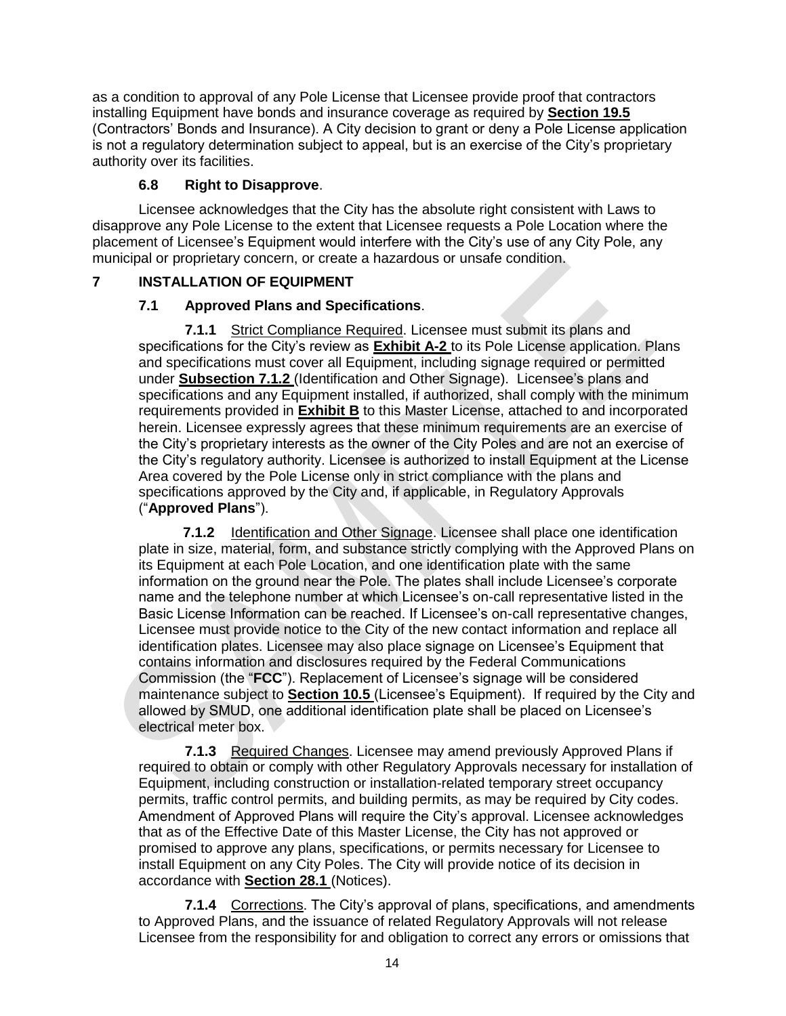as a condition to approval of any Pole License that Licensee provide proof that contractors installing Equipment have bonds and insurance coverage as required by **Section 19.5** (Contractors' Bonds and Insurance). A City decision to grant or deny a Pole License application is not a regulatory determination subject to appeal, but is an exercise of the City's proprietary authority over its facilities.

### **6.8 Right to Disapprove**.

Licensee acknowledges that the City has the absolute right consistent with Laws to disapprove any Pole License to the extent that Licensee requests a Pole Location where the placement of Licensee's Equipment would interfere with the City's use of any City Pole, any municipal or proprietary concern, or create a hazardous or unsafe condition.

## **7 INSTALLATION OF EQUIPMENT**

## **7.1 Approved Plans and Specifications**.

**7.1.1** Strict Compliance Required. Licensee must submit its plans and specifications for the City's review as **Exhibit A-2** to its Pole License application. Plans and specifications must cover all Equipment, including signage required or permitted under **Subsection 7.1.2** (Identification and Other Signage). Licensee's plans and specifications and any Equipment installed, if authorized, shall comply with the minimum requirements provided in **Exhibit B** to this Master License, attached to and incorporated herein. Licensee expressly agrees that these minimum requirements are an exercise of the City's proprietary interests as the owner of the City Poles and are not an exercise of the City's regulatory authority. Licensee is authorized to install Equipment at the License Area covered by the Pole License only in strict compliance with the plans and specifications approved by the City and, if applicable, in Regulatory Approvals ("**Approved Plans**").

**7.1.2** Identification and Other Signage. Licensee shall place one identification plate in size, material, form, and substance strictly complying with the Approved Plans on its Equipment at each Pole Location, and one identification plate with the same information on the ground near the Pole. The plates shall include Licensee's corporate name and the telephone number at which Licensee's on-call representative listed in the Basic License Information can be reached. If Licensee's on-call representative changes, Licensee must provide notice to the City of the new contact information and replace all identification plates. Licensee may also place signage on Licensee's Equipment that contains information and disclosures required by the Federal Communications Commission (the "**FCC**"). Replacement of Licensee's signage will be considered maintenance subject to **Section 10.5** (Licensee's Equipment). If required by the City and allowed by SMUD, one additional identification plate shall be placed on Licensee's electrical meter box.

**7.1.3** Required Changes. Licensee may amend previously Approved Plans if required to obtain or comply with other Regulatory Approvals necessary for installation of Equipment, including construction or installation-related temporary street occupancy permits, traffic control permits, and building permits, as may be required by City codes. Amendment of Approved Plans will require the City's approval. Licensee acknowledges that as of the Effective Date of this Master License, the City has not approved or promised to approve any plans, specifications, or permits necessary for Licensee to install Equipment on any City Poles. The City will provide notice of its decision in accordance with **Section 28.1** (Notices).

**7.1.4** Corrections. The City's approval of plans, specifications, and amendments to Approved Plans, and the issuance of related Regulatory Approvals will not release Licensee from the responsibility for and obligation to correct any errors or omissions that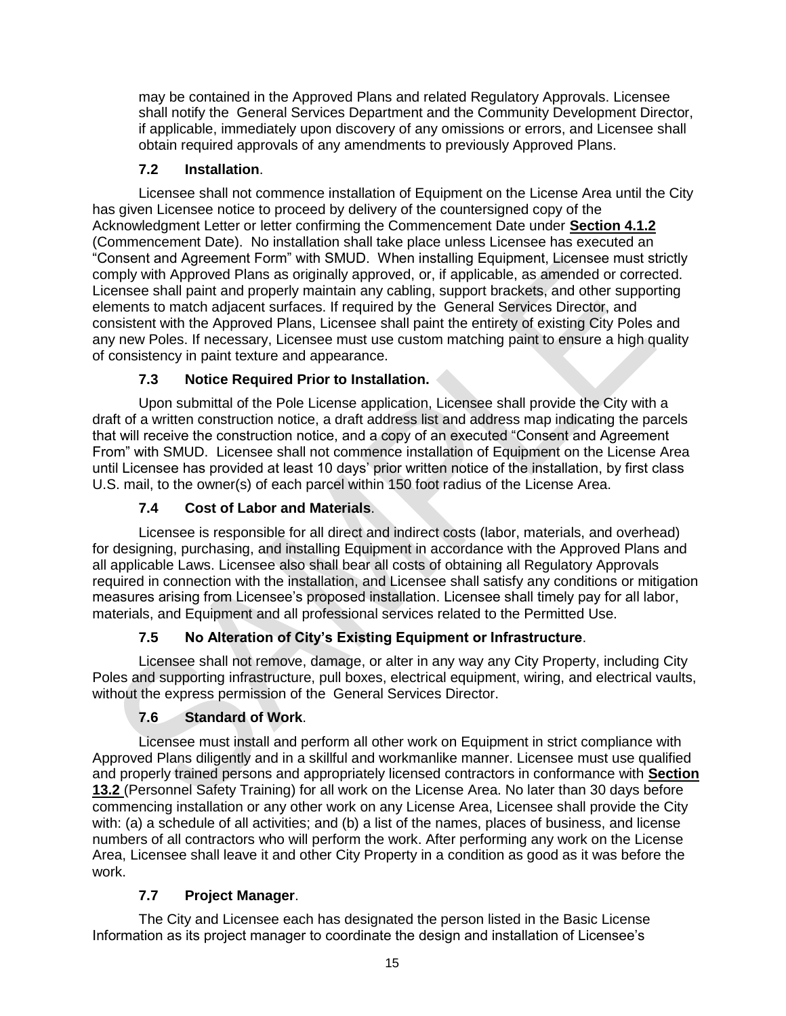may be contained in the Approved Plans and related Regulatory Approvals. Licensee shall notify the General Services Department and the Community Development Director, if applicable, immediately upon discovery of any omissions or errors, and Licensee shall obtain required approvals of any amendments to previously Approved Plans.

## **7.2 Installation**.

Licensee shall not commence installation of Equipment on the License Area until the City has given Licensee notice to proceed by delivery of the countersigned copy of the Acknowledgment Letter or letter confirming the Commencement Date under **Section 4.1.2** (Commencement Date). No installation shall take place unless Licensee has executed an "Consent and Agreement Form" with SMUD. When installing Equipment, Licensee must strictly comply with Approved Plans as originally approved, or, if applicable, as amended or corrected. Licensee shall paint and properly maintain any cabling, support brackets, and other supporting elements to match adjacent surfaces. If required by the General Services Director, and consistent with the Approved Plans, Licensee shall paint the entirety of existing City Poles and any new Poles. If necessary, Licensee must use custom matching paint to ensure a high quality of consistency in paint texture and appearance.

## **7.3 Notice Required Prior to Installation.**

Upon submittal of the Pole License application, Licensee shall provide the City with a draft of a written construction notice, a draft address list and address map indicating the parcels that will receive the construction notice, and a copy of an executed "Consent and Agreement From" with SMUD. Licensee shall not commence installation of Equipment on the License Area until Licensee has provided at least 10 days' prior written notice of the installation, by first class U.S. mail, to the owner(s) of each parcel within 150 foot radius of the License Area.

## **7.4 Cost of Labor and Materials**.

Licensee is responsible for all direct and indirect costs (labor, materials, and overhead) for designing, purchasing, and installing Equipment in accordance with the Approved Plans and all applicable Laws. Licensee also shall bear all costs of obtaining all Regulatory Approvals required in connection with the installation, and Licensee shall satisfy any conditions or mitigation measures arising from Licensee's proposed installation. Licensee shall timely pay for all labor, materials, and Equipment and all professional services related to the Permitted Use.

## **7.5 No Alteration of City's Existing Equipment or Infrastructure**.

Licensee shall not remove, damage, or alter in any way any City Property, including City Poles and supporting infrastructure, pull boxes, electrical equipment, wiring, and electrical vaults, without the express permission of the General Services Director.

## **7.6 Standard of Work**.

Licensee must install and perform all other work on Equipment in strict compliance with Approved Plans diligently and in a skillful and workmanlike manner. Licensee must use qualified and properly trained persons and appropriately licensed contractors in conformance with **Section 13.2** (Personnel Safety Training) for all work on the License Area. No later than 30 days before commencing installation or any other work on any License Area, Licensee shall provide the City with: (a) a schedule of all activities; and (b) a list of the names, places of business, and license numbers of all contractors who will perform the work. After performing any work on the License Area, Licensee shall leave it and other City Property in a condition as good as it was before the work.

## **7.7 Project Manager**.

The City and Licensee each has designated the person listed in the Basic License Information as its project manager to coordinate the design and installation of Licensee's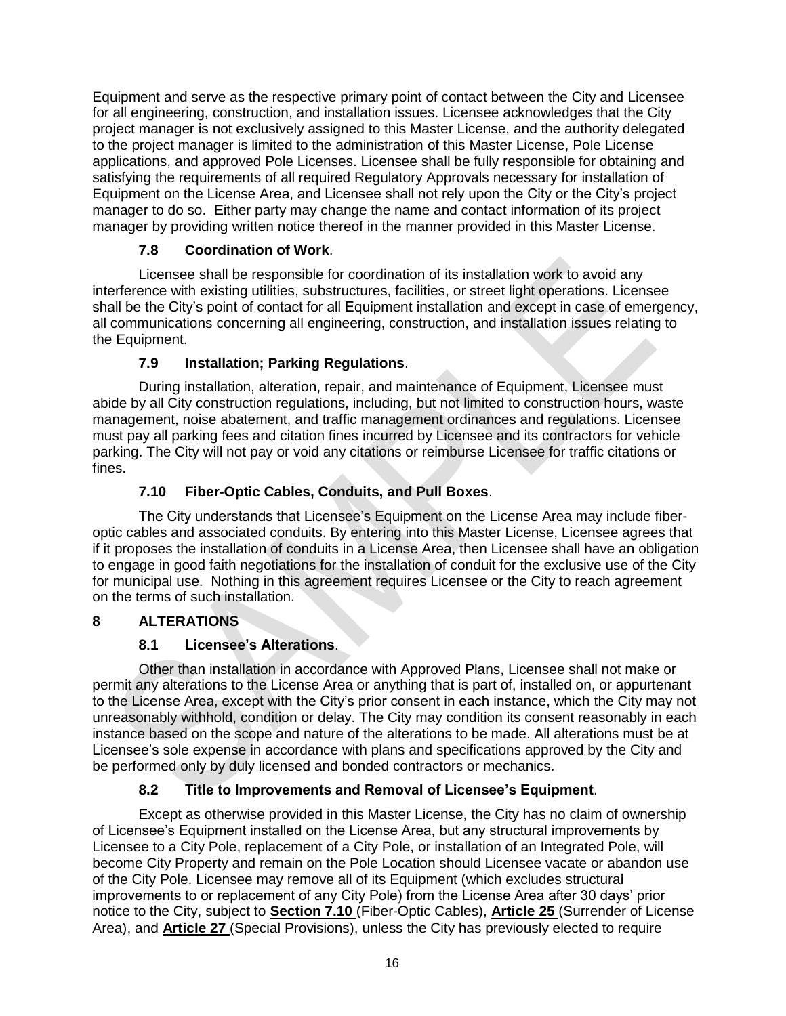Equipment and serve as the respective primary point of contact between the City and Licensee for all engineering, construction, and installation issues. Licensee acknowledges that the City project manager is not exclusively assigned to this Master License, and the authority delegated to the project manager is limited to the administration of this Master License, Pole License applications, and approved Pole Licenses. Licensee shall be fully responsible for obtaining and satisfying the requirements of all required Regulatory Approvals necessary for installation of Equipment on the License Area, and Licensee shall not rely upon the City or the City's project manager to do so. Either party may change the name and contact information of its project manager by providing written notice thereof in the manner provided in this Master License.

## **7.8 Coordination of Work**.

Licensee shall be responsible for coordination of its installation work to avoid any interference with existing utilities, substructures, facilities, or street light operations. Licensee shall be the City's point of contact for all Equipment installation and except in case of emergency, all communications concerning all engineering, construction, and installation issues relating to the Equipment.

# **7.9 Installation; Parking Regulations**.

During installation, alteration, repair, and maintenance of Equipment, Licensee must abide by all City construction regulations, including, but not limited to construction hours, waste management, noise abatement, and traffic management ordinances and regulations. Licensee must pay all parking fees and citation fines incurred by Licensee and its contractors for vehicle parking. The City will not pay or void any citations or reimburse Licensee for traffic citations or fines.

# **7.10 Fiber-Optic Cables, Conduits, and Pull Boxes**.

The City understands that Licensee's Equipment on the License Area may include fiberoptic cables and associated conduits. By entering into this Master License, Licensee agrees that if it proposes the installation of conduits in a License Area, then Licensee shall have an obligation to engage in good faith negotiations for the installation of conduit for the exclusive use of the City for municipal use. Nothing in this agreement requires Licensee or the City to reach agreement on the terms of such installation.

# **8 ALTERATIONS**

# **8.1 Licensee's Alterations**.

Other than installation in accordance with Approved Plans, Licensee shall not make or permit any alterations to the License Area or anything that is part of, installed on, or appurtenant to the License Area, except with the City's prior consent in each instance, which the City may not unreasonably withhold, condition or delay. The City may condition its consent reasonably in each instance based on the scope and nature of the alterations to be made. All alterations must be at Licensee's sole expense in accordance with plans and specifications approved by the City and be performed only by duly licensed and bonded contractors or mechanics.

# **8.2 Title to Improvements and Removal of Licensee's Equipment**.

Except as otherwise provided in this Master License, the City has no claim of ownership of Licensee's Equipment installed on the License Area, but any structural improvements by Licensee to a City Pole, replacement of a City Pole, or installation of an Integrated Pole, will become City Property and remain on the Pole Location should Licensee vacate or abandon use of the City Pole. Licensee may remove all of its Equipment (which excludes structural improvements to or replacement of any City Pole) from the License Area after 30 days' prior notice to the City, subject to **Section 7.10** (Fiber-Optic Cables), **Article 25** (Surrender of License Area), and **Article 27** (Special Provisions), unless the City has previously elected to require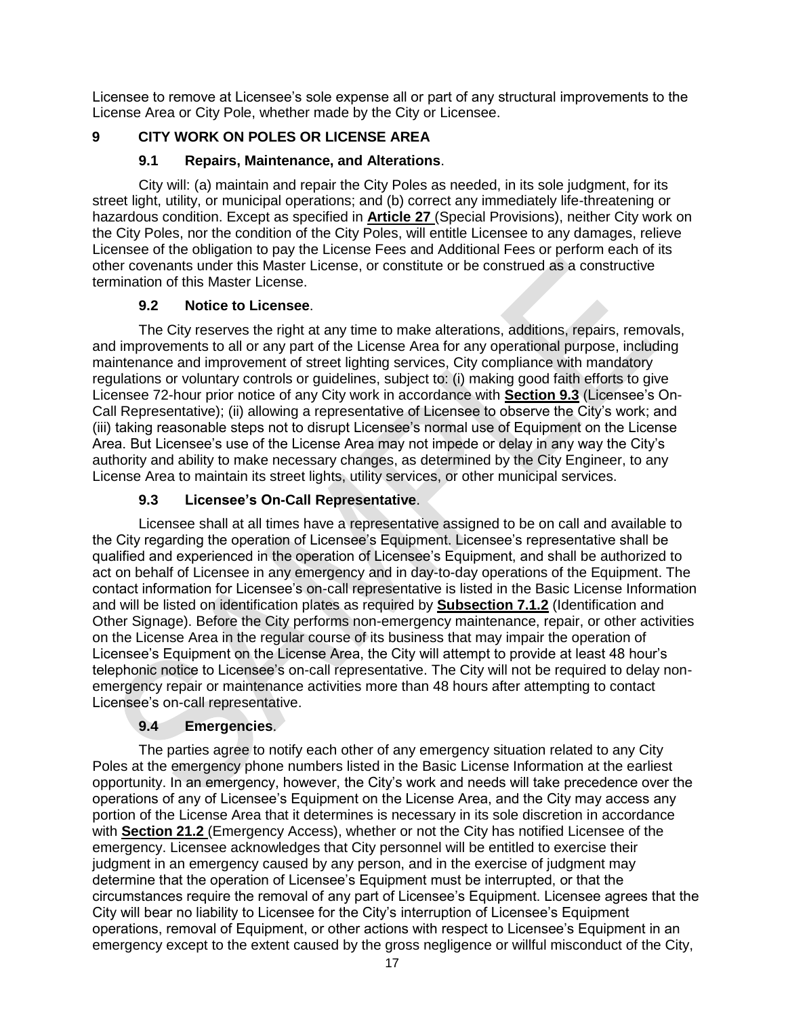Licensee to remove at Licensee's sole expense all or part of any structural improvements to the License Area or City Pole, whether made by the City or Licensee.

## **9 CITY WORK ON POLES OR LICENSE AREA**

### **9.1 Repairs, Maintenance, and Alterations**.

City will: (a) maintain and repair the City Poles as needed, in its sole judgment, for its street light, utility, or municipal operations; and (b) correct any immediately life-threatening or hazardous condition. Except as specified in **Article 27** (Special Provisions), neither City work on the City Poles, nor the condition of the City Poles, will entitle Licensee to any damages, relieve Licensee of the obligation to pay the License Fees and Additional Fees or perform each of its other covenants under this Master License, or constitute or be construed as a constructive termination of this Master License.

## **9.2 Notice to Licensee**.

The City reserves the right at any time to make alterations, additions, repairs, removals, and improvements to all or any part of the License Area for any operational purpose, including maintenance and improvement of street lighting services, City compliance with mandatory regulations or voluntary controls or guidelines, subject to: (i) making good faith efforts to give Licensee 72-hour prior notice of any City work in accordance with **Section 9.3** (Licensee's On-Call Representative); (ii) allowing a representative of Licensee to observe the City's work; and (iii) taking reasonable steps not to disrupt Licensee's normal use of Equipment on the License Area. But Licensee's use of the License Area may not impede or delay in any way the City's authority and ability to make necessary changes, as determined by the City Engineer, to any License Area to maintain its street lights, utility services, or other municipal services.

## **9.3 Licensee's On-Call Representative**.

Licensee shall at all times have a representative assigned to be on call and available to the City regarding the operation of Licensee's Equipment. Licensee's representative shall be qualified and experienced in the operation of Licensee's Equipment, and shall be authorized to act on behalf of Licensee in any emergency and in day-to-day operations of the Equipment. The contact information for Licensee's on-call representative is listed in the Basic License Information and will be listed on identification plates as required by **Subsection 7.1.2** (Identification and Other Signage). Before the City performs non-emergency maintenance, repair, or other activities on the License Area in the regular course of its business that may impair the operation of Licensee's Equipment on the License Area, the City will attempt to provide at least 48 hour's telephonic notice to Licensee's on-call representative. The City will not be required to delay nonemergency repair or maintenance activities more than 48 hours after attempting to contact Licensee's on-call representative.

## **9.4 Emergencies**.

The parties agree to notify each other of any emergency situation related to any City Poles at the emergency phone numbers listed in the Basic License Information at the earliest opportunity. In an emergency, however, the City's work and needs will take precedence over the operations of any of Licensee's Equipment on the License Area, and the City may access any portion of the License Area that it determines is necessary in its sole discretion in accordance with **Section 21.2** (Emergency Access), whether or not the City has notified Licensee of the emergency. Licensee acknowledges that City personnel will be entitled to exercise their judgment in an emergency caused by any person, and in the exercise of judgment may determine that the operation of Licensee's Equipment must be interrupted, or that the circumstances require the removal of any part of Licensee's Equipment. Licensee agrees that the City will bear no liability to Licensee for the City's interruption of Licensee's Equipment operations, removal of Equipment, or other actions with respect to Licensee's Equipment in an emergency except to the extent caused by the gross negligence or willful misconduct of the City,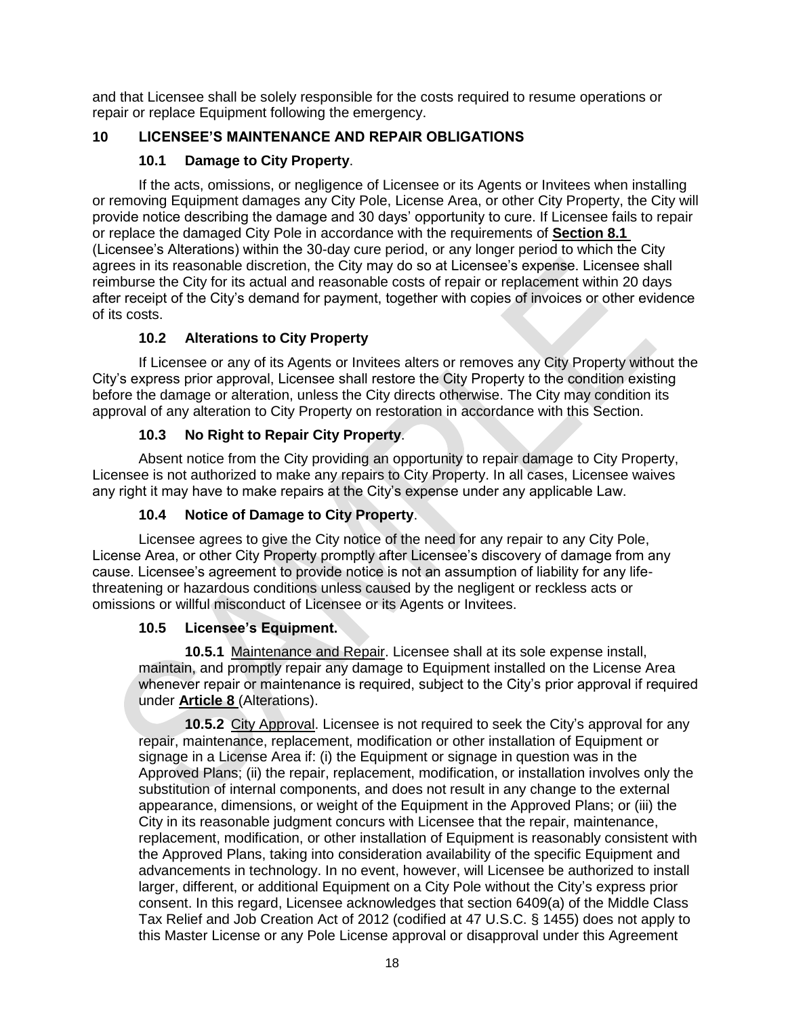and that Licensee shall be solely responsible for the costs required to resume operations or repair or replace Equipment following the emergency.

## **10 LICENSEE'S MAINTENANCE AND REPAIR OBLIGATIONS**

## **10.1 Damage to City Property**.

If the acts, omissions, or negligence of Licensee or its Agents or Invitees when installing or removing Equipment damages any City Pole, License Area, or other City Property, the City will provide notice describing the damage and 30 days' opportunity to cure. If Licensee fails to repair or replace the damaged City Pole in accordance with the requirements of **Section 8.1**  (Licensee's Alterations) within the 30-day cure period, or any longer period to which the City agrees in its reasonable discretion, the City may do so at Licensee's expense. Licensee shall reimburse the City for its actual and reasonable costs of repair or replacement within 20 days after receipt of the City's demand for payment, together with copies of invoices or other evidence of its costs.

## **10.2 Alterations to City Property**

If Licensee or any of its Agents or Invitees alters or removes any City Property without the City's express prior approval, Licensee shall restore the City Property to the condition existing before the damage or alteration, unless the City directs otherwise. The City may condition its approval of any alteration to City Property on restoration in accordance with this Section.

## **10.3 No Right to Repair City Property**.

Absent notice from the City providing an opportunity to repair damage to City Property, Licensee is not authorized to make any repairs to City Property. In all cases, Licensee waives any right it may have to make repairs at the City's expense under any applicable Law.

### **10.4 Notice of Damage to City Property**.

Licensee agrees to give the City notice of the need for any repair to any City Pole, License Area, or other City Property promptly after Licensee's discovery of damage from any cause. Licensee's agreement to provide notice is not an assumption of liability for any lifethreatening or hazardous conditions unless caused by the negligent or reckless acts or omissions or willful misconduct of Licensee or its Agents or Invitees.

### **10.5 Licensee's Equipment.**

**10.5.1** Maintenance and Repair. Licensee shall at its sole expense install, maintain, and promptly repair any damage to Equipment installed on the License Area whenever repair or maintenance is required, subject to the City's prior approval if required under **Article 8** (Alterations).

**10.5.2** City Approval. Licensee is not required to seek the City's approval for any repair, maintenance, replacement, modification or other installation of Equipment or signage in a License Area if: (i) the Equipment or signage in question was in the Approved Plans; (ii) the repair, replacement, modification, or installation involves only the substitution of internal components, and does not result in any change to the external appearance, dimensions, or weight of the Equipment in the Approved Plans; or (iii) the City in its reasonable judgment concurs with Licensee that the repair, maintenance, replacement, modification, or other installation of Equipment is reasonably consistent with the Approved Plans, taking into consideration availability of the specific Equipment and advancements in technology. In no event, however, will Licensee be authorized to install larger, different, or additional Equipment on a City Pole without the City's express prior consent. In this regard, Licensee acknowledges that section 6409(a) of the Middle Class Tax Relief and Job Creation Act of 2012 (codified at 47 U.S.C. § 1455) does not apply to this Master License or any Pole License approval or disapproval under this Agreement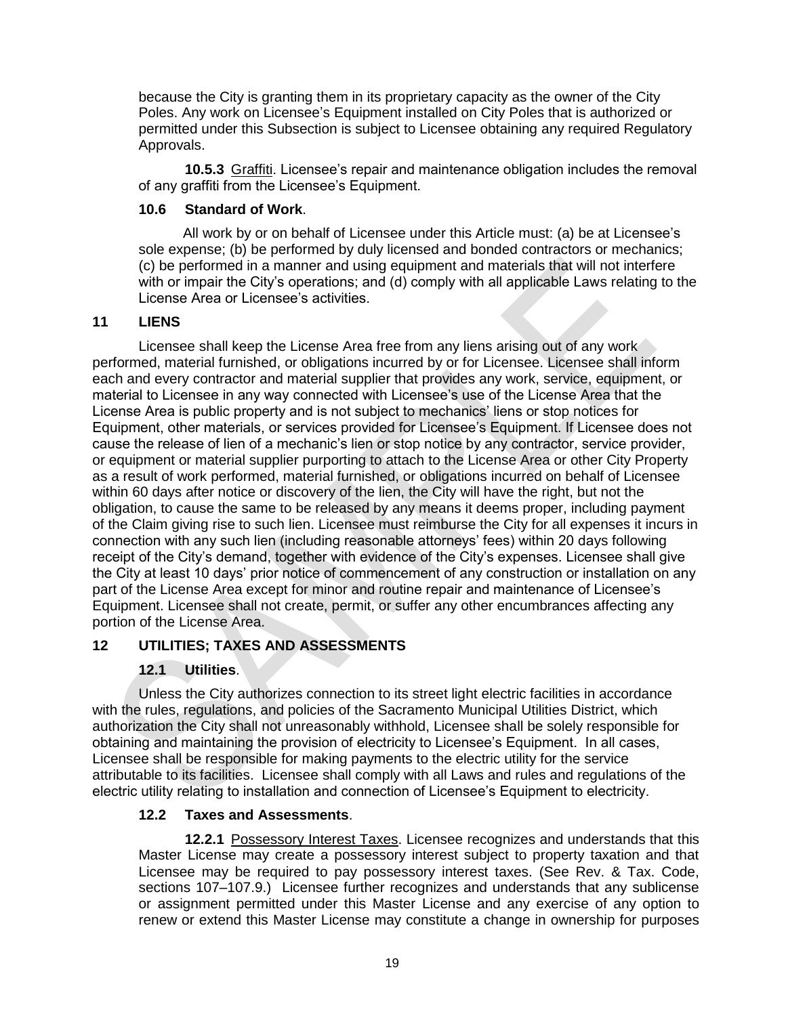because the City is granting them in its proprietary capacity as the owner of the City Poles. Any work on Licensee's Equipment installed on City Poles that is authorized or permitted under this Subsection is subject to Licensee obtaining any required Regulatory Approvals.

**10.5.3** Graffiti. Licensee's repair and maintenance obligation includes the removal of any graffiti from the Licensee's Equipment.

### **10.6 Standard of Work**.

All work by or on behalf of Licensee under this Article must: (a) be at Licensee's sole expense; (b) be performed by duly licensed and bonded contractors or mechanics; (c) be performed in a manner and using equipment and materials that will not interfere with or impair the City's operations; and (d) comply with all applicable Laws relating to the License Area or Licensee's activities.

### **11 LIENS**

Licensee shall keep the License Area free from any liens arising out of any work performed, material furnished, or obligations incurred by or for Licensee. Licensee shall inform each and every contractor and material supplier that provides any work, service, equipment, or material to Licensee in any way connected with Licensee's use of the License Area that the License Area is public property and is not subject to mechanics' liens or stop notices for Equipment, other materials, or services provided for Licensee's Equipment. If Licensee does not cause the release of lien of a mechanic's lien or stop notice by any contractor, service provider, or equipment or material supplier purporting to attach to the License Area or other City Property as a result of work performed, material furnished, or obligations incurred on behalf of Licensee within 60 days after notice or discovery of the lien, the City will have the right, but not the obligation, to cause the same to be released by any means it deems proper, including payment of the Claim giving rise to such lien. Licensee must reimburse the City for all expenses it incurs in connection with any such lien (including reasonable attorneys' fees) within 20 days following receipt of the City's demand, together with evidence of the City's expenses. Licensee shall give the City at least 10 days' prior notice of commencement of any construction or installation on any part of the License Area except for minor and routine repair and maintenance of Licensee's Equipment. Licensee shall not create, permit, or suffer any other encumbrances affecting any portion of the License Area.

### **12 UTILITIES; TAXES AND ASSESSMENTS**

## **12.1 Utilities**.

Unless the City authorizes connection to its street light electric facilities in accordance with the rules, regulations, and policies of the Sacramento Municipal Utilities District, which authorization the City shall not unreasonably withhold, Licensee shall be solely responsible for obtaining and maintaining the provision of electricity to Licensee's Equipment. In all cases, Licensee shall be responsible for making payments to the electric utility for the service attributable to its facilities. Licensee shall comply with all Laws and rules and regulations of the electric utility relating to installation and connection of Licensee's Equipment to electricity.

### **12.2 Taxes and Assessments**.

**12.2.1** Possessory Interest Taxes. Licensee recognizes and understands that this Master License may create a possessory interest subject to property taxation and that Licensee may be required to pay possessory interest taxes. (See Rev. & Tax. Code, sections 107–107.9.) Licensee further recognizes and understands that any sublicense or assignment permitted under this Master License and any exercise of any option to renew or extend this Master License may constitute a change in ownership for purposes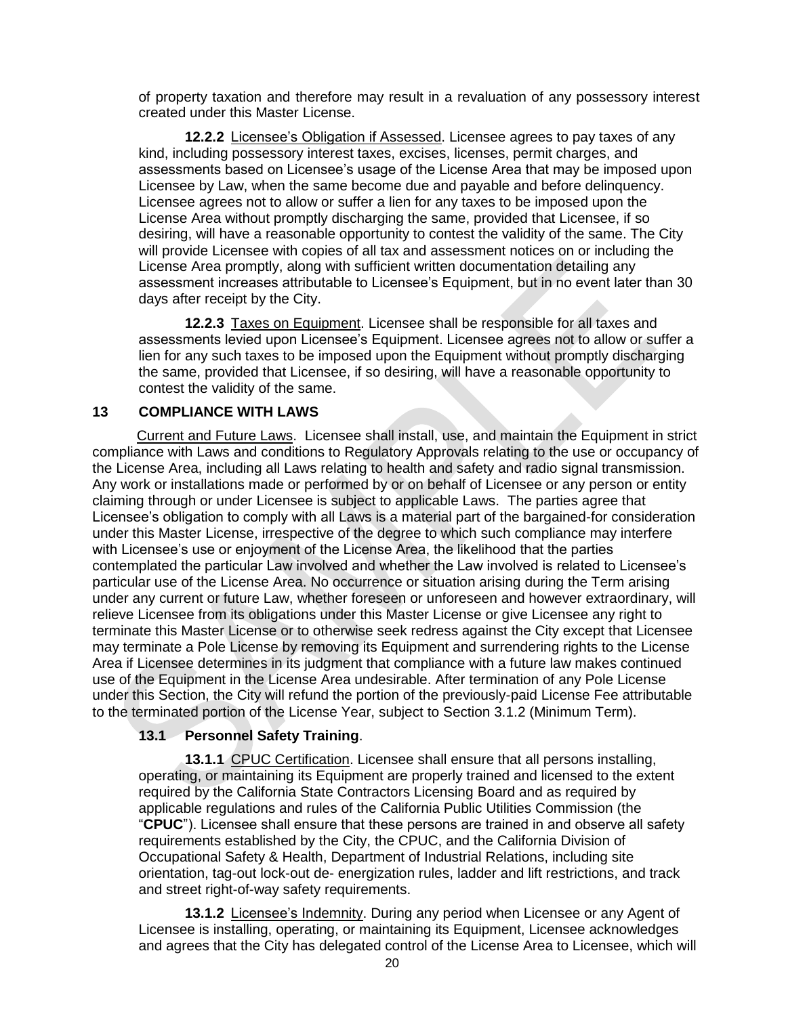of property taxation and therefore may result in a revaluation of any possessory interest created under this Master License.

**12.2.2** Licensee's Obligation if Assessed. Licensee agrees to pay taxes of any kind, including possessory interest taxes, excises, licenses, permit charges, and assessments based on Licensee's usage of the License Area that may be imposed upon Licensee by Law, when the same become due and payable and before delinquency. Licensee agrees not to allow or suffer a lien for any taxes to be imposed upon the License Area without promptly discharging the same, provided that Licensee, if so desiring, will have a reasonable opportunity to contest the validity of the same. The City will provide Licensee with copies of all tax and assessment notices on or including the License Area promptly, along with sufficient written documentation detailing any assessment increases attributable to Licensee's Equipment, but in no event later than 30 days after receipt by the City.

**12.2.3** Taxes on Equipment. Licensee shall be responsible for all taxes and assessments levied upon Licensee's Equipment. Licensee agrees not to allow or suffer a lien for any such taxes to be imposed upon the Equipment without promptly discharging the same, provided that Licensee, if so desiring, will have a reasonable opportunity to contest the validity of the same.

#### **13 COMPLIANCE WITH LAWS**

Current and Future Laws. Licensee shall install, use, and maintain the Equipment in strict compliance with Laws and conditions to Regulatory Approvals relating to the use or occupancy of the License Area, including all Laws relating to health and safety and radio signal transmission. Any work or installations made or performed by or on behalf of Licensee or any person or entity claiming through or under Licensee is subject to applicable Laws. The parties agree that Licensee's obligation to comply with all Laws is a material part of the bargained-for consideration under this Master License, irrespective of the degree to which such compliance may interfere with Licensee's use or enjoyment of the License Area, the likelihood that the parties contemplated the particular Law involved and whether the Law involved is related to Licensee's particular use of the License Area. No occurrence or situation arising during the Term arising under any current or future Law, whether foreseen or unforeseen and however extraordinary, will relieve Licensee from its obligations under this Master License or give Licensee any right to terminate this Master License or to otherwise seek redress against the City except that Licensee may terminate a Pole License by removing its Equipment and surrendering rights to the License Area if Licensee determines in its judgment that compliance with a future law makes continued use of the Equipment in the License Area undesirable. After termination of any Pole License under this Section, the City will refund the portion of the previously-paid License Fee attributable to the terminated portion of the License Year, subject to Section 3.1.2 (Minimum Term).

### **13.1 Personnel Safety Training**.

**13.1.1** CPUC Certification. Licensee shall ensure that all persons installing, operating, or maintaining its Equipment are properly trained and licensed to the extent required by the California State Contractors Licensing Board and as required by applicable regulations and rules of the California Public Utilities Commission (the "**CPUC**"). Licensee shall ensure that these persons are trained in and observe all safety requirements established by the City, the CPUC, and the California Division of Occupational Safety & Health, Department of Industrial Relations, including site orientation, tag-out lock-out de- energization rules, ladder and lift restrictions, and track and street right-of-way safety requirements.

**13.1.2** Licensee's Indemnity. During any period when Licensee or any Agent of Licensee is installing, operating, or maintaining its Equipment, Licensee acknowledges and agrees that the City has delegated control of the License Area to Licensee, which will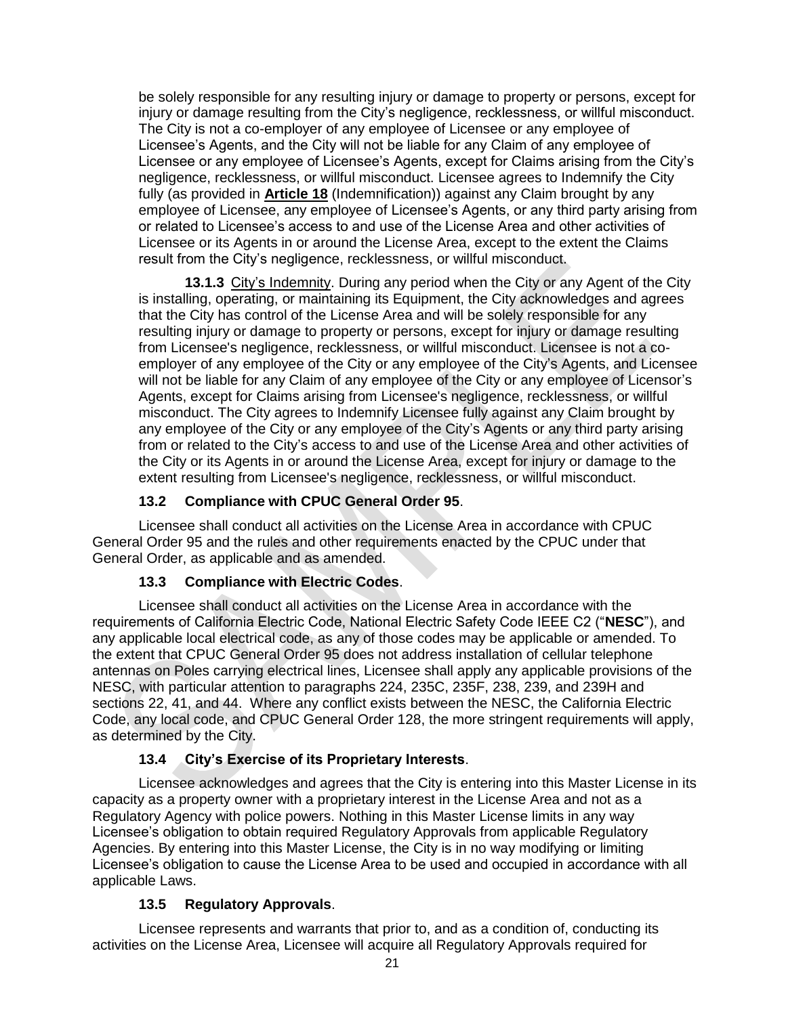be solely responsible for any resulting injury or damage to property or persons, except for injury or damage resulting from the City's negligence, recklessness, or willful misconduct. The City is not a co-employer of any employee of Licensee or any employee of Licensee's Agents, and the City will not be liable for any Claim of any employee of Licensee or any employee of Licensee's Agents, except for Claims arising from the City's negligence, recklessness, or willful misconduct. Licensee agrees to Indemnify the City fully (as provided in **Article 18** (Indemnification)) against any Claim brought by any employee of Licensee, any employee of Licensee's Agents, or any third party arising from or related to Licensee's access to and use of the License Area and other activities of Licensee or its Agents in or around the License Area, except to the extent the Claims result from the City's negligence, recklessness, or willful misconduct.

**13.1.3** City's Indemnity. During any period when the City or any Agent of the City is installing, operating, or maintaining its Equipment, the City acknowledges and agrees that the City has control of the License Area and will be solely responsible for any resulting injury or damage to property or persons, except for injury or damage resulting from Licensee's negligence, recklessness, or willful misconduct. Licensee is not a coemployer of any employee of the City or any employee of the City's Agents, and Licensee will not be liable for any Claim of any employee of the City or any employee of Licensor's Agents, except for Claims arising from Licensee's negligence, recklessness, or willful misconduct. The City agrees to Indemnify Licensee fully against any Claim brought by any employee of the City or any employee of the City's Agents or any third party arising from or related to the City's access to and use of the License Area and other activities of the City or its Agents in or around the License Area, except for injury or damage to the extent resulting from Licensee's negligence, recklessness, or willful misconduct.

## **13.2 Compliance with CPUC General Order 95**.

Licensee shall conduct all activities on the License Area in accordance with CPUC General Order 95 and the rules and other requirements enacted by the CPUC under that General Order, as applicable and as amended.

### **13.3 Compliance with Electric Codes**.

Licensee shall conduct all activities on the License Area in accordance with the requirements of California Electric Code, National Electric Safety Code IEEE C2 ("**NESC**"), and any applicable local electrical code, as any of those codes may be applicable or amended. To the extent that CPUC General Order 95 does not address installation of cellular telephone antennas on Poles carrying electrical lines, Licensee shall apply any applicable provisions of the NESC, with particular attention to paragraphs 224, 235C, 235F, 238, 239, and 239H and sections 22, 41, and 44. Where any conflict exists between the NESC, the California Electric Code, any local code, and CPUC General Order 128, the more stringent requirements will apply, as determined by the City.

### **13.4 City's Exercise of its Proprietary Interests**.

Licensee acknowledges and agrees that the City is entering into this Master License in its capacity as a property owner with a proprietary interest in the License Area and not as a Regulatory Agency with police powers. Nothing in this Master License limits in any way Licensee's obligation to obtain required Regulatory Approvals from applicable Regulatory Agencies. By entering into this Master License, the City is in no way modifying or limiting Licensee's obligation to cause the License Area to be used and occupied in accordance with all applicable Laws.

### **13.5 Regulatory Approvals**.

Licensee represents and warrants that prior to, and as a condition of, conducting its activities on the License Area, Licensee will acquire all Regulatory Approvals required for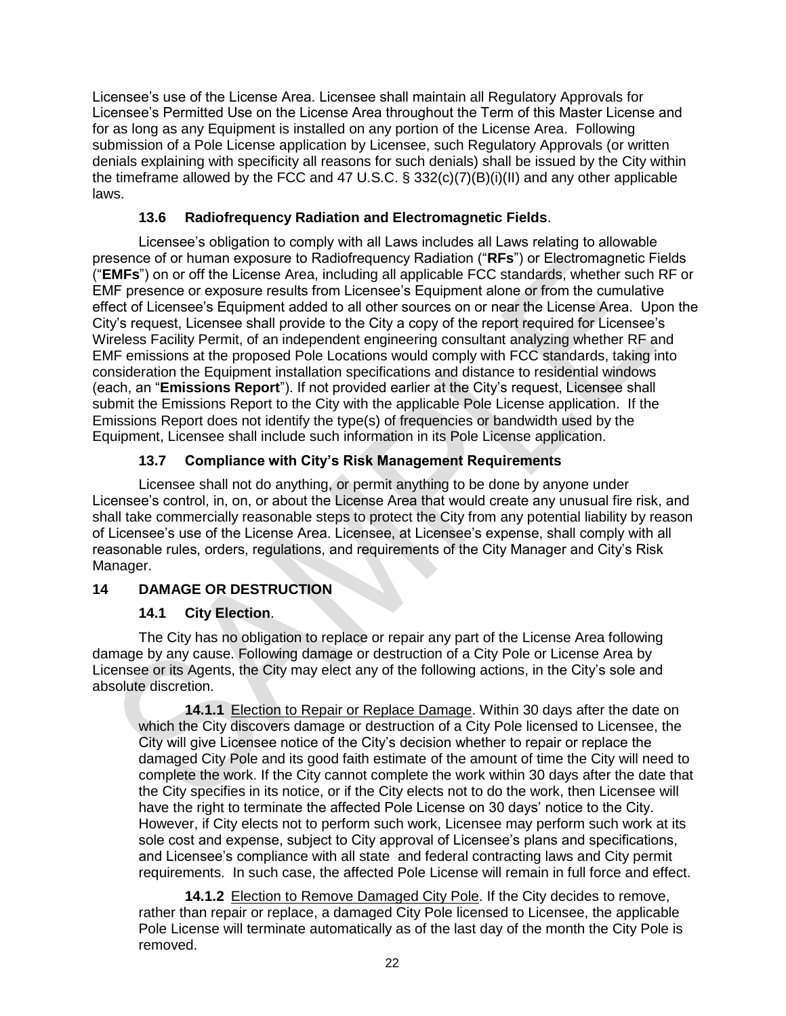Licensee's use of the License Area. Licensee shall maintain all Regulatory Approvals for Licensee's Permitted Use on the License Area throughout the Term of this Master License and for as long as any Equipment is installed on any portion of the License Area. Following submission of a Pole License application by Licensee, such Regulatory Approvals (or written denials explaining with specificity all reasons for such denials) shall be issued by the City within the timeframe allowed by the FCC and 47 U.S.C. § 332(c)(7)(B)(i)(II) and any other applicable laws.

## **13.6 Radiofrequency Radiation and Electromagnetic Fields**.

Licensee's obligation to comply with all Laws includes all Laws relating to allowable presence of or human exposure to Radiofrequency Radiation ("**RFs**") or Electromagnetic Fields ("**EMFs**") on or off the License Area, including all applicable FCC standards, whether such RF or EMF presence or exposure results from Licensee's Equipment alone or from the cumulative effect of Licensee's Equipment added to all other sources on or near the License Area. Upon the City's request, Licensee shall provide to the City a copy of the report required for Licensee's Wireless Facility Permit, of an independent engineering consultant analyzing whether RF and EMF emissions at the proposed Pole Locations would comply with FCC standards, taking into consideration the Equipment installation specifications and distance to residential windows (each, an "**Emissions Report**"). If not provided earlier at the City's request, Licensee shall submit the Emissions Report to the City with the applicable Pole License application. If the Emissions Report does not identify the type(s) of frequencies or bandwidth used by the Equipment, Licensee shall include such information in its Pole License application.

## **13.7 Compliance with City's Risk Management Requirements**

Licensee shall not do anything, or permit anything to be done by anyone under Licensee's control, in, on, or about the License Area that would create any unusual fire risk, and shall take commercially reasonable steps to protect the City from any potential liability by reason of Licensee's use of the License Area. Licensee, at Licensee's expense, shall comply with all reasonable rules, orders, regulations, and requirements of the City Manager and City's Risk Manager.

## **14 DAMAGE OR DESTRUCTION**

## **14.1 City Election**.

The City has no obligation to replace or repair any part of the License Area following damage by any cause. Following damage or destruction of a City Pole or License Area by Licensee or its Agents, the City may elect any of the following actions, in the City's sole and absolute discretion.

**14.1.1** Election to Repair or Replace Damage. Within 30 days after the date on which the City discovers damage or destruction of a City Pole licensed to Licensee, the City will give Licensee notice of the City's decision whether to repair or replace the damaged City Pole and its good faith estimate of the amount of time the City will need to complete the work. If the City cannot complete the work within 30 days after the date that the City specifies in its notice, or if the City elects not to do the work, then Licensee will have the right to terminate the affected Pole License on 30 days' notice to the City. However, if City elects not to perform such work, Licensee may perform such work at its sole cost and expense, subject to City approval of Licensee's plans and specifications, and Licensee's compliance with all state and federal contracting laws and City permit requirements. In such case, the affected Pole License will remain in full force and effect.

**14.1.2** Election to Remove Damaged City Pole. If the City decides to remove, rather than repair or replace, a damaged City Pole licensed to Licensee, the applicable Pole License will terminate automatically as of the last day of the month the City Pole is removed.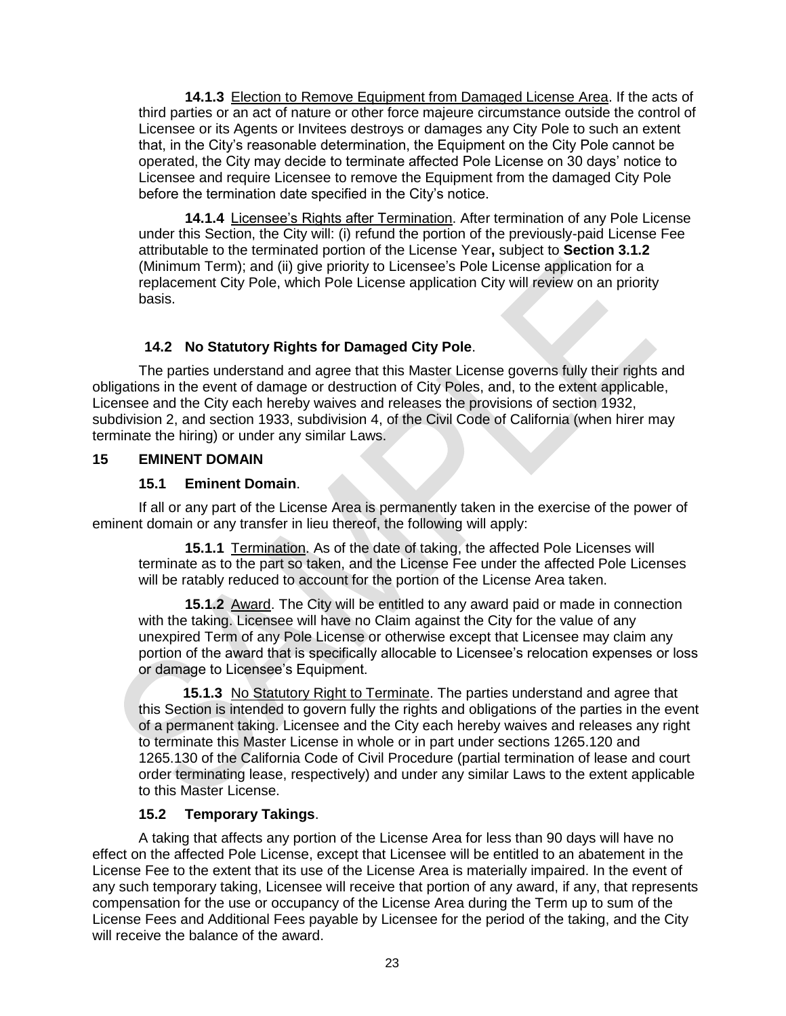**14.1.3** Election to Remove Equipment from Damaged License Area. If the acts of third parties or an act of nature or other force majeure circumstance outside the control of Licensee or its Agents or Invitees destroys or damages any City Pole to such an extent that, in the City's reasonable determination, the Equipment on the City Pole cannot be operated, the City may decide to terminate affected Pole License on 30 days' notice to Licensee and require Licensee to remove the Equipment from the damaged City Pole before the termination date specified in the City's notice.

**14.1.4** Licensee's Rights after Termination. After termination of any Pole License under this Section, the City will: (i) refund the portion of the previously-paid License Fee attributable to the terminated portion of the License Year**,** subject to **Section 3.1.2**  (Minimum Term); and (ii) give priority to Licensee's Pole License application for a replacement City Pole, which Pole License application City will review on an priority basis.

## **14.2 No Statutory Rights for Damaged City Pole**.

The parties understand and agree that this Master License governs fully their rights and obligations in the event of damage or destruction of City Poles, and, to the extent applicable, Licensee and the City each hereby waives and releases the provisions of section 1932, subdivision 2, and section 1933, subdivision 4, of the Civil Code of California (when hirer may terminate the hiring) or under any similar Laws.

### **15 EMINENT DOMAIN**

### **15.1 Eminent Domain**.

If all or any part of the License Area is permanently taken in the exercise of the power of eminent domain or any transfer in lieu thereof, the following will apply:

**15.1.1** Termination. As of the date of taking, the affected Pole Licenses will terminate as to the part so taken, and the License Fee under the affected Pole Licenses will be ratably reduced to account for the portion of the License Area taken.

**15.1.2** Award. The City will be entitled to any award paid or made in connection with the taking. Licensee will have no Claim against the City for the value of any unexpired Term of any Pole License or otherwise except that Licensee may claim any portion of the award that is specifically allocable to Licensee's relocation expenses or loss or damage to Licensee's Equipment.

**15.1.3** No Statutory Right to Terminate. The parties understand and agree that this Section is intended to govern fully the rights and obligations of the parties in the event of a permanent taking. Licensee and the City each hereby waives and releases any right to terminate this Master License in whole or in part under sections 1265.120 and 1265.130 of the California Code of Civil Procedure (partial termination of lease and court order terminating lease, respectively) and under any similar Laws to the extent applicable to this Master License.

### **15.2 Temporary Takings**.

A taking that affects any portion of the License Area for less than 90 days will have no effect on the affected Pole License, except that Licensee will be entitled to an abatement in the License Fee to the extent that its use of the License Area is materially impaired. In the event of any such temporary taking, Licensee will receive that portion of any award, if any, that represents compensation for the use or occupancy of the License Area during the Term up to sum of the License Fees and Additional Fees payable by Licensee for the period of the taking, and the City will receive the balance of the award.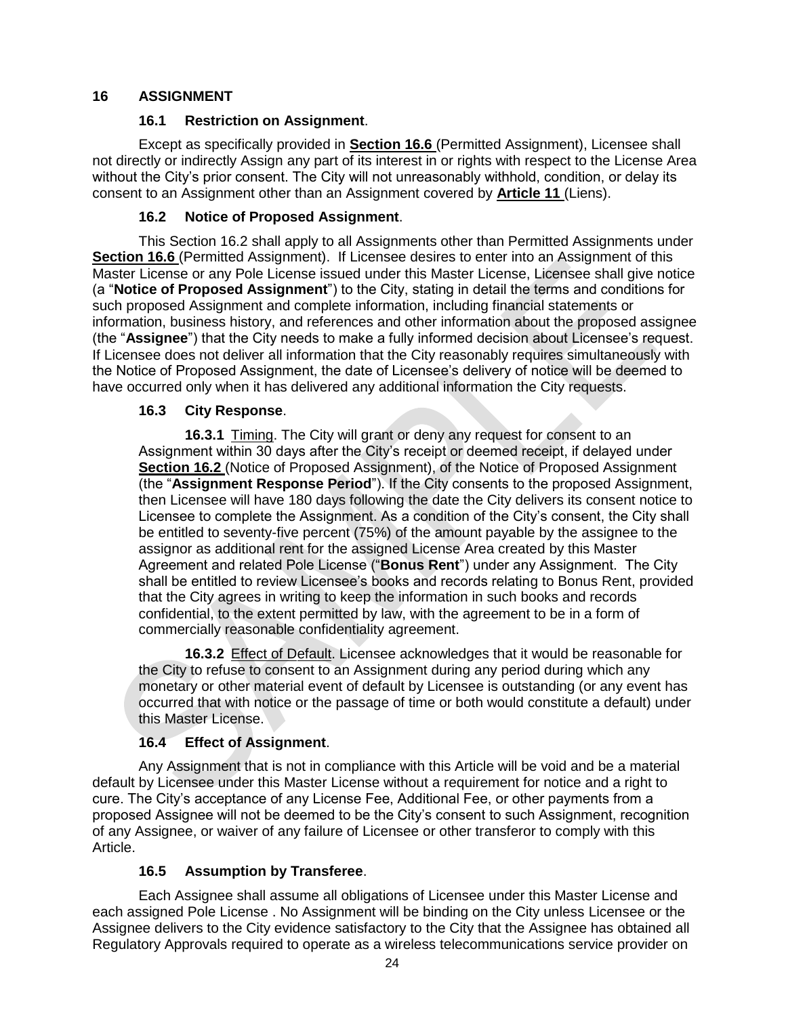## **16 ASSIGNMENT**

### **16.1 Restriction on Assignment**.

Except as specifically provided in **Section 16.6** (Permitted Assignment), Licensee shall not directly or indirectly Assign any part of its interest in or rights with respect to the License Area without the City's prior consent. The City will not unreasonably withhold, condition, or delay its consent to an Assignment other than an Assignment covered by **Article 11** (Liens).

## **16.2 Notice of Proposed Assignment**.

This Section 16.2 shall apply to all Assignments other than Permitted Assignments under **Section 16.6** (Permitted Assignment). If Licensee desires to enter into an Assignment of this Master License or any Pole License issued under this Master License, Licensee shall give notice (a "**Notice of Proposed Assignment**") to the City, stating in detail the terms and conditions for such proposed Assignment and complete information, including financial statements or information, business history, and references and other information about the proposed assignee (the "**Assignee**") that the City needs to make a fully informed decision about Licensee's request. If Licensee does not deliver all information that the City reasonably requires simultaneously with the Notice of Proposed Assignment, the date of Licensee's delivery of notice will be deemed to have occurred only when it has delivered any additional information the City requests.

### **16.3 City Response**.

**16.3.1** Timing. The City will grant or deny any request for consent to an Assignment within 30 days after the City's receipt or deemed receipt, if delayed under **Section 16.2** (Notice of Proposed Assignment), of the Notice of Proposed Assignment (the "**Assignment Response Period**"). If the City consents to the proposed Assignment, then Licensee will have 180 days following the date the City delivers its consent notice to Licensee to complete the Assignment. As a condition of the City's consent, the City shall be entitled to seventy-five percent (75%) of the amount payable by the assignee to the assignor as additional rent for the assigned License Area created by this Master Agreement and related Pole License ("**Bonus Rent**") under any Assignment. The City shall be entitled to review Licensee's books and records relating to Bonus Rent, provided that the City agrees in writing to keep the information in such books and records confidential, to the extent permitted by law, with the agreement to be in a form of commercially reasonable confidentiality agreement.

**16.3.2** Effect of Default. Licensee acknowledges that it would be reasonable for the City to refuse to consent to an Assignment during any period during which any monetary or other material event of default by Licensee is outstanding (or any event has occurred that with notice or the passage of time or both would constitute a default) under this Master License.

## **16.4 Effect of Assignment**.

Any Assignment that is not in compliance with this Article will be void and be a material default by Licensee under this Master License without a requirement for notice and a right to cure. The City's acceptance of any License Fee, Additional Fee, or other payments from a proposed Assignee will not be deemed to be the City's consent to such Assignment, recognition of any Assignee, or waiver of any failure of Licensee or other transferor to comply with this Article.

## **16.5 Assumption by Transferee**.

Each Assignee shall assume all obligations of Licensee under this Master License and each assigned Pole License . No Assignment will be binding on the City unless Licensee or the Assignee delivers to the City evidence satisfactory to the City that the Assignee has obtained all Regulatory Approvals required to operate as a wireless telecommunications service provider on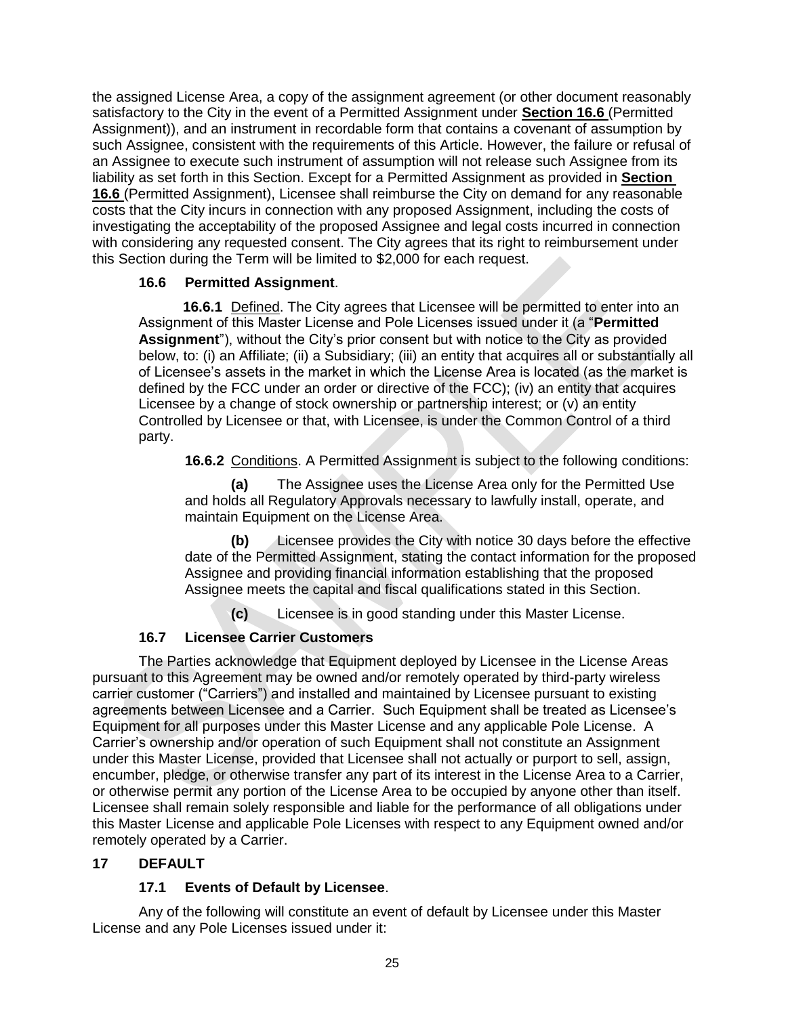the assigned License Area, a copy of the assignment agreement (or other document reasonably satisfactory to the City in the event of a Permitted Assignment under **Section 16.6** (Permitted Assignment)), and an instrument in recordable form that contains a covenant of assumption by such Assignee, consistent with the requirements of this Article. However, the failure or refusal of an Assignee to execute such instrument of assumption will not release such Assignee from its liability as set forth in this Section. Except for a Permitted Assignment as provided in **Section 16.6** (Permitted Assignment), Licensee shall reimburse the City on demand for any reasonable costs that the City incurs in connection with any proposed Assignment, including the costs of investigating the acceptability of the proposed Assignee and legal costs incurred in connection with considering any requested consent. The City agrees that its right to reimbursement under this Section during the Term will be limited to \$2,000 for each request.

### **16.6 Permitted Assignment**.

**16.6.1** Defined. The City agrees that Licensee will be permitted to enter into an Assignment of this Master License and Pole Licenses issued under it (a "**Permitted Assignment**"), without the City's prior consent but with notice to the City as provided below, to: (i) an Affiliate; (ii) a Subsidiary; (iii) an entity that acquires all or substantially all of Licensee's assets in the market in which the License Area is located (as the market is defined by the FCC under an order or directive of the FCC); (iv) an entity that acquires Licensee by a change of stock ownership or partnership interest; or (v) an entity Controlled by Licensee or that, with Licensee, is under the Common Control of a third party.

**16.6.2** Conditions. A Permitted Assignment is subject to the following conditions:

**(a)** The Assignee uses the License Area only for the Permitted Use and holds all Regulatory Approvals necessary to lawfully install, operate, and maintain Equipment on the License Area.

**(b)** Licensee provides the City with notice 30 days before the effective date of the Permitted Assignment, stating the contact information for the proposed Assignee and providing financial information establishing that the proposed Assignee meets the capital and fiscal qualifications stated in this Section.

**(c)** Licensee is in good standing under this Master License.

## **16.7 Licensee Carrier Customers**

The Parties acknowledge that Equipment deployed by Licensee in the License Areas pursuant to this Agreement may be owned and/or remotely operated by third-party wireless carrier customer ("Carriers") and installed and maintained by Licensee pursuant to existing agreements between Licensee and a Carrier. Such Equipment shall be treated as Licensee's Equipment for all purposes under this Master License and any applicable Pole License. A Carrier's ownership and/or operation of such Equipment shall not constitute an Assignment under this Master License, provided that Licensee shall not actually or purport to sell, assign, encumber, pledge, or otherwise transfer any part of its interest in the License Area to a Carrier, or otherwise permit any portion of the License Area to be occupied by anyone other than itself. Licensee shall remain solely responsible and liable for the performance of all obligations under this Master License and applicable Pole Licenses with respect to any Equipment owned and/or remotely operated by a Carrier.

### **17 DEFAULT**

### **17.1 Events of Default by Licensee**.

Any of the following will constitute an event of default by Licensee under this Master License and any Pole Licenses issued under it: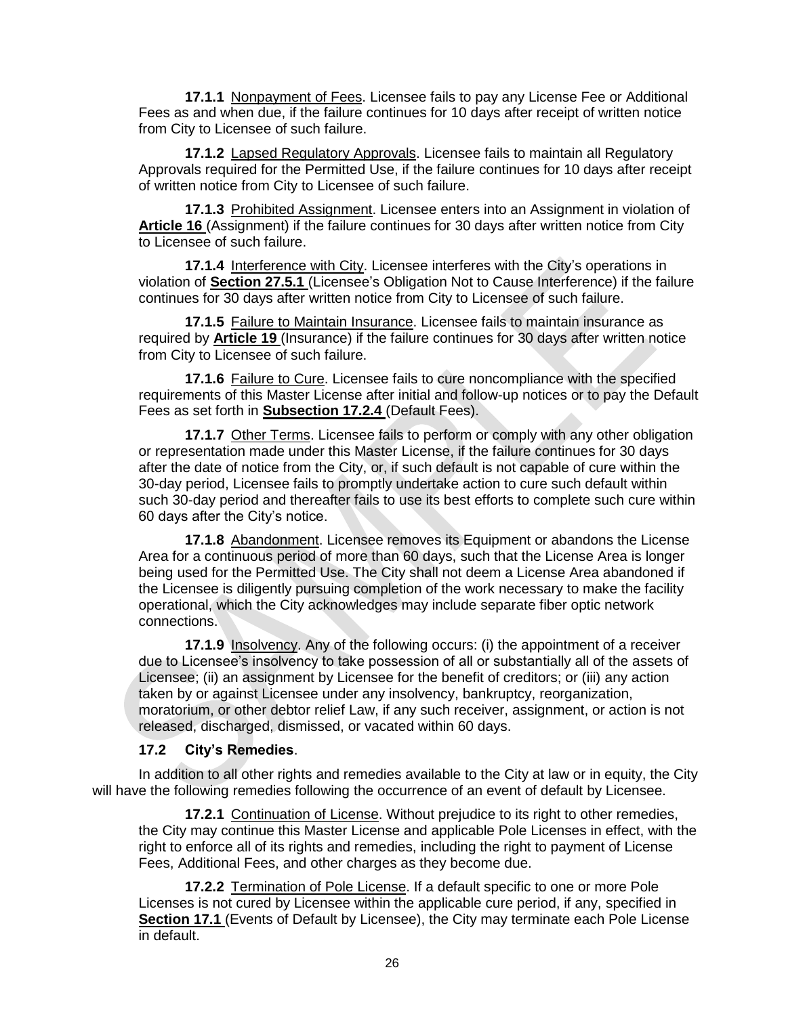**17.1.1** Nonpayment of Fees. Licensee fails to pay any License Fee or Additional Fees as and when due, if the failure continues for 10 days after receipt of written notice from City to Licensee of such failure.

**17.1.2** Lapsed Regulatory Approvals. Licensee fails to maintain all Regulatory Approvals required for the Permitted Use, if the failure continues for 10 days after receipt of written notice from City to Licensee of such failure.

**17.1.3** Prohibited Assignment. Licensee enters into an Assignment in violation of **Article 16** (Assignment) if the failure continues for 30 days after written notice from City to Licensee of such failure.

**17.1.4** Interference with City. Licensee interferes with the City's operations in violation of **Section 27.5.1** (Licensee's Obligation Not to Cause Interference) if the failure continues for 30 days after written notice from City to Licensee of such failure.

**17.1.5** Failure to Maintain Insurance. Licensee fails to maintain insurance as required by **Article 19** (Insurance) if the failure continues for 30 days after written notice from City to Licensee of such failure.

**17.1.6** Failure to Cure. Licensee fails to cure noncompliance with the specified requirements of this Master License after initial and follow-up notices or to pay the Default Fees as set forth in **Subsection 17.2.4** (Default Fees).

**17.1.7** Other Terms. Licensee fails to perform or comply with any other obligation or representation made under this Master License, if the failure continues for 30 days after the date of notice from the City, or, if such default is not capable of cure within the 30-day period, Licensee fails to promptly undertake action to cure such default within such 30-day period and thereafter fails to use its best efforts to complete such cure within 60 days after the City's notice.

**17.1.8** Abandonment. Licensee removes its Equipment or abandons the License Area for a continuous period of more than 60 days, such that the License Area is longer being used for the Permitted Use. The City shall not deem a License Area abandoned if the Licensee is diligently pursuing completion of the work necessary to make the facility operational, which the City acknowledges may include separate fiber optic network connections.

**17.1.9** Insolvency. Any of the following occurs: (i) the appointment of a receiver due to Licensee's insolvency to take possession of all or substantially all of the assets of Licensee; (ii) an assignment by Licensee for the benefit of creditors; or (iii) any action taken by or against Licensee under any insolvency, bankruptcy, reorganization, moratorium, or other debtor relief Law, if any such receiver, assignment, or action is not released, discharged, dismissed, or vacated within 60 days.

#### **17.2 City's Remedies**.

In addition to all other rights and remedies available to the City at law or in equity, the City will have the following remedies following the occurrence of an event of default by Licensee.

**17.2.1** Continuation of License. Without prejudice to its right to other remedies, the City may continue this Master License and applicable Pole Licenses in effect, with the right to enforce all of its rights and remedies, including the right to payment of License Fees, Additional Fees, and other charges as they become due.

**17.2.2** Termination of Pole License. If a default specific to one or more Pole Licenses is not cured by Licensee within the applicable cure period, if any, specified in **Section 17.1** (Events of Default by Licensee), the City may terminate each Pole License in default.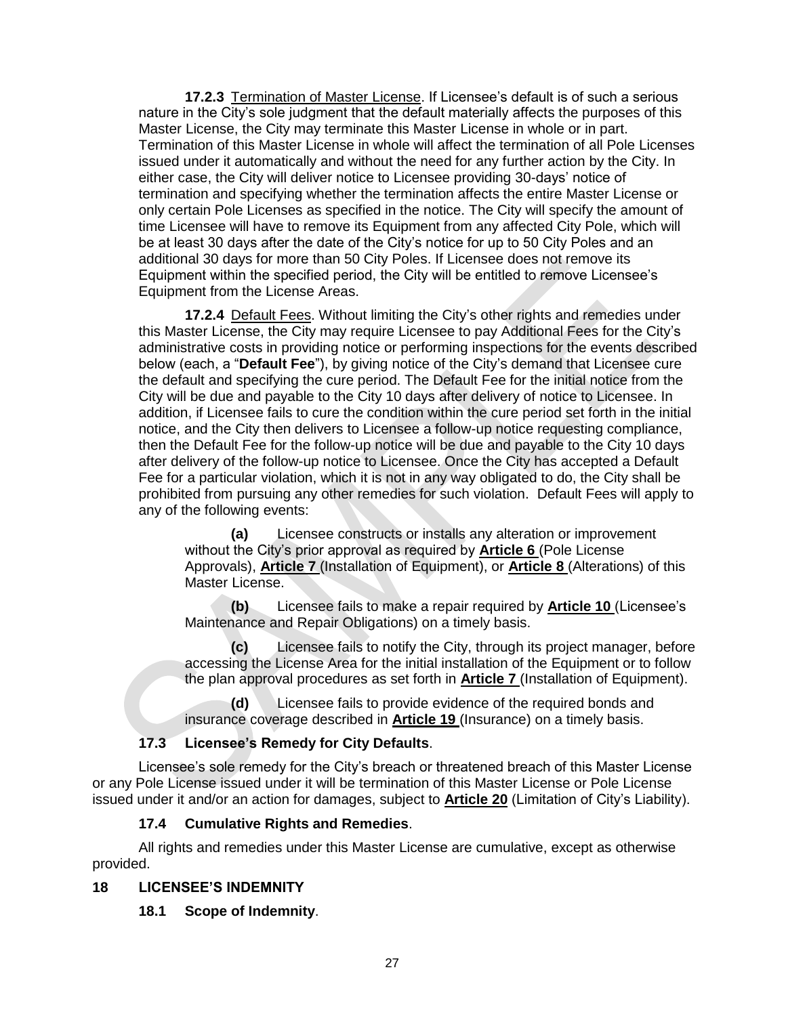**17.2.3** Termination of Master License. If Licensee's default is of such a serious nature in the City's sole judgment that the default materially affects the purposes of this Master License, the City may terminate this Master License in whole or in part. Termination of this Master License in whole will affect the termination of all Pole Licenses issued under it automatically and without the need for any further action by the City. In either case, the City will deliver notice to Licensee providing 30-days' notice of termination and specifying whether the termination affects the entire Master License or only certain Pole Licenses as specified in the notice. The City will specify the amount of time Licensee will have to remove its Equipment from any affected City Pole, which will be at least 30 days after the date of the City's notice for up to 50 City Poles and an additional 30 days for more than 50 City Poles. If Licensee does not remove its Equipment within the specified period, the City will be entitled to remove Licensee's Equipment from the License Areas.

**17.2.4** Default Fees. Without limiting the City's other rights and remedies under this Master License, the City may require Licensee to pay Additional Fees for the City's administrative costs in providing notice or performing inspections for the events described below (each, a "**Default Fee**"), by giving notice of the City's demand that Licensee cure the default and specifying the cure period. The Default Fee for the initial notice from the City will be due and payable to the City 10 days after delivery of notice to Licensee. In addition, if Licensee fails to cure the condition within the cure period set forth in the initial notice, and the City then delivers to Licensee a follow-up notice requesting compliance, then the Default Fee for the follow-up notice will be due and payable to the City 10 days after delivery of the follow-up notice to Licensee. Once the City has accepted a Default Fee for a particular violation, which it is not in any way obligated to do, the City shall be prohibited from pursuing any other remedies for such violation. Default Fees will apply to any of the following events:

**(a)** Licensee constructs or installs any alteration or improvement without the City's prior approval as required by **Article 6** (Pole License Approvals), **Article 7** (Installation of Equipment), or **Article 8** (Alterations) of this Master License.

**(b)** Licensee fails to make a repair required by **Article 10** (Licensee's Maintenance and Repair Obligations) on a timely basis.

**(c)** Licensee fails to notify the City, through its project manager, before accessing the License Area for the initial installation of the Equipment or to follow the plan approval procedures as set forth in **Article 7** (Installation of Equipment).

**(d)** Licensee fails to provide evidence of the required bonds and insurance coverage described in **Article 19** (Insurance) on a timely basis.

### **17.3 Licensee's Remedy for City Defaults**.

Licensee's sole remedy for the City's breach or threatened breach of this Master License or any Pole License issued under it will be termination of this Master License or Pole License issued under it and/or an action for damages, subject to **Article 20** (Limitation of City's Liability).

#### **17.4 Cumulative Rights and Remedies**.

All rights and remedies under this Master License are cumulative, except as otherwise provided.

#### **18 LICENSEE'S INDEMNITY**

**18.1 Scope of Indemnity**.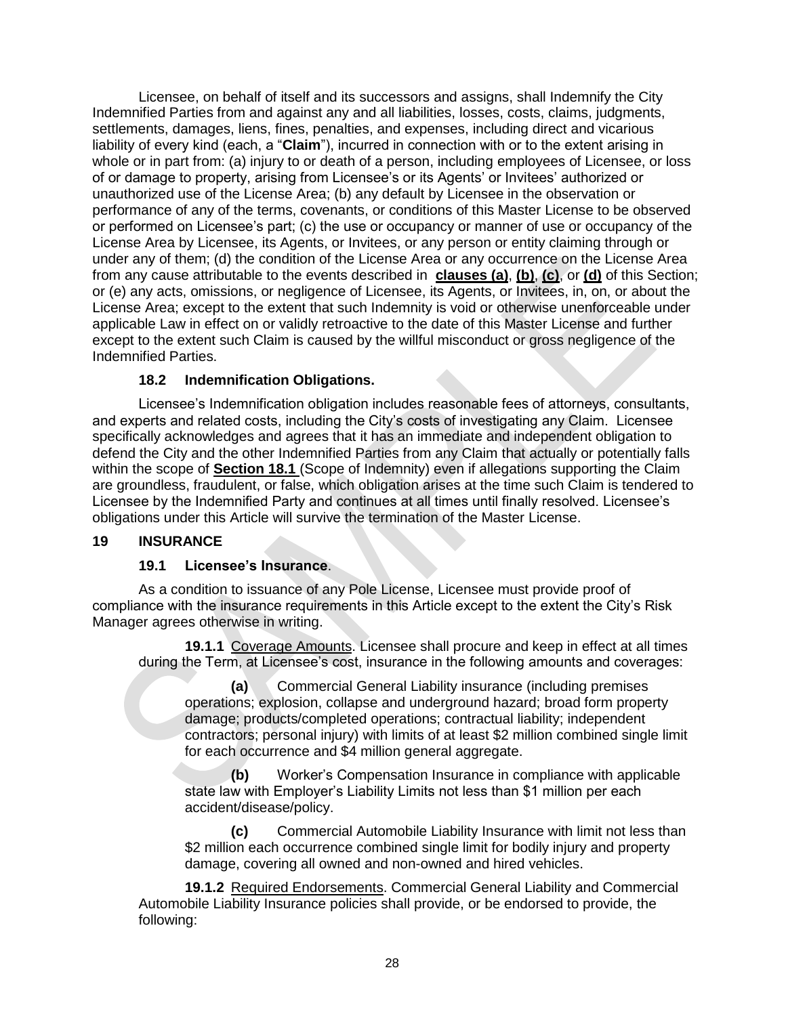Licensee, on behalf of itself and its successors and assigns, shall Indemnify the City Indemnified Parties from and against any and all liabilities, losses, costs, claims, judgments, settlements, damages, liens, fines, penalties, and expenses, including direct and vicarious liability of every kind (each, a "**Claim**"), incurred in connection with or to the extent arising in whole or in part from: (a) injury to or death of a person, including employees of Licensee, or loss of or damage to property, arising from Licensee's or its Agents' or Invitees' authorized or unauthorized use of the License Area; (b) any default by Licensee in the observation or performance of any of the terms, covenants, or conditions of this Master License to be observed or performed on Licensee's part; (c) the use or occupancy or manner of use or occupancy of the License Area by Licensee, its Agents, or Invitees, or any person or entity claiming through or under any of them; (d) the condition of the License Area or any occurrence on the License Area from any cause attributable to the events described in **clauses (a)**, **(b)**, **(c)**, or **(d)** of this Section; or (e) any acts, omissions, or negligence of Licensee, its Agents, or Invitees, in, on, or about the License Area; except to the extent that such Indemnity is void or otherwise unenforceable under applicable Law in effect on or validly retroactive to the date of this Master License and further except to the extent such Claim is caused by the willful misconduct or gross negligence of the Indemnified Parties.

### **18.2 Indemnification Obligations.**

Licensee's Indemnification obligation includes reasonable fees of attorneys, consultants, and experts and related costs, including the City's costs of investigating any Claim. Licensee specifically acknowledges and agrees that it has an immediate and independent obligation to defend the City and the other Indemnified Parties from any Claim that actually or potentially falls within the scope of **Section 18.1** (Scope of Indemnity) even if allegations supporting the Claim are groundless, fraudulent, or false, which obligation arises at the time such Claim is tendered to Licensee by the Indemnified Party and continues at all times until finally resolved. Licensee's obligations under this Article will survive the termination of the Master License.

#### **19 INSURANCE**

#### **19.1 Licensee's Insurance**.

As a condition to issuance of any Pole License, Licensee must provide proof of compliance with the insurance requirements in this Article except to the extent the City's Risk Manager agrees otherwise in writing.

**19.1.1** Coverage Amounts. Licensee shall procure and keep in effect at all times during the Term, at Licensee's cost, insurance in the following amounts and coverages:

**(a)** Commercial General Liability insurance (including premises operations; explosion, collapse and underground hazard; broad form property damage; products/completed operations; contractual liability; independent contractors; personal injury) with limits of at least \$2 million combined single limit for each occurrence and \$4 million general aggregate.

**(b)** Worker's Compensation Insurance in compliance with applicable state law with Employer's Liability Limits not less than \$1 million per each accident/disease/policy.

**(c)** Commercial Automobile Liability Insurance with limit not less than \$2 million each occurrence combined single limit for bodily injury and property damage, covering all owned and non-owned and hired vehicles.

**19.1.2** Required Endorsements. Commercial General Liability and Commercial Automobile Liability Insurance policies shall provide, or be endorsed to provide, the following: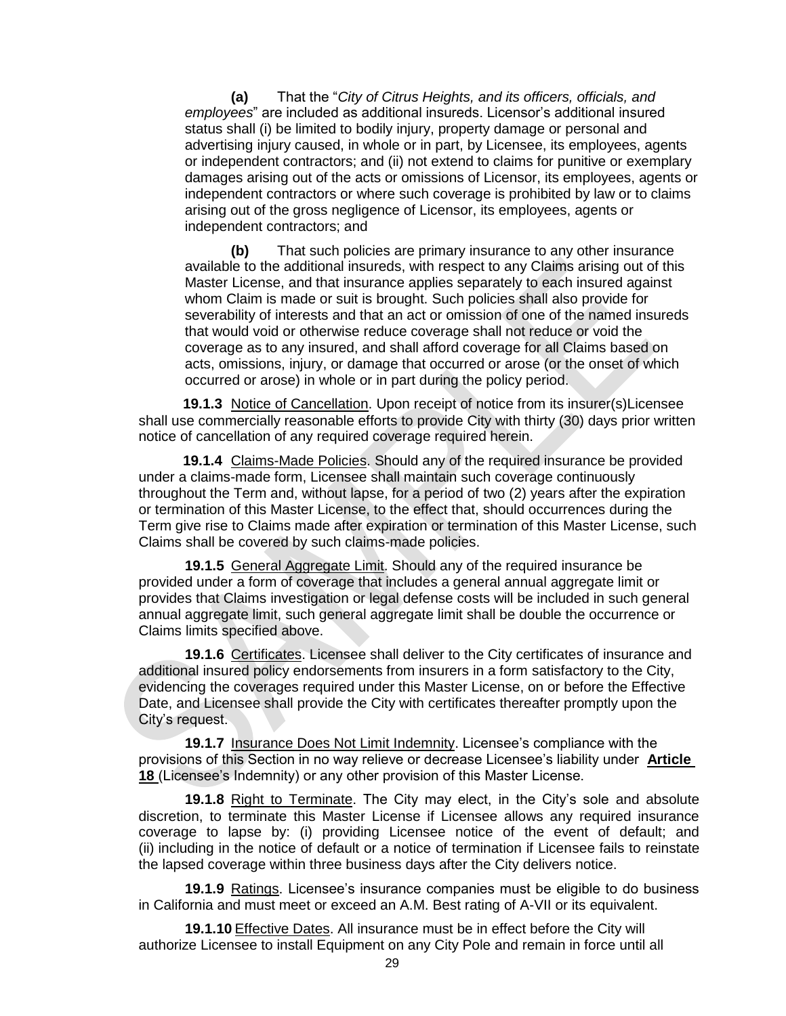**(a)** That the "*City of Citrus Heights, and its officers, officials, and employees*" are included as additional insureds. Licensor's additional insured status shall (i) be limited to bodily injury, property damage or personal and advertising injury caused, in whole or in part, by Licensee, its employees, agents or independent contractors; and (ii) not extend to claims for punitive or exemplary damages arising out of the acts or omissions of Licensor, its employees, agents or independent contractors or where such coverage is prohibited by law or to claims arising out of the gross negligence of Licensor, its employees, agents or independent contractors; and

**(b)** That such policies are primary insurance to any other insurance available to the additional insureds, with respect to any Claims arising out of this Master License, and that insurance applies separately to each insured against whom Claim is made or suit is brought. Such policies shall also provide for severability of interests and that an act or omission of one of the named insureds that would void or otherwise reduce coverage shall not reduce or void the coverage as to any insured, and shall afford coverage for all Claims based on acts, omissions, injury, or damage that occurred or arose (or the onset of which occurred or arose) in whole or in part during the policy period.

**19.1.3** Notice of Cancellation. Upon receipt of notice from its insurer(s)Licensee shall use commercially reasonable efforts to provide City with thirty (30) days prior written notice of cancellation of any required coverage required herein.

**19.1.4** Claims-Made Policies. Should any of the required insurance be provided under a claims-made form, Licensee shall maintain such coverage continuously throughout the Term and, without lapse, for a period of two (2) years after the expiration or termination of this Master License, to the effect that, should occurrences during the Term give rise to Claims made after expiration or termination of this Master License, such Claims shall be covered by such claims-made policies.

**19.1.5** General Aggregate Limit. Should any of the required insurance be provided under a form of coverage that includes a general annual aggregate limit or provides that Claims investigation or legal defense costs will be included in such general annual aggregate limit, such general aggregate limit shall be double the occurrence or Claims limits specified above.

**19.1.6** Certificates. Licensee shall deliver to the City certificates of insurance and additional insured policy endorsements from insurers in a form satisfactory to the City, evidencing the coverages required under this Master License, on or before the Effective Date, and Licensee shall provide the City with certificates thereafter promptly upon the City's request.

**19.1.7** Insurance Does Not Limit Indemnity. Licensee's compliance with the provisions of this Section in no way relieve or decrease Licensee's liability under **Article 18** (Licensee's Indemnity) or any other provision of this Master License.

**19.1.8** Right to Terminate. The City may elect, in the City's sole and absolute discretion, to terminate this Master License if Licensee allows any required insurance coverage to lapse by: (i) providing Licensee notice of the event of default; and (ii) including in the notice of default or a notice of termination if Licensee fails to reinstate the lapsed coverage within three business days after the City delivers notice.

**19.1.9** Ratings. Licensee's insurance companies must be eligible to do business in California and must meet or exceed an A.M. Best rating of A-VII or its equivalent.

**19.1.10** Effective Dates. All insurance must be in effect before the City will authorize Licensee to install Equipment on any City Pole and remain in force until all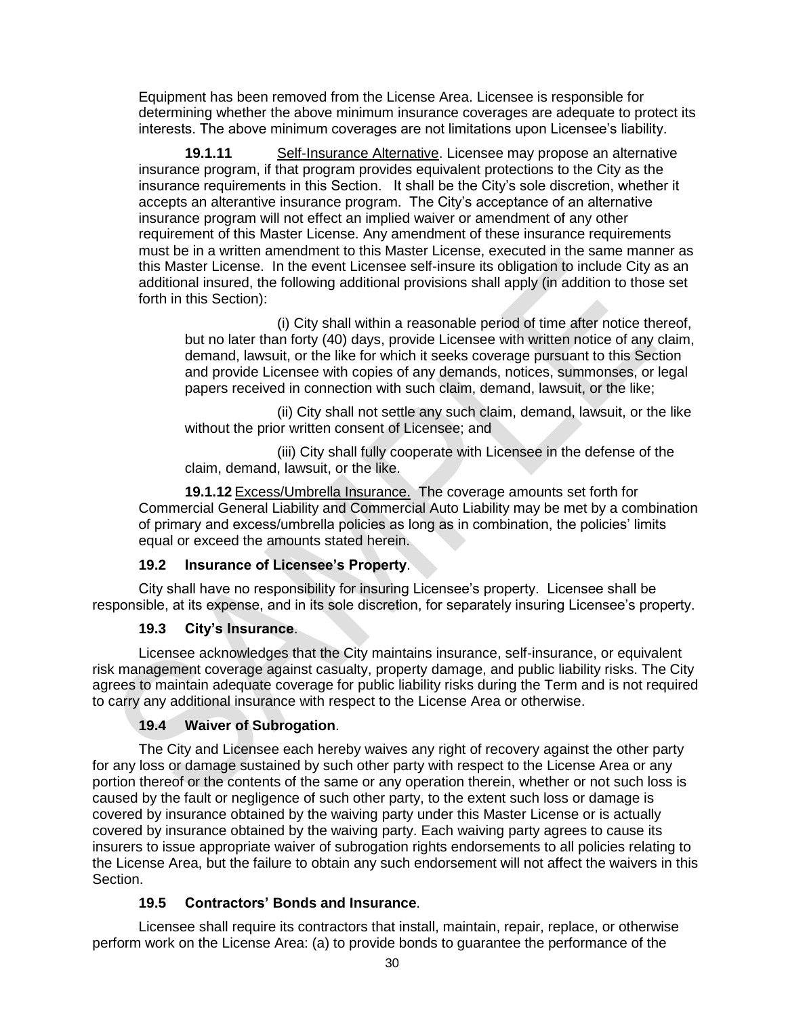Equipment has been removed from the License Area. Licensee is responsible for determining whether the above minimum insurance coverages are adequate to protect its interests. The above minimum coverages are not limitations upon Licensee's liability.

**19.1.11** Self-Insurance Alternative. Licensee may propose an alternative insurance program, if that program provides equivalent protections to the City as the insurance requirements in this Section. It shall be the City's sole discretion, whether it accepts an alterantive insurance program. The City's acceptance of an alternative insurance program will not effect an implied waiver or amendment of any other requirement of this Master License. Any amendment of these insurance requirements must be in a written amendment to this Master License, executed in the same manner as this Master License. In the event Licensee self-insure its obligation to include City as an additional insured, the following additional provisions shall apply (in addition to those set forth in this Section):

(i) City shall within a reasonable period of time after notice thereof, but no later than forty (40) days, provide Licensee with written notice of any claim, demand, lawsuit, or the like for which it seeks coverage pursuant to this Section and provide Licensee with copies of any demands, notices, summonses, or legal papers received in connection with such claim, demand, lawsuit, or the like;

(ii) City shall not settle any such claim, demand, lawsuit, or the like without the prior written consent of Licensee; and

(iii) City shall fully cooperate with Licensee in the defense of the claim, demand, lawsuit, or the like.

**19.1.12** Excess/Umbrella Insurance. The coverage amounts set forth for Commercial General Liability and Commercial Auto Liability may be met by a combination of primary and excess/umbrella policies as long as in combination, the policies' limits equal or exceed the amounts stated herein.

### **19.2 Insurance of Licensee's Property**.

City shall have no responsibility for insuring Licensee's property. Licensee shall be responsible, at its expense, and in its sole discretion, for separately insuring Licensee's property.

#### **19.3 City's Insurance**.

Licensee acknowledges that the City maintains insurance, self-insurance, or equivalent risk management coverage against casualty, property damage, and public liability risks. The City agrees to maintain adequate coverage for public liability risks during the Term and is not required to carry any additional insurance with respect to the License Area or otherwise.

### **19.4 Waiver of Subrogation**.

The City and Licensee each hereby waives any right of recovery against the other party for any loss or damage sustained by such other party with respect to the License Area or any portion thereof or the contents of the same or any operation therein, whether or not such loss is caused by the fault or negligence of such other party, to the extent such loss or damage is covered by insurance obtained by the waiving party under this Master License or is actually covered by insurance obtained by the waiving party. Each waiving party agrees to cause its insurers to issue appropriate waiver of subrogation rights endorsements to all policies relating to the License Area, but the failure to obtain any such endorsement will not affect the waivers in this Section.

### **19.5 Contractors' Bonds and Insurance**.

Licensee shall require its contractors that install, maintain, repair, replace, or otherwise perform work on the License Area: (a) to provide bonds to guarantee the performance of the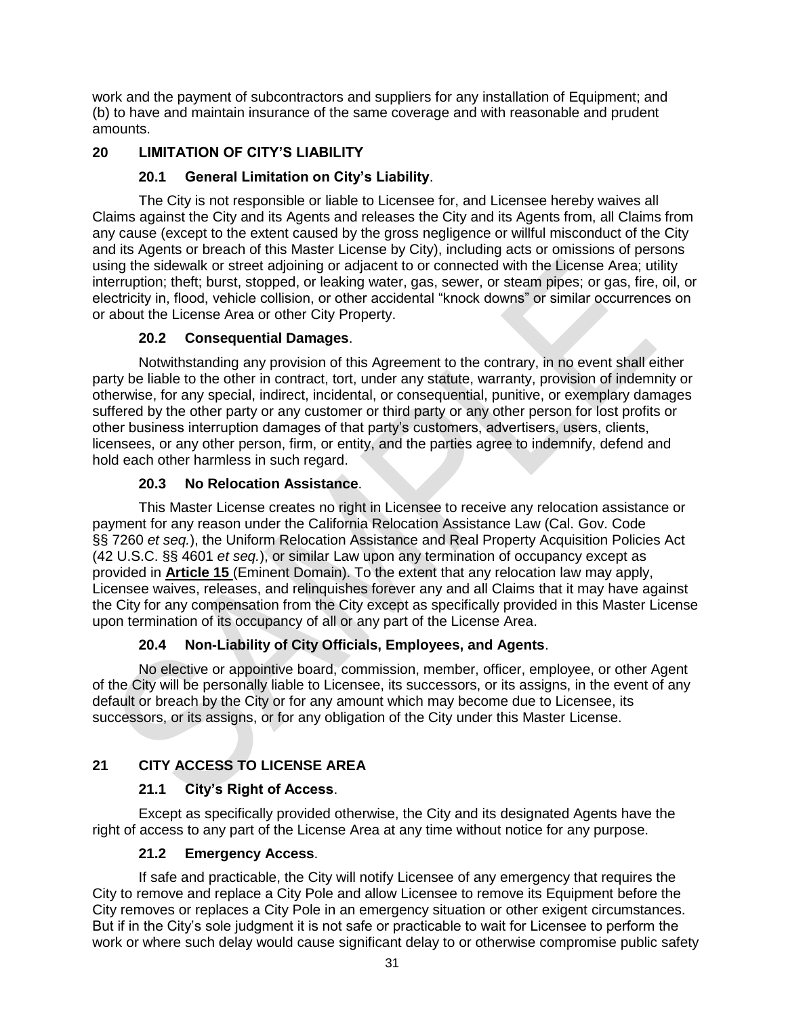work and the payment of subcontractors and suppliers for any installation of Equipment; and (b) to have and maintain insurance of the same coverage and with reasonable and prudent amounts.

## **20 LIMITATION OF CITY'S LIABILITY**

### **20.1 General Limitation on City's Liability**.

The City is not responsible or liable to Licensee for, and Licensee hereby waives all Claims against the City and its Agents and releases the City and its Agents from, all Claims from any cause (except to the extent caused by the gross negligence or willful misconduct of the City and its Agents or breach of this Master License by City), including acts or omissions of persons using the sidewalk or street adjoining or adjacent to or connected with the License Area; utility interruption; theft; burst, stopped, or leaking water, gas, sewer, or steam pipes; or gas, fire, oil, or electricity in, flood, vehicle collision, or other accidental "knock downs" or similar occurrences on or about the License Area or other City Property.

### **20.2 Consequential Damages**.

Notwithstanding any provision of this Agreement to the contrary, in no event shall either party be liable to the other in contract, tort, under any statute, warranty, provision of indemnity or otherwise, for any special, indirect, incidental, or consequential, punitive, or exemplary damages suffered by the other party or any customer or third party or any other person for lost profits or other business interruption damages of that party's customers, advertisers, users, clients, licensees, or any other person, firm, or entity, and the parties agree to indemnify, defend and hold each other harmless in such regard.

## **20.3 No Relocation Assistance**.

This Master License creates no right in Licensee to receive any relocation assistance or payment for any reason under the California Relocation Assistance Law (Cal. Gov. Code §§ 7260 *et seq.*), the Uniform Relocation Assistance and Real Property Acquisition Policies Act (42 U.S.C. §§ 4601 *et seq.*), or similar Law upon any termination of occupancy except as provided in **Article 15** (Eminent Domain). To the extent that any relocation law may apply, Licensee waives, releases, and relinquishes forever any and all Claims that it may have against the City for any compensation from the City except as specifically provided in this Master License upon termination of its occupancy of all or any part of the License Area.

## **20.4 Non-Liability of City Officials, Employees, and Agents**.

No elective or appointive board, commission, member, officer, employee, or other Agent of the City will be personally liable to Licensee, its successors, or its assigns, in the event of any default or breach by the City or for any amount which may become due to Licensee, its successors, or its assigns, or for any obligation of the City under this Master License.

## **21 CITY ACCESS TO LICENSE AREA**

### **21.1 City's Right of Access**.

Except as specifically provided otherwise, the City and its designated Agents have the right of access to any part of the License Area at any time without notice for any purpose.

### **21.2 Emergency Access**.

If safe and practicable, the City will notify Licensee of any emergency that requires the City to remove and replace a City Pole and allow Licensee to remove its Equipment before the City removes or replaces a City Pole in an emergency situation or other exigent circumstances. But if in the City's sole judgment it is not safe or practicable to wait for Licensee to perform the work or where such delay would cause significant delay to or otherwise compromise public safety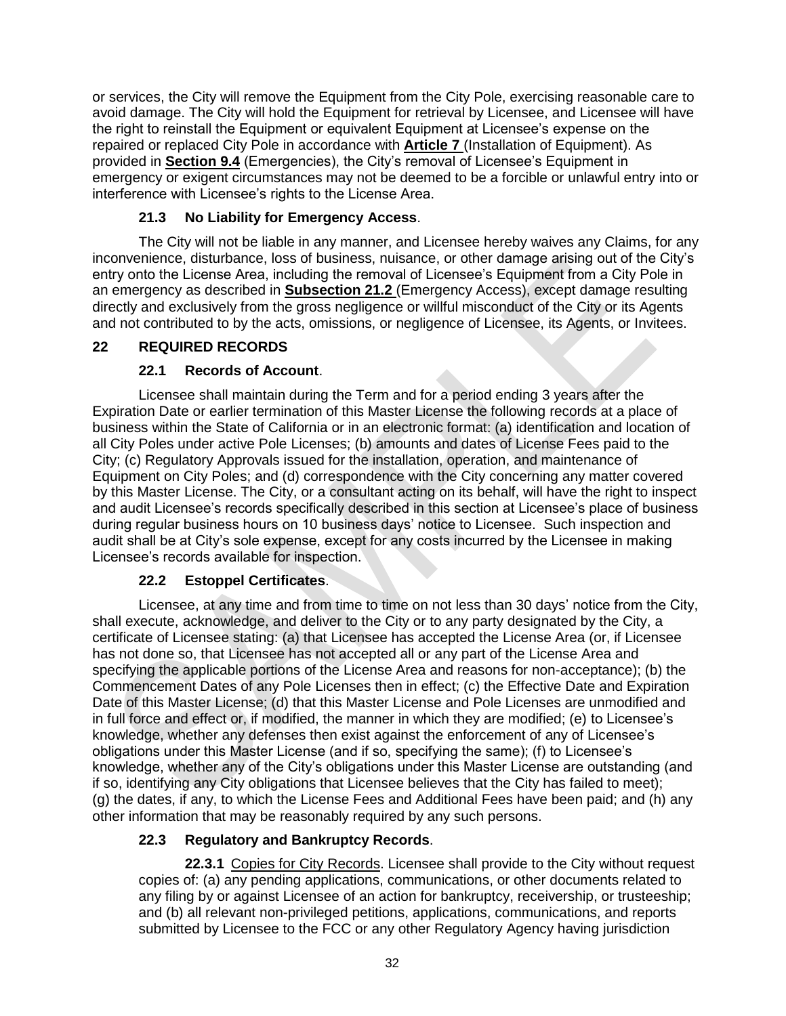or services, the City will remove the Equipment from the City Pole, exercising reasonable care to avoid damage. The City will hold the Equipment for retrieval by Licensee, and Licensee will have the right to reinstall the Equipment or equivalent Equipment at Licensee's expense on the repaired or replaced City Pole in accordance with **Article 7** (Installation of Equipment). As provided in **Section 9.4** (Emergencies), the City's removal of Licensee's Equipment in emergency or exigent circumstances may not be deemed to be a forcible or unlawful entry into or interference with Licensee's rights to the License Area.

## **21.3 No Liability for Emergency Access**.

The City will not be liable in any manner, and Licensee hereby waives any Claims, for any inconvenience, disturbance, loss of business, nuisance, or other damage arising out of the City's entry onto the License Area, including the removal of Licensee's Equipment from a City Pole in an emergency as described in **Subsection 21.2** (Emergency Access), except damage resulting directly and exclusively from the gross negligence or willful misconduct of the City or its Agents and not contributed to by the acts, omissions, or negligence of Licensee, its Agents, or Invitees.

## **22 REQUIRED RECORDS**

## **22.1 Records of Account**.

Licensee shall maintain during the Term and for a period ending 3 years after the Expiration Date or earlier termination of this Master License the following records at a place of business within the State of California or in an electronic format: (a) identification and location of all City Poles under active Pole Licenses; (b) amounts and dates of License Fees paid to the City; (c) Regulatory Approvals issued for the installation, operation, and maintenance of Equipment on City Poles; and (d) correspondence with the City concerning any matter covered by this Master License. The City, or a consultant acting on its behalf, will have the right to inspect and audit Licensee's records specifically described in this section at Licensee's place of business during regular business hours on 10 business days' notice to Licensee. Such inspection and audit shall be at City's sole expense, except for any costs incurred by the Licensee in making Licensee's records available for inspection.

## **22.2 Estoppel Certificates**.

Licensee, at any time and from time to time on not less than 30 days' notice from the City, shall execute, acknowledge, and deliver to the City or to any party designated by the City, a certificate of Licensee stating: (a) that Licensee has accepted the License Area (or, if Licensee has not done so, that Licensee has not accepted all or any part of the License Area and specifying the applicable portions of the License Area and reasons for non-acceptance); (b) the Commencement Dates of any Pole Licenses then in effect; (c) the Effective Date and Expiration Date of this Master License; (d) that this Master License and Pole Licenses are unmodified and in full force and effect or, if modified, the manner in which they are modified; (e) to Licensee's knowledge, whether any defenses then exist against the enforcement of any of Licensee's obligations under this Master License (and if so, specifying the same); (f) to Licensee's knowledge, whether any of the City's obligations under this Master License are outstanding (and if so, identifying any City obligations that Licensee believes that the City has failed to meet); (g) the dates, if any, to which the License Fees and Additional Fees have been paid; and (h) any other information that may be reasonably required by any such persons.

## **22.3 Regulatory and Bankruptcy Records**.

**22.3.1** Copies for City Records. Licensee shall provide to the City without request copies of: (a) any pending applications, communications, or other documents related to any filing by or against Licensee of an action for bankruptcy, receivership, or trusteeship; and (b) all relevant non-privileged petitions, applications, communications, and reports submitted by Licensee to the FCC or any other Regulatory Agency having jurisdiction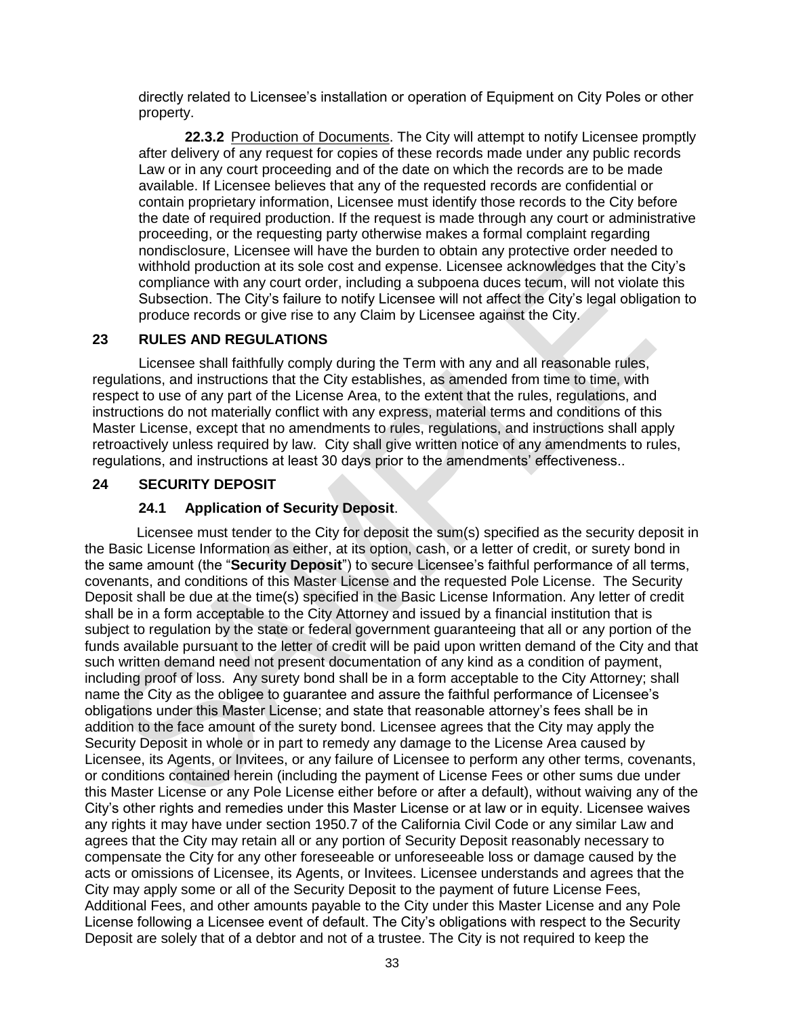directly related to Licensee's installation or operation of Equipment on City Poles or other property.

**22.3.2** Production of Documents. The City will attempt to notify Licensee promptly after delivery of any request for copies of these records made under any public records Law or in any court proceeding and of the date on which the records are to be made available. If Licensee believes that any of the requested records are confidential or contain proprietary information, Licensee must identify those records to the City before the date of required production. If the request is made through any court or administrative proceeding, or the requesting party otherwise makes a formal complaint regarding nondisclosure, Licensee will have the burden to obtain any protective order needed to withhold production at its sole cost and expense. Licensee acknowledges that the City's compliance with any court order, including a subpoena duces tecum, will not violate this Subsection. The City's failure to notify Licensee will not affect the City's legal obligation to produce records or give rise to any Claim by Licensee against the City.

## **23 RULES AND REGULATIONS**

Licensee shall faithfully comply during the Term with any and all reasonable rules, regulations, and instructions that the City establishes, as amended from time to time, with respect to use of any part of the License Area, to the extent that the rules, regulations, and instructions do not materially conflict with any express, material terms and conditions of this Master License, except that no amendments to rules, regulations, and instructions shall apply retroactively unless required by law. City shall give written notice of any amendments to rules, regulations, and instructions at least 30 days prior to the amendments' effectiveness..

### **24 SECURITY DEPOSIT**

### **24.1 Application of Security Deposit**.

Licensee must tender to the City for deposit the sum(s) specified as the security deposit in the Basic License Information as either, at its option, cash, or a letter of credit, or surety bond in the same amount (the "**Security Deposit**") to secure Licensee's faithful performance of all terms, covenants, and conditions of this Master License and the requested Pole License. The Security Deposit shall be due at the time(s) specified in the Basic License Information. Any letter of credit shall be in a form acceptable to the City Attorney and issued by a financial institution that is subject to regulation by the state or federal government guaranteeing that all or any portion of the funds available pursuant to the letter of credit will be paid upon written demand of the City and that such written demand need not present documentation of any kind as a condition of payment, including proof of loss. Any surety bond shall be in a form acceptable to the City Attorney; shall name the City as the obligee to guarantee and assure the faithful performance of Licensee's obligations under this Master License; and state that reasonable attorney's fees shall be in addition to the face amount of the surety bond. Licensee agrees that the City may apply the Security Deposit in whole or in part to remedy any damage to the License Area caused by Licensee, its Agents, or Invitees, or any failure of Licensee to perform any other terms, covenants, or conditions contained herein (including the payment of License Fees or other sums due under this Master License or any Pole License either before or after a default), without waiving any of the City's other rights and remedies under this Master License or at law or in equity. Licensee waives any rights it may have under section 1950.7 of the California Civil Code or any similar Law and agrees that the City may retain all or any portion of Security Deposit reasonably necessary to compensate the City for any other foreseeable or unforeseeable loss or damage caused by the acts or omissions of Licensee, its Agents, or Invitees. Licensee understands and agrees that the City may apply some or all of the Security Deposit to the payment of future License Fees, Additional Fees, and other amounts payable to the City under this Master License and any Pole License following a Licensee event of default. The City's obligations with respect to the Security Deposit are solely that of a debtor and not of a trustee. The City is not required to keep the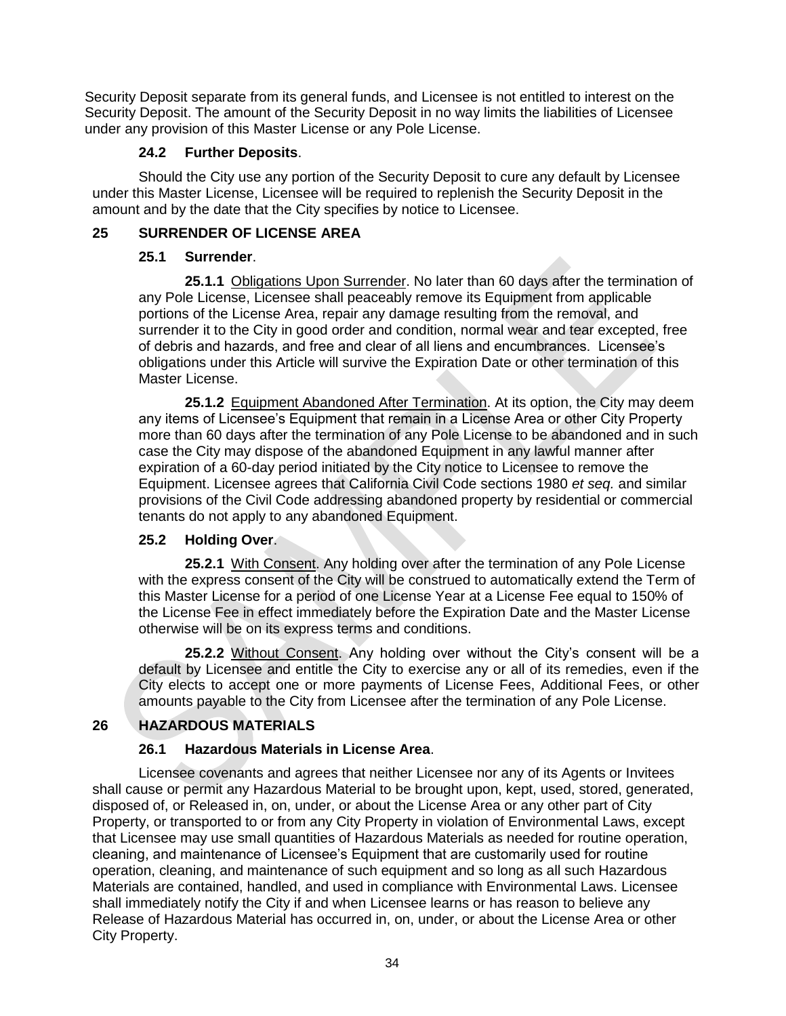Security Deposit separate from its general funds, and Licensee is not entitled to interest on the Security Deposit. The amount of the Security Deposit in no way limits the liabilities of Licensee under any provision of this Master License or any Pole License.

### **24.2 Further Deposits**.

Should the City use any portion of the Security Deposit to cure any default by Licensee under this Master License, Licensee will be required to replenish the Security Deposit in the amount and by the date that the City specifies by notice to Licensee.

## **25 SURRENDER OF LICENSE AREA**

## **25.1 Surrender**.

**25.1.1** Obligations Upon Surrender. No later than 60 days after the termination of any Pole License, Licensee shall peaceably remove its Equipment from applicable portions of the License Area, repair any damage resulting from the removal, and surrender it to the City in good order and condition, normal wear and tear excepted, free of debris and hazards, and free and clear of all liens and encumbrances. Licensee's obligations under this Article will survive the Expiration Date or other termination of this Master License.

**25.1.2** Equipment Abandoned After Termination. At its option, the City may deem any items of Licensee's Equipment that remain in a License Area or other City Property more than 60 days after the termination of any Pole License to be abandoned and in such case the City may dispose of the abandoned Equipment in any lawful manner after expiration of a 60-day period initiated by the City notice to Licensee to remove the Equipment. Licensee agrees that California Civil Code sections 1980 *et seq.* and similar provisions of the Civil Code addressing abandoned property by residential or commercial tenants do not apply to any abandoned Equipment.

## **25.2 Holding Over**.

**25.2.1** With Consent. Any holding over after the termination of any Pole License with the express consent of the City will be construed to automatically extend the Term of this Master License for a period of one License Year at a License Fee equal to 150% of the License Fee in effect immediately before the Expiration Date and the Master License otherwise will be on its express terms and conditions.

**25.2.2** Without Consent. Any holding over without the City's consent will be a default by Licensee and entitle the City to exercise any or all of its remedies, even if the City elects to accept one or more payments of License Fees, Additional Fees, or other amounts payable to the City from Licensee after the termination of any Pole License.

## **26 HAZARDOUS MATERIALS**

## **26.1 Hazardous Materials in License Area**.

Licensee covenants and agrees that neither Licensee nor any of its Agents or Invitees shall cause or permit any Hazardous Material to be brought upon, kept, used, stored, generated, disposed of, or Released in, on, under, or about the License Area or any other part of City Property, or transported to or from any City Property in violation of Environmental Laws, except that Licensee may use small quantities of Hazardous Materials as needed for routine operation, cleaning, and maintenance of Licensee's Equipment that are customarily used for routine operation, cleaning, and maintenance of such equipment and so long as all such Hazardous Materials are contained, handled, and used in compliance with Environmental Laws. Licensee shall immediately notify the City if and when Licensee learns or has reason to believe any Release of Hazardous Material has occurred in, on, under, or about the License Area or other City Property.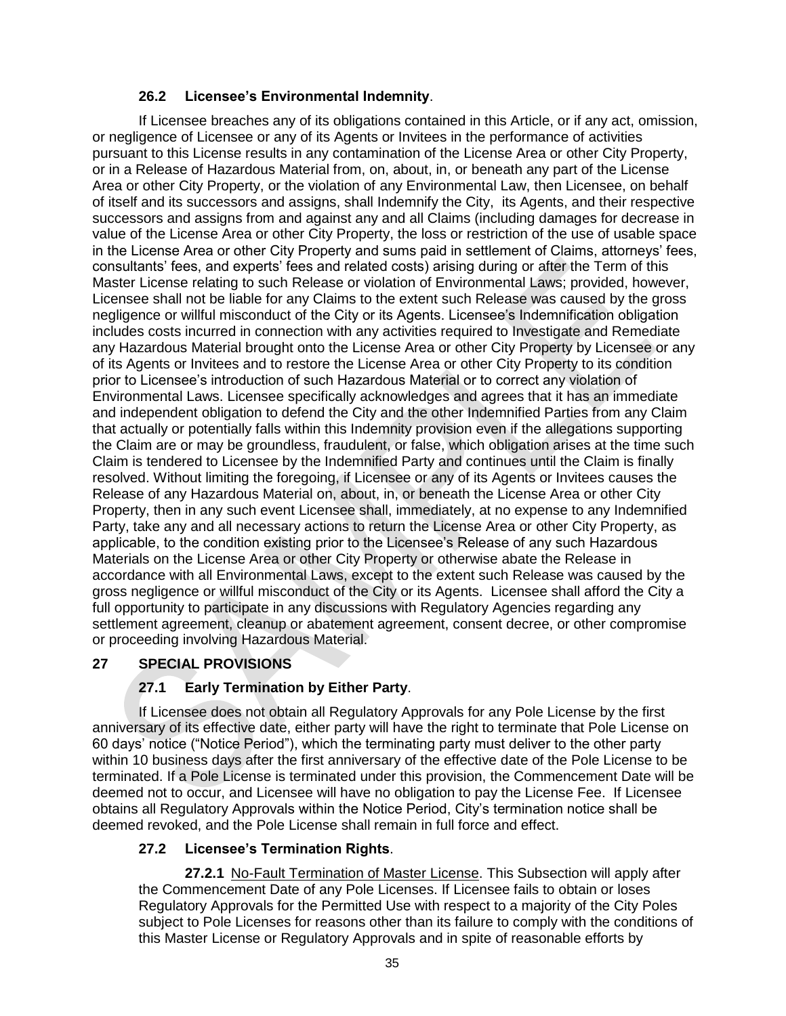## **26.2 Licensee's Environmental Indemnity**.

If Licensee breaches any of its obligations contained in this Article, or if any act, omission, or negligence of Licensee or any of its Agents or Invitees in the performance of activities pursuant to this License results in any contamination of the License Area or other City Property, or in a Release of Hazardous Material from, on, about, in, or beneath any part of the License Area or other City Property, or the violation of any Environmental Law, then Licensee, on behalf of itself and its successors and assigns, shall Indemnify the City, its Agents, and their respective successors and assigns from and against any and all Claims (including damages for decrease in value of the License Area or other City Property, the loss or restriction of the use of usable space in the License Area or other City Property and sums paid in settlement of Claims, attorneys' fees, consultants' fees, and experts' fees and related costs) arising during or after the Term of this Master License relating to such Release or violation of Environmental Laws; provided, however, Licensee shall not be liable for any Claims to the extent such Release was caused by the gross negligence or willful misconduct of the City or its Agents. Licensee's Indemnification obligation includes costs incurred in connection with any activities required to Investigate and Remediate any Hazardous Material brought onto the License Area or other City Property by Licensee or any of its Agents or Invitees and to restore the License Area or other City Property to its condition prior to Licensee's introduction of such Hazardous Material or to correct any violation of Environmental Laws. Licensee specifically acknowledges and agrees that it has an immediate and independent obligation to defend the City and the other Indemnified Parties from any Claim that actually or potentially falls within this Indemnity provision even if the allegations supporting the Claim are or may be groundless, fraudulent, or false, which obligation arises at the time such Claim is tendered to Licensee by the Indemnified Party and continues until the Claim is finally resolved. Without limiting the foregoing, if Licensee or any of its Agents or Invitees causes the Release of any Hazardous Material on, about, in, or beneath the License Area or other City Property, then in any such event Licensee shall, immediately, at no expense to any Indemnified Party, take any and all necessary actions to return the License Area or other City Property, as applicable, to the condition existing prior to the Licensee's Release of any such Hazardous Materials on the License Area or other City Property or otherwise abate the Release in accordance with all Environmental Laws, except to the extent such Release was caused by the gross negligence or willful misconduct of the City or its Agents. Licensee shall afford the City a full opportunity to participate in any discussions with Regulatory Agencies regarding any settlement agreement, cleanup or abatement agreement, consent decree, or other compromise or proceeding involving Hazardous Material.

## **27 SPECIAL PROVISIONS**

## **27.1 Early Termination by Either Party**.

If Licensee does not obtain all Regulatory Approvals for any Pole License by the first anniversary of its effective date, either party will have the right to terminate that Pole License on 60 days' notice ("Notice Period"), which the terminating party must deliver to the other party within 10 business days after the first anniversary of the effective date of the Pole License to be terminated. If a Pole License is terminated under this provision, the Commencement Date will be deemed not to occur, and Licensee will have no obligation to pay the License Fee. If Licensee obtains all Regulatory Approvals within the Notice Period, City's termination notice shall be deemed revoked, and the Pole License shall remain in full force and effect.

## **27.2 Licensee's Termination Rights**.

**27.2.1** No-Fault Termination of Master License. This Subsection will apply after the Commencement Date of any Pole Licenses. If Licensee fails to obtain or loses Regulatory Approvals for the Permitted Use with respect to a majority of the City Poles subject to Pole Licenses for reasons other than its failure to comply with the conditions of this Master License or Regulatory Approvals and in spite of reasonable efforts by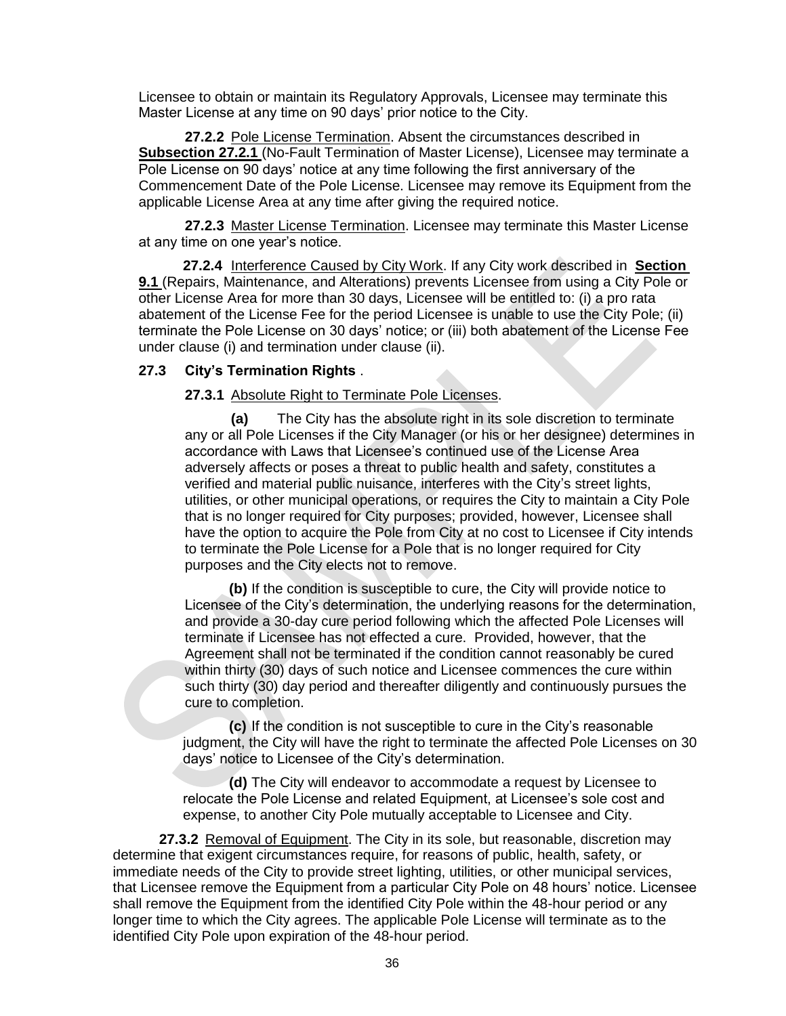Licensee to obtain or maintain its Regulatory Approvals, Licensee may terminate this Master License at any time on 90 days' prior notice to the City.

**27.2.2** Pole License Termination. Absent the circumstances described in **Subsection 27.2.1** (No-Fault Termination of Master License), Licensee may terminate a Pole License on 90 days' notice at any time following the first anniversary of the Commencement Date of the Pole License. Licensee may remove its Equipment from the applicable License Area at any time after giving the required notice.

**27.2.3** Master License Termination. Licensee may terminate this Master License at any time on one year's notice.

**27.2.4** Interference Caused by City Work. If any City work described in **Section 9.1** (Repairs, Maintenance, and Alterations) prevents Licensee from using a City Pole or other License Area for more than 30 days, Licensee will be entitled to: (i) a pro rata abatement of the License Fee for the period Licensee is unable to use the City Pole; (ii) terminate the Pole License on 30 days' notice; or (iii) both abatement of the License Fee under clause (i) and termination under clause (ii).

### **27.3 City's Termination Rights** .

#### **27.3.1** Absolute Right to Terminate Pole Licenses.

**(a)** The City has the absolute right in its sole discretion to terminate any or all Pole Licenses if the City Manager (or his or her designee) determines in accordance with Laws that Licensee's continued use of the License Area adversely affects or poses a threat to public health and safety, constitutes a verified and material public nuisance, interferes with the City's street lights, utilities, or other municipal operations, or requires the City to maintain a City Pole that is no longer required for City purposes; provided, however, Licensee shall have the option to acquire the Pole from City at no cost to Licensee if City intends to terminate the Pole License for a Pole that is no longer required for City purposes and the City elects not to remove.

**(b)** If the condition is susceptible to cure, the City will provide notice to Licensee of the City's determination, the underlying reasons for the determination, and provide a 30-day cure period following which the affected Pole Licenses will terminate if Licensee has not effected a cure. Provided, however, that the Agreement shall not be terminated if the condition cannot reasonably be cured within thirty (30) days of such notice and Licensee commences the cure within such thirty (30) day period and thereafter diligently and continuously pursues the cure to completion.

**(c)** If the condition is not susceptible to cure in the City's reasonable judgment, the City will have the right to terminate the affected Pole Licenses on 30 days' notice to Licensee of the City's determination.

**(d)** The City will endeavor to accommodate a request by Licensee to relocate the Pole License and related Equipment, at Licensee's sole cost and expense, to another City Pole mutually acceptable to Licensee and City.

**27.3.2** Removal of Equipment. The City in its sole, but reasonable, discretion may determine that exigent circumstances require, for reasons of public, health, safety, or immediate needs of the City to provide street lighting, utilities, or other municipal services, that Licensee remove the Equipment from a particular City Pole on 48 hours' notice. Licensee shall remove the Equipment from the identified City Pole within the 48-hour period or any longer time to which the City agrees. The applicable Pole License will terminate as to the identified City Pole upon expiration of the 48-hour period.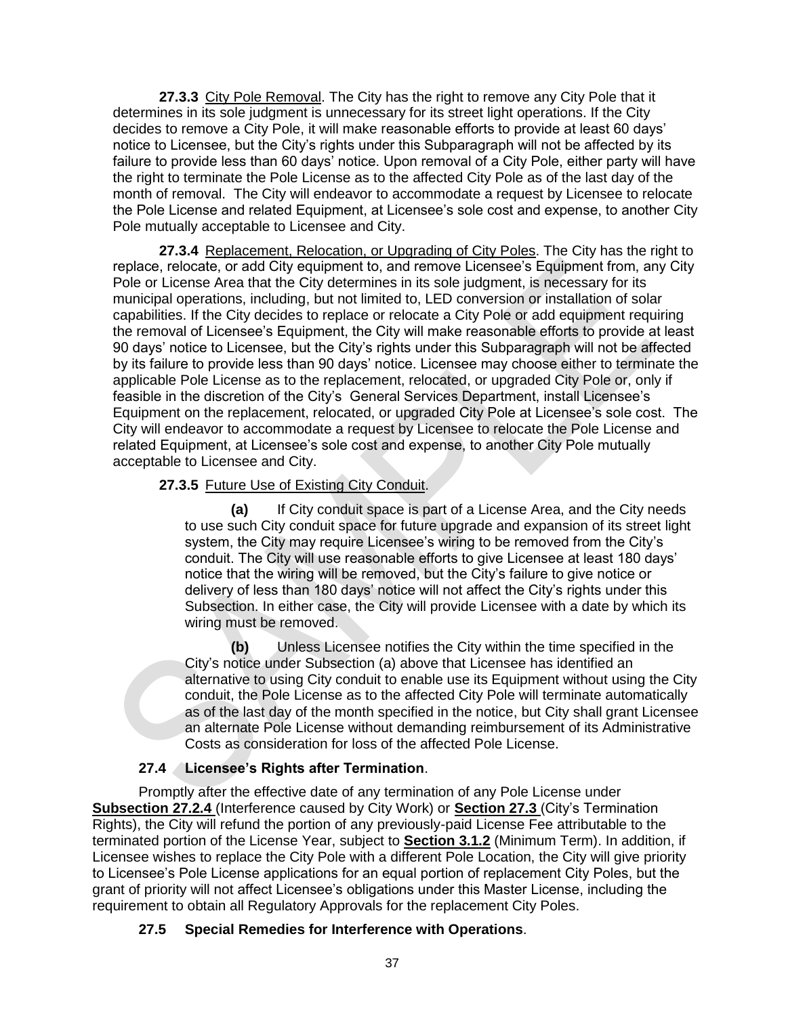**27.3.3** City Pole Removal. The City has the right to remove any City Pole that it determines in its sole judgment is unnecessary for its street light operations. If the City decides to remove a City Pole, it will make reasonable efforts to provide at least 60 days' notice to Licensee, but the City's rights under this Subparagraph will not be affected by its failure to provide less than 60 days' notice. Upon removal of a City Pole, either party will have the right to terminate the Pole License as to the affected City Pole as of the last day of the month of removal. The City will endeavor to accommodate a request by Licensee to relocate the Pole License and related Equipment, at Licensee's sole cost and expense, to another City Pole mutually acceptable to Licensee and City.

**27.3.4** Replacement, Relocation, or Upgrading of City Poles. The City has the right to replace, relocate, or add City equipment to, and remove Licensee's Equipment from, any City Pole or License Area that the City determines in its sole judgment, is necessary for its municipal operations, including, but not limited to, LED conversion or installation of solar capabilities. If the City decides to replace or relocate a City Pole or add equipment requiring the removal of Licensee's Equipment, the City will make reasonable efforts to provide at least 90 days' notice to Licensee, but the City's rights under this Subparagraph will not be affected by its failure to provide less than 90 days' notice. Licensee may choose either to terminate the applicable Pole License as to the replacement, relocated, or upgraded City Pole or, only if feasible in the discretion of the City's General Services Department, install Licensee's Equipment on the replacement, relocated, or upgraded City Pole at Licensee's sole cost. The City will endeavor to accommodate a request by Licensee to relocate the Pole License and related Equipment, at Licensee's sole cost and expense, to another City Pole mutually acceptable to Licensee and City.

### **27.3.5** Future Use of Existing City Conduit.

**(a)** If City conduit space is part of a License Area, and the City needs to use such City conduit space for future upgrade and expansion of its street light system, the City may require Licensee's wiring to be removed from the City's conduit. The City will use reasonable efforts to give Licensee at least 180 days' notice that the wiring will be removed, but the City's failure to give notice or delivery of less than 180 days' notice will not affect the City's rights under this Subsection. In either case, the City will provide Licensee with a date by which its wiring must be removed.

**(b)** Unless Licensee notifies the City within the time specified in the City's notice under Subsection (a) above that Licensee has identified an alternative to using City conduit to enable use its Equipment without using the City conduit, the Pole License as to the affected City Pole will terminate automatically as of the last day of the month specified in the notice, but City shall grant Licensee an alternate Pole License without demanding reimbursement of its Administrative Costs as consideration for loss of the affected Pole License.

### **27.4 Licensee's Rights after Termination**.

Promptly after the effective date of any termination of any Pole License under **Subsection 27.2.4** (Interference caused by City Work) or **Section 27.3** (City's Termination Rights), the City will refund the portion of any previously-paid License Fee attributable to the terminated portion of the License Year, subject to **Section 3.1.2** (Minimum Term). In addition, if Licensee wishes to replace the City Pole with a different Pole Location, the City will give priority to Licensee's Pole License applications for an equal portion of replacement City Poles, but the grant of priority will not affect Licensee's obligations under this Master License, including the requirement to obtain all Regulatory Approvals for the replacement City Poles.

### **27.5 Special Remedies for Interference with Operations**.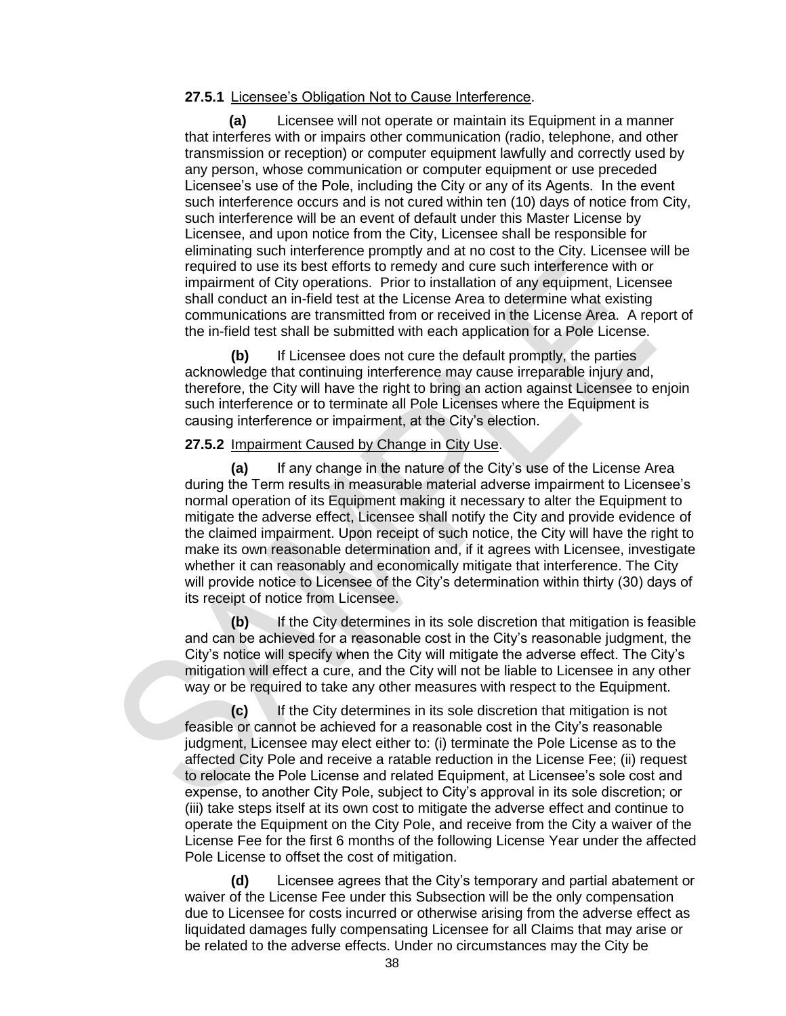#### **27.5.1** Licensee's Obligation Not to Cause Interference.

**(a)** Licensee will not operate or maintain its Equipment in a manner that interferes with or impairs other communication (radio, telephone, and other transmission or reception) or computer equipment lawfully and correctly used by any person, whose communication or computer equipment or use preceded Licensee's use of the Pole, including the City or any of its Agents. In the event such interference occurs and is not cured within ten (10) days of notice from City, such interference will be an event of default under this Master License by Licensee, and upon notice from the City, Licensee shall be responsible for eliminating such interference promptly and at no cost to the City. Licensee will be required to use its best efforts to remedy and cure such interference with or impairment of City operations. Prior to installation of any equipment, Licensee shall conduct an in-field test at the License Area to determine what existing communications are transmitted from or received in the License Area. A report of the in-field test shall be submitted with each application for a Pole License.

**(b)** If Licensee does not cure the default promptly, the parties acknowledge that continuing interference may cause irreparable injury and, therefore, the City will have the right to bring an action against Licensee to enjoin such interference or to terminate all Pole Licenses where the Equipment is causing interference or impairment, at the City's election.

#### **27.5.2** Impairment Caused by Change in City Use.

**(a)** If any change in the nature of the City's use of the License Area during the Term results in measurable material adverse impairment to Licensee's normal operation of its Equipment making it necessary to alter the Equipment to mitigate the adverse effect, Licensee shall notify the City and provide evidence of the claimed impairment. Upon receipt of such notice, the City will have the right to make its own reasonable determination and, if it agrees with Licensee, investigate whether it can reasonably and economically mitigate that interference. The City will provide notice to Licensee of the City's determination within thirty (30) days of its receipt of notice from Licensee.

**(b)** If the City determines in its sole discretion that mitigation is feasible and can be achieved for a reasonable cost in the City's reasonable judgment, the City's notice will specify when the City will mitigate the adverse effect. The City's mitigation will effect a cure, and the City will not be liable to Licensee in any other way or be required to take any other measures with respect to the Equipment.

**(c)** If the City determines in its sole discretion that mitigation is not feasible or cannot be achieved for a reasonable cost in the City's reasonable judgment, Licensee may elect either to: (i) terminate the Pole License as to the affected City Pole and receive a ratable reduction in the License Fee; (ii) request to relocate the Pole License and related Equipment, at Licensee's sole cost and expense, to another City Pole, subject to City's approval in its sole discretion; or (iii) take steps itself at its own cost to mitigate the adverse effect and continue to operate the Equipment on the City Pole, and receive from the City a waiver of the License Fee for the first 6 months of the following License Year under the affected Pole License to offset the cost of mitigation.

**(d)** Licensee agrees that the City's temporary and partial abatement or waiver of the License Fee under this Subsection will be the only compensation due to Licensee for costs incurred or otherwise arising from the adverse effect as liquidated damages fully compensating Licensee for all Claims that may arise or be related to the adverse effects. Under no circumstances may the City be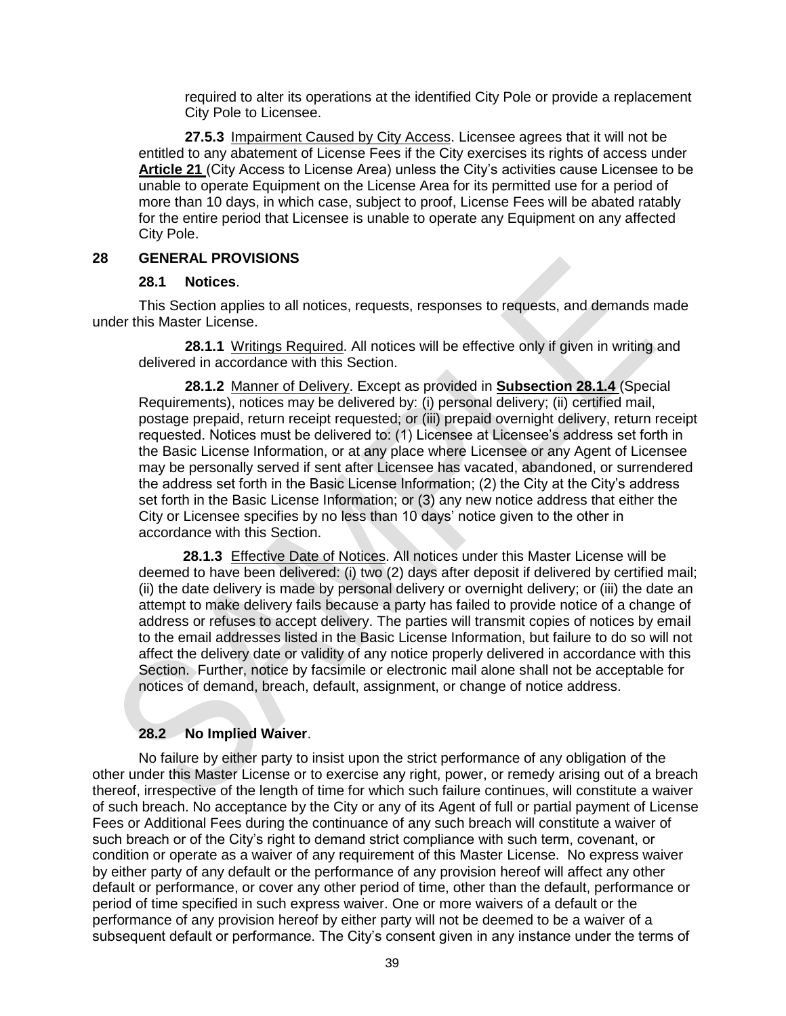required to alter its operations at the identified City Pole or provide a replacement City Pole to Licensee.

**27.5.3** Impairment Caused by City Access. Licensee agrees that it will not be entitled to any abatement of License Fees if the City exercises its rights of access under Article 21 (City Access to License Area) unless the City's activities cause Licensee to be unable to operate Equipment on the License Area for its permitted use for a period of more than 10 days, in which case, subject to proof, License Fees will be abated ratably for the entire period that Licensee is unable to operate any Equipment on any affected City Pole.

#### **28 GENERAL PROVISIONS**

#### **28.1 Notices**.

This Section applies to all notices, requests, responses to requests, and demands made under this Master License.

**28.1.1** Writings Required. All notices will be effective only if given in writing and delivered in accordance with this Section.

**28.1.2** Manner of Delivery. Except as provided in **Subsection 28.1.4** (Special Requirements), notices may be delivered by: (i) personal delivery; (ii) certified mail, postage prepaid, return receipt requested; or (iii) prepaid overnight delivery, return receipt requested. Notices must be delivered to: (1) Licensee at Licensee's address set forth in the Basic License Information, or at any place where Licensee or any Agent of Licensee may be personally served if sent after Licensee has vacated, abandoned, or surrendered the address set forth in the Basic License Information; (2) the City at the City's address set forth in the Basic License Information; or (3) any new notice address that either the City or Licensee specifies by no less than 10 days' notice given to the other in accordance with this Section.

**28.1.3** Effective Date of Notices. All notices under this Master License will be deemed to have been delivered: (i) two (2) days after deposit if delivered by certified mail; (ii) the date delivery is made by personal delivery or overnight delivery; or (iii) the date an attempt to make delivery fails because a party has failed to provide notice of a change of address or refuses to accept delivery. The parties will transmit copies of notices by email to the email addresses listed in the Basic License Information, but failure to do so will not affect the delivery date or validity of any notice properly delivered in accordance with this Section. Further, notice by facsimile or electronic mail alone shall not be acceptable for notices of demand, breach, default, assignment, or change of notice address.

#### **28.2 No Implied Waiver**.

No failure by either party to insist upon the strict performance of any obligation of the other under this Master License or to exercise any right, power, or remedy arising out of a breach thereof, irrespective of the length of time for which such failure continues, will constitute a waiver of such breach. No acceptance by the City or any of its Agent of full or partial payment of License Fees or Additional Fees during the continuance of any such breach will constitute a waiver of such breach or of the City's right to demand strict compliance with such term, covenant, or condition or operate as a waiver of any requirement of this Master License. No express waiver by either party of any default or the performance of any provision hereof will affect any other default or performance, or cover any other period of time, other than the default, performance or period of time specified in such express waiver. One or more waivers of a default or the performance of any provision hereof by either party will not be deemed to be a waiver of a subsequent default or performance. The City's consent given in any instance under the terms of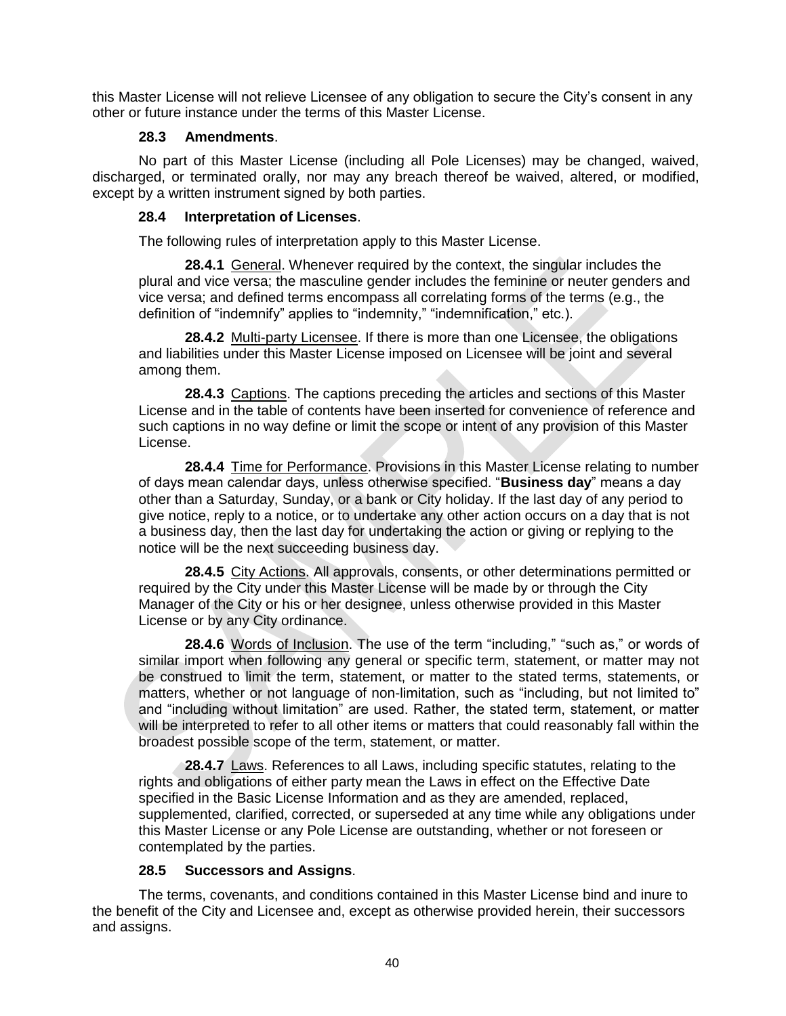this Master License will not relieve Licensee of any obligation to secure the City's consent in any other or future instance under the terms of this Master License.

### **28.3 Amendments**.

No part of this Master License (including all Pole Licenses) may be changed, waived, discharged, or terminated orally, nor may any breach thereof be waived, altered, or modified, except by a written instrument signed by both parties.

### **28.4 Interpretation of Licenses**.

The following rules of interpretation apply to this Master License.

**28.4.1** General. Whenever required by the context, the singular includes the plural and vice versa; the masculine gender includes the feminine or neuter genders and vice versa; and defined terms encompass all correlating forms of the terms (e.g., the definition of "indemnify" applies to "indemnity," "indemnification," etc.).

**28.4.2** Multi-party Licensee. If there is more than one Licensee, the obligations and liabilities under this Master License imposed on Licensee will be joint and several among them.

**28.4.3** Captions. The captions preceding the articles and sections of this Master License and in the table of contents have been inserted for convenience of reference and such captions in no way define or limit the scope or intent of any provision of this Master License.

**28.4.4** Time for Performance. Provisions in this Master License relating to number of days mean calendar days, unless otherwise specified. "**Business day**" means a day other than a Saturday, Sunday, or a bank or City holiday. If the last day of any period to give notice, reply to a notice, or to undertake any other action occurs on a day that is not a business day, then the last day for undertaking the action or giving or replying to the notice will be the next succeeding business day.

**28.4.5** City Actions. All approvals, consents, or other determinations permitted or required by the City under this Master License will be made by or through the City Manager of the City or his or her designee, unless otherwise provided in this Master License or by any City ordinance.

**28.4.6** Words of Inclusion. The use of the term "including," "such as," or words of similar import when following any general or specific term, statement, or matter may not be construed to limit the term, statement, or matter to the stated terms, statements, or matters, whether or not language of non-limitation, such as "including, but not limited to" and "including without limitation" are used. Rather, the stated term, statement, or matter will be interpreted to refer to all other items or matters that could reasonably fall within the broadest possible scope of the term, statement, or matter.

**28.4.7** Laws. References to all Laws, including specific statutes, relating to the rights and obligations of either party mean the Laws in effect on the Effective Date specified in the Basic License Information and as they are amended, replaced, supplemented, clarified, corrected, or superseded at any time while any obligations under this Master License or any Pole License are outstanding, whether or not foreseen or contemplated by the parties.

### **28.5 Successors and Assigns**.

The terms, covenants, and conditions contained in this Master License bind and inure to the benefit of the City and Licensee and, except as otherwise provided herein, their successors and assigns.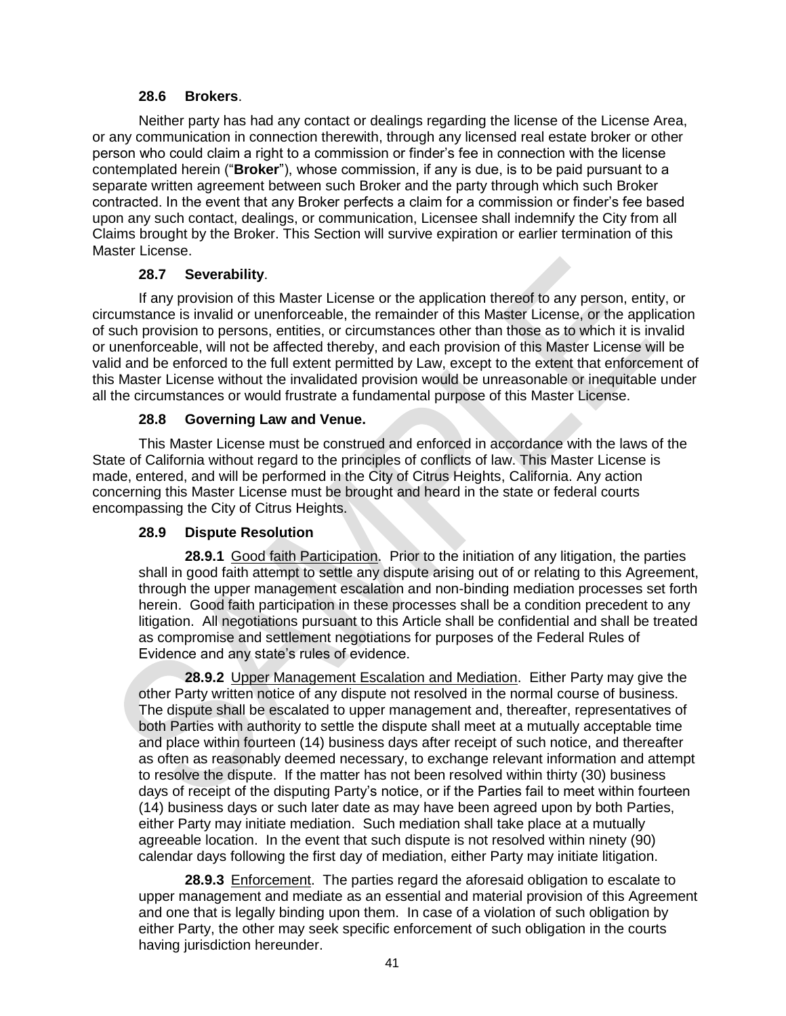### **28.6 Brokers**.

Neither party has had any contact or dealings regarding the license of the License Area, or any communication in connection therewith, through any licensed real estate broker or other person who could claim a right to a commission or finder's fee in connection with the license contemplated herein ("**Broker**"), whose commission, if any is due, is to be paid pursuant to a separate written agreement between such Broker and the party through which such Broker contracted. In the event that any Broker perfects a claim for a commission or finder's fee based upon any such contact, dealings, or communication, Licensee shall indemnify the City from all Claims brought by the Broker. This Section will survive expiration or earlier termination of this Master License.

## **28.7 Severability**.

If any provision of this Master License or the application thereof to any person, entity, or circumstance is invalid or unenforceable, the remainder of this Master License, or the application of such provision to persons, entities, or circumstances other than those as to which it is invalid or unenforceable, will not be affected thereby, and each provision of this Master License will be valid and be enforced to the full extent permitted by Law, except to the extent that enforcement of this Master License without the invalidated provision would be unreasonable or inequitable under all the circumstances or would frustrate a fundamental purpose of this Master License.

## **28.8 Governing Law and Venue.**

This Master License must be construed and enforced in accordance with the laws of the State of California without regard to the principles of conflicts of law. This Master License is made, entered, and will be performed in the City of Citrus Heights, California. Any action concerning this Master License must be brought and heard in the state or federal courts encompassing the City of Citrus Heights.

## **28.9 Dispute Resolution**

**28.9.1** Good faith Participation. Prior to the initiation of any litigation, the parties shall in good faith attempt to settle any dispute arising out of or relating to this Agreement, through the upper management escalation and non-binding mediation processes set forth herein. Good faith participation in these processes shall be a condition precedent to any litigation. All negotiations pursuant to this Article shall be confidential and shall be treated as compromise and settlement negotiations for purposes of the Federal Rules of Evidence and any state's rules of evidence.

**28.9.2** Upper Management Escalation and Mediation. Either Party may give the other Party written notice of any dispute not resolved in the normal course of business. The dispute shall be escalated to upper management and, thereafter, representatives of both Parties with authority to settle the dispute shall meet at a mutually acceptable time and place within fourteen (14) business days after receipt of such notice, and thereafter as often as reasonably deemed necessary, to exchange relevant information and attempt to resolve the dispute. If the matter has not been resolved within thirty (30) business days of receipt of the disputing Party's notice, or if the Parties fail to meet within fourteen (14) business days or such later date as may have been agreed upon by both Parties, either Party may initiate mediation. Such mediation shall take place at a mutually agreeable location. In the event that such dispute is not resolved within ninety (90) calendar days following the first day of mediation, either Party may initiate litigation.

**28.9.3** Enforcement. The parties regard the aforesaid obligation to escalate to upper management and mediate as an essential and material provision of this Agreement and one that is legally binding upon them. In case of a violation of such obligation by either Party, the other may seek specific enforcement of such obligation in the courts having jurisdiction hereunder.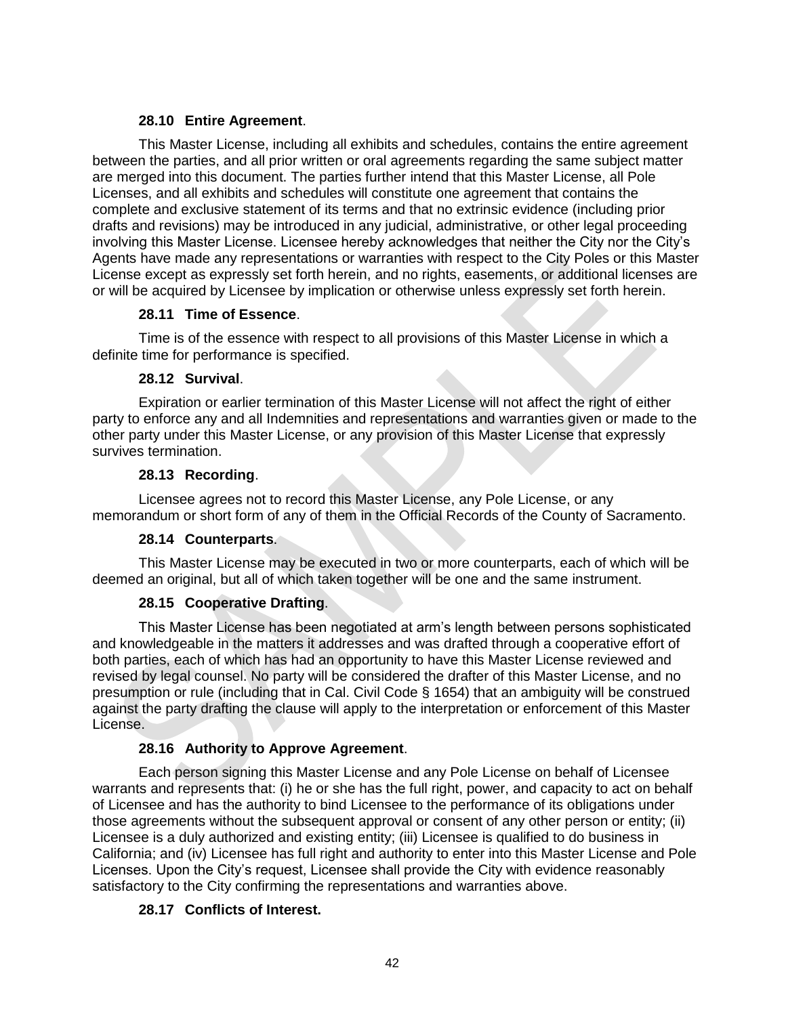### **28.10 Entire Agreement**.

This Master License, including all exhibits and schedules, contains the entire agreement between the parties, and all prior written or oral agreements regarding the same subject matter are merged into this document. The parties further intend that this Master License, all Pole Licenses, and all exhibits and schedules will constitute one agreement that contains the complete and exclusive statement of its terms and that no extrinsic evidence (including prior drafts and revisions) may be introduced in any judicial, administrative, or other legal proceeding involving this Master License. Licensee hereby acknowledges that neither the City nor the City's Agents have made any representations or warranties with respect to the City Poles or this Master License except as expressly set forth herein, and no rights, easements, or additional licenses are or will be acquired by Licensee by implication or otherwise unless expressly set forth herein.

## **28.11 Time of Essence**.

Time is of the essence with respect to all provisions of this Master License in which a definite time for performance is specified.

## **28.12 Survival**.

Expiration or earlier termination of this Master License will not affect the right of either party to enforce any and all Indemnities and representations and warranties given or made to the other party under this Master License, or any provision of this Master License that expressly survives termination.

## **28.13 Recording**.

Licensee agrees not to record this Master License, any Pole License, or any memorandum or short form of any of them in the Official Records of the County of Sacramento.

## **28.14 Counterparts**.

This Master License may be executed in two or more counterparts, each of which will be deemed an original, but all of which taken together will be one and the same instrument.

## **28.15 Cooperative Drafting**.

This Master License has been negotiated at arm's length between persons sophisticated and knowledgeable in the matters it addresses and was drafted through a cooperative effort of both parties, each of which has had an opportunity to have this Master License reviewed and revised by legal counsel. No party will be considered the drafter of this Master License, and no presumption or rule (including that in Cal. Civil Code § 1654) that an ambiguity will be construed against the party drafting the clause will apply to the interpretation or enforcement of this Master License.

## **28.16 Authority to Approve Agreement**.

Each person signing this Master License and any Pole License on behalf of Licensee warrants and represents that: (i) he or she has the full right, power, and capacity to act on behalf of Licensee and has the authority to bind Licensee to the performance of its obligations under those agreements without the subsequent approval or consent of any other person or entity; (ii) Licensee is a duly authorized and existing entity; (iii) Licensee is qualified to do business in California; and (iv) Licensee has full right and authority to enter into this Master License and Pole Licenses. Upon the City's request, Licensee shall provide the City with evidence reasonably satisfactory to the City confirming the representations and warranties above.

## **28.17 Conflicts of Interest.**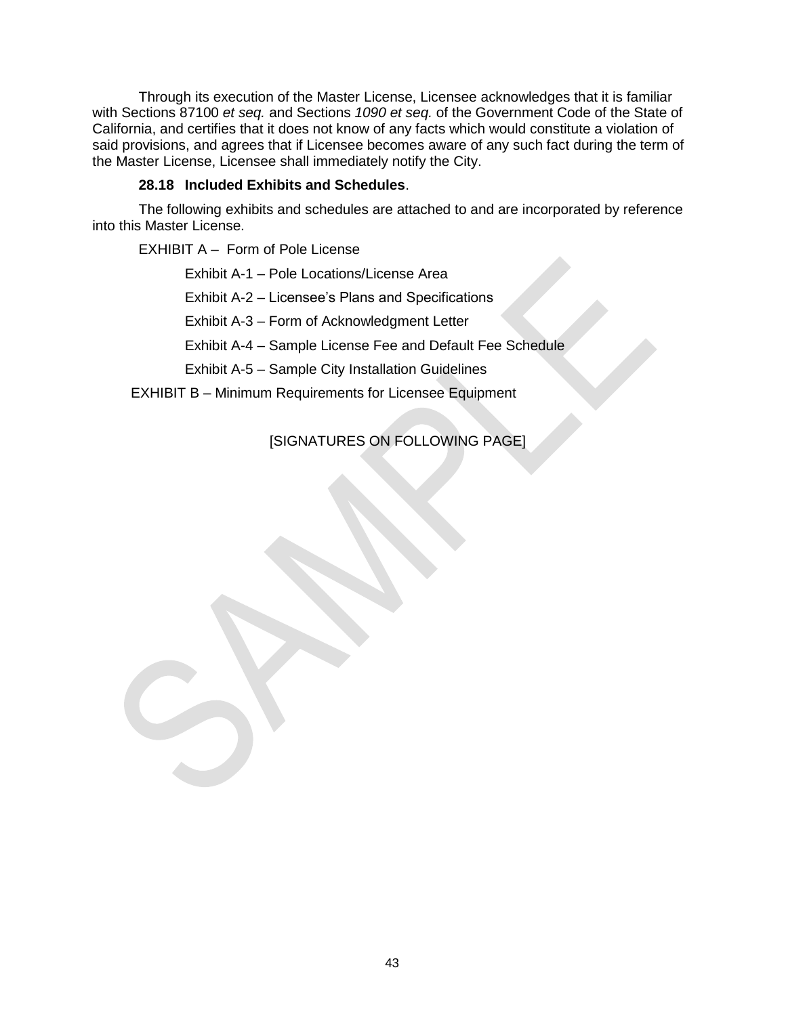Through its execution of the Master License, Licensee acknowledges that it is familiar with Sections 87100 *et seq.* and Sections *1090 et seq.* of the Government Code of the State of California, and certifies that it does not know of any facts which would constitute a violation of said provisions, and agrees that if Licensee becomes aware of any such fact during the term of the Master License, Licensee shall immediately notify the City.

### **28.18 Included Exhibits and Schedules**.

The following exhibits and schedules are attached to and are incorporated by reference into this Master License.

EXHIBIT A – Form of Pole License

Exhibit A-1 – Pole Locations/License Area

Exhibit A-2 – Licensee's Plans and Specifications

Exhibit A-3 – Form of Acknowledgment Letter

Exhibit A-4 – Sample License Fee and Default Fee Schedule

Exhibit A-5 – Sample City Installation Guidelines

EXHIBIT B – Minimum Requirements for Licensee Equipment

## [SIGNATURES ON FOLLOWING PAGE]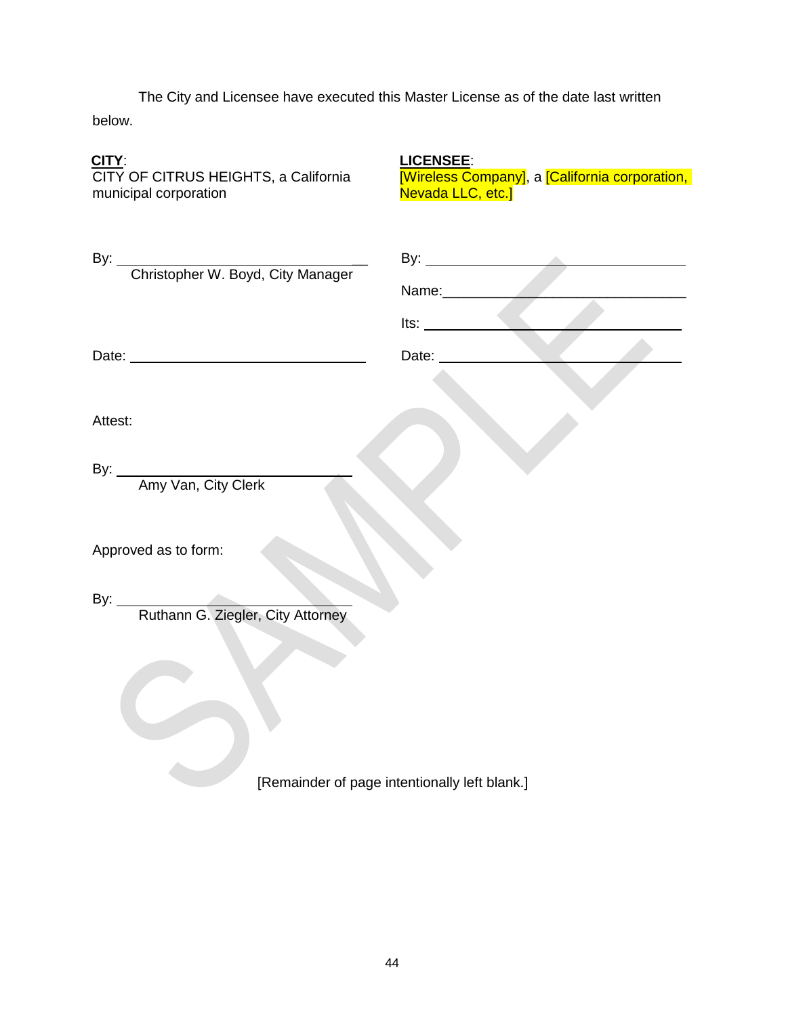below. The City and Licensee have executed this Master License as of the date last written

## **CITY**:

CITY OF CITRUS HEIGHTS, a California municipal corporation

**LICENSEE**: [Wireless Company], a [California corporation, Nevada LLC, etc.]

| By: Christopher W. Boyd, City Manager               | Name:__________                               |
|-----------------------------------------------------|-----------------------------------------------|
|                                                     | Its:                                          |
| Date: <u>Date:</u> 2002 Contract 2004 Contract 2006 | Date: ________                                |
|                                                     |                                               |
| Attest:                                             |                                               |
| By: <u>Amy Van, City Clerk</u>                      |                                               |
| Approved as to form:                                |                                               |
| By: <u>Ruthann G. Ziegler, City Attorney</u>        |                                               |
|                                                     |                                               |
|                                                     | [Remainder of page intentionally left blank.] |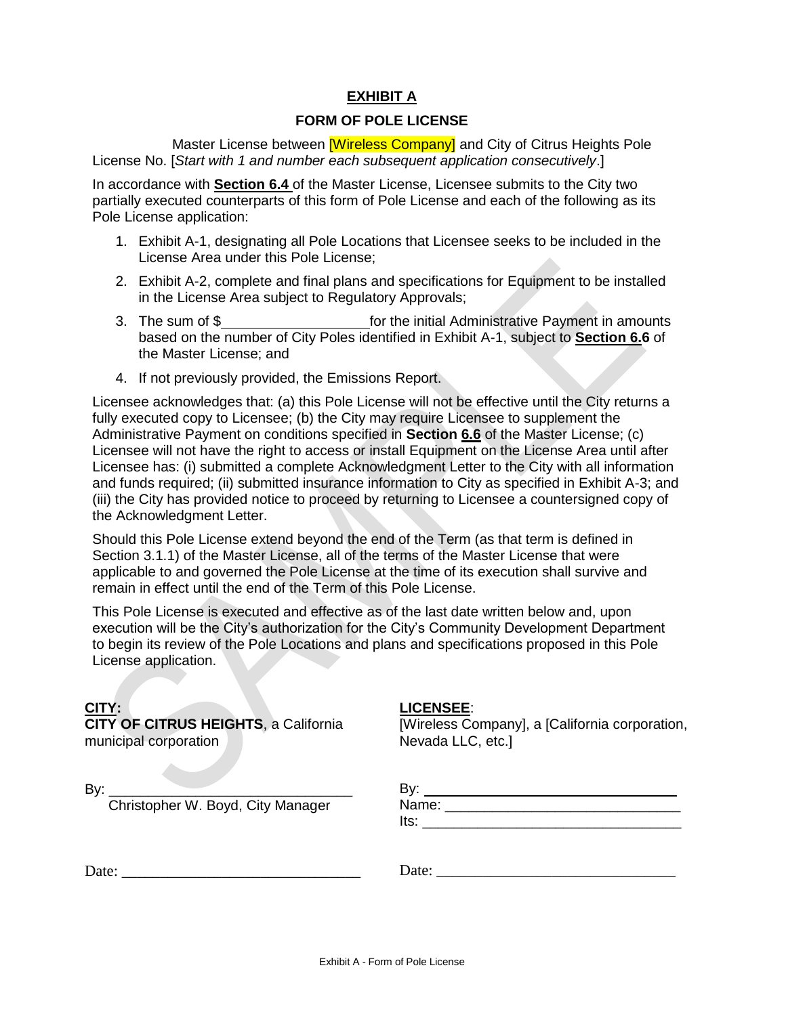## **EXHIBIT A**

## **FORM OF POLE LICENSE**

Master License between **Wireless Company** and City of Citrus Heights Pole License No. [*Start with 1 and number each subsequent application consecutively*.]

In accordance with **Section 6.4** of the Master License, Licensee submits to the City two partially executed counterparts of this form of Pole License and each of the following as its Pole License application:

- 1. Exhibit A-1, designating all Pole Locations that Licensee seeks to be included in the License Area under this Pole License;
- 2. Exhibit A-2, complete and final plans and specifications for Equipment to be installed in the License Area subject to Regulatory Approvals;
- 3. The sum of \$ for the initial Administrative Payment in amounts based on the number of City Poles identified in Exhibit A-1, subject to **Section 6.6** of the Master License; and
- 4. If not previously provided, the Emissions Report.

Licensee acknowledges that: (a) this Pole License will not be effective until the City returns a fully executed copy to Licensee; (b) the City may require Licensee to supplement the Administrative Payment on conditions specified in **Section 6.6** of the Master License; (c) Licensee will not have the right to access or install Equipment on the License Area until after Licensee has: (i) submitted a complete Acknowledgment Letter to the City with all information and funds required; (ii) submitted insurance information to City as specified in Exhibit A-3; and (iii) the City has provided notice to proceed by returning to Licensee a countersigned copy of the Acknowledgment Letter.

Should this Pole License extend beyond the end of the Term (as that term is defined in Section 3.1.1) of the Master License, all of the terms of the Master License that were applicable to and governed the Pole License at the time of its execution shall survive and remain in effect until the end of the Term of this Pole License.

This Pole License is executed and effective as of the last date written below and, upon execution will be the City's authorization for the City's Community Development Department to begin its review of the Pole Locations and plans and specifications proposed in this Pole License application.

#### **CITY:**

**CITY OF CITRUS HEIGHTS**, a California municipal corporation

#### **LICENSEE**:

[Wireless Company], a [California corporation, Nevada LLC, etc.]

 $By:$ 

Christopher W. Boyd, City Manager

#### By: Name:  $\blacksquare$  its:

Date: \_\_\_\_\_\_\_\_\_\_\_\_\_\_\_\_\_\_\_\_\_\_\_\_\_\_\_\_\_\_\_

Date: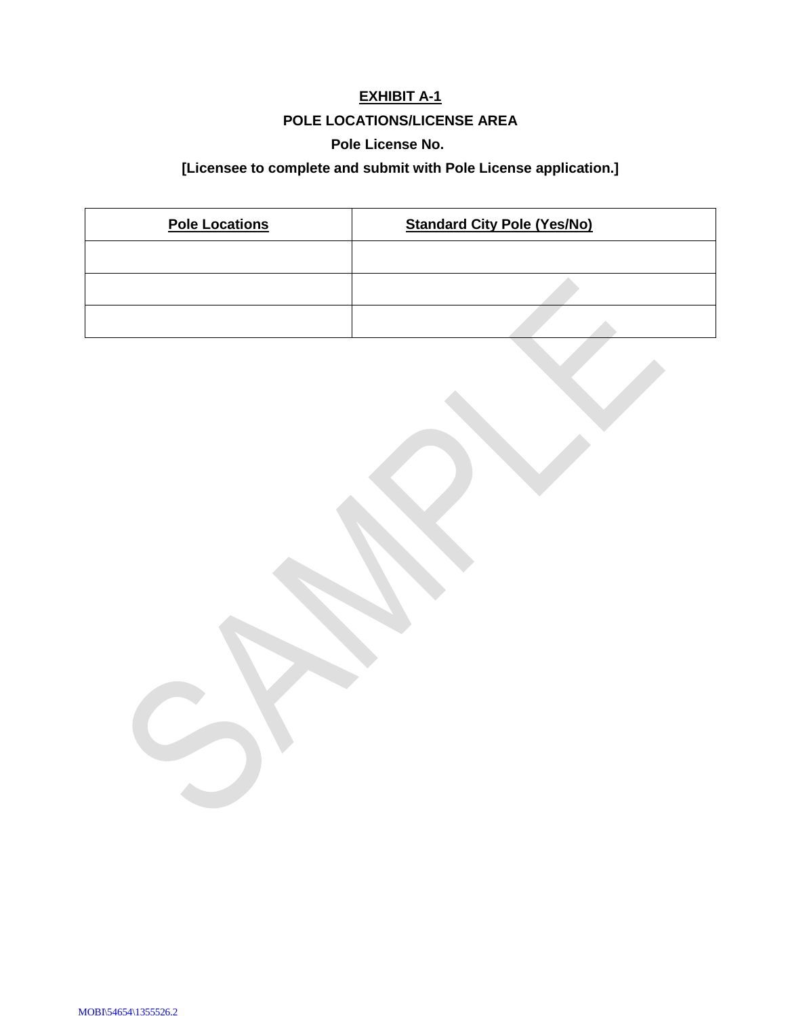# **EXHIBIT A-1 POLE LOCATIONS/LICENSE AREA**

### **Pole License No.**

# **[Licensee to complete and submit with Pole License application.]**

| <b>Pole Locations</b> | <b>Standard City Pole (Yes/No)</b> |  |  |
|-----------------------|------------------------------------|--|--|
|                       |                                    |  |  |
|                       |                                    |  |  |
|                       |                                    |  |  |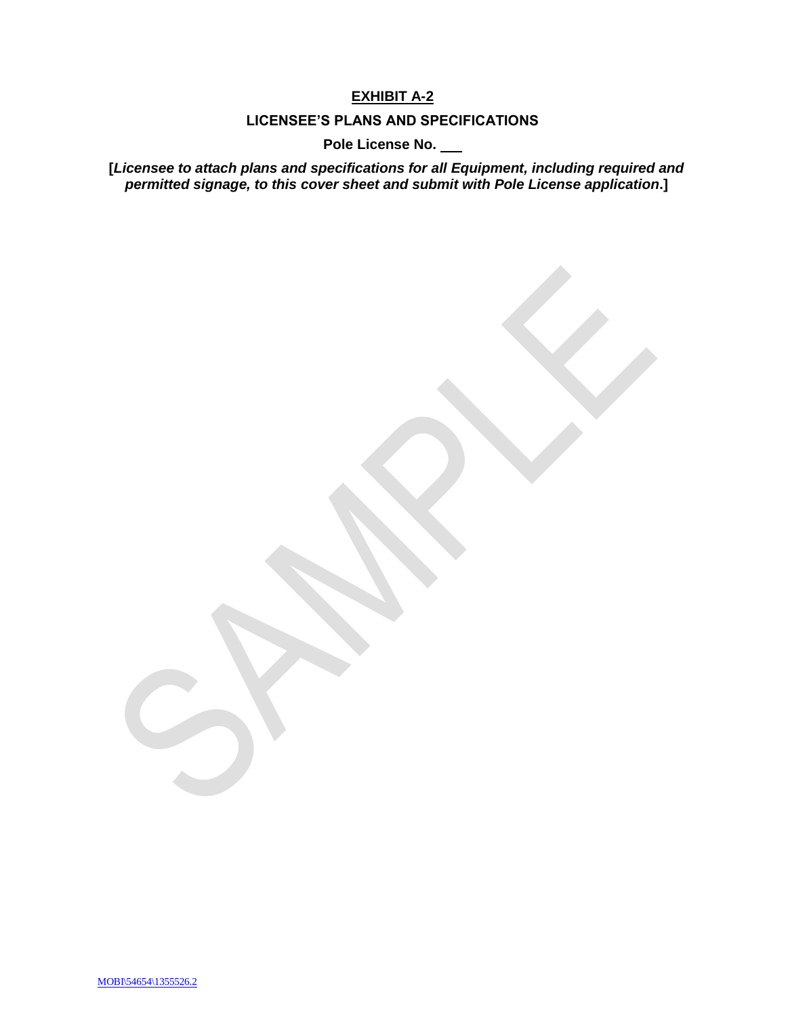## **EXHIBIT A-2**

## **LICENSEE'S PLANS AND SPECIFICATIONS**

**Pole License No.** 

**[***Licensee to attach plans and specifications for all Equipment, including required and permitted signage, to this cover sheet and submit with Pole License application***.]**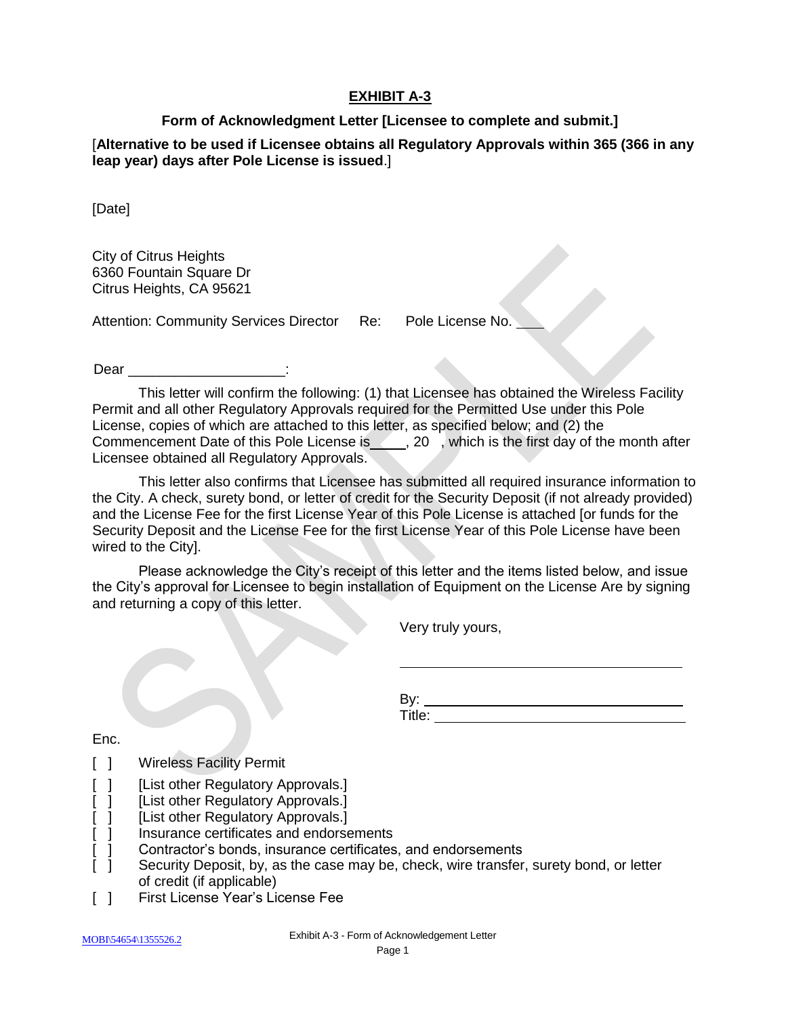## **EXHIBIT A-3**

### **Form of Acknowledgment Letter [Licensee to complete and submit.]**

[**Alternative to be used if Licensee obtains all Regulatory Approvals within 365 (366 in any leap year) days after Pole License is issued**.]

[Date]

City of Citrus Heights 6360 Fountain Square Dr Citrus Heights, CA 95621

Attention: Community Services Director Re: Pole License No.

Dear in the contract of the contract of the contract of the contract of the contract of the contract of the contract of the contract of the contract of the contract of the contract of the contract of the contract of the co

This letter will confirm the following: (1) that Licensee has obtained the Wireless Facility Permit and all other Regulatory Approvals required for the Permitted Use under this Pole License, copies of which are attached to this letter, as specified below; and (2) the Commencement Date of this Pole License is \_\_\_\_\_, 20 , which is the first day of the month after Licensee obtained all Regulatory Approvals.

This letter also confirms that Licensee has submitted all required insurance information to the City. A check, surety bond, or letter of credit for the Security Deposit (if not already provided) and the License Fee for the first License Year of this Pole License is attached [or funds for the Security Deposit and the License Fee for the first License Year of this Pole License have been wired to the City].

Please acknowledge the City's receipt of this letter and the items listed below, and issue the City's approval for Licensee to begin installation of Equipment on the License Are by signing and returning a copy of this letter.

Very truly yours,

By: Title:

Enc.

- [ ] Wireless Facility Permit
- [ ] [List other Regulatory Approvals.]
- [ ] [List other Regulatory Approvals.]
- [ ] [List other Regulatory Approvals.]
- [ ] Insurance certificates and endorsements
- [ ] Contractor's bonds, insurance certificates, and endorsements
- [ ] Security Deposit, by, as the case may be, check, wire transfer, surety bond, or letter of credit (if applicable)
- [ ] First License Year's License Fee

MOBI\54654\1355526.2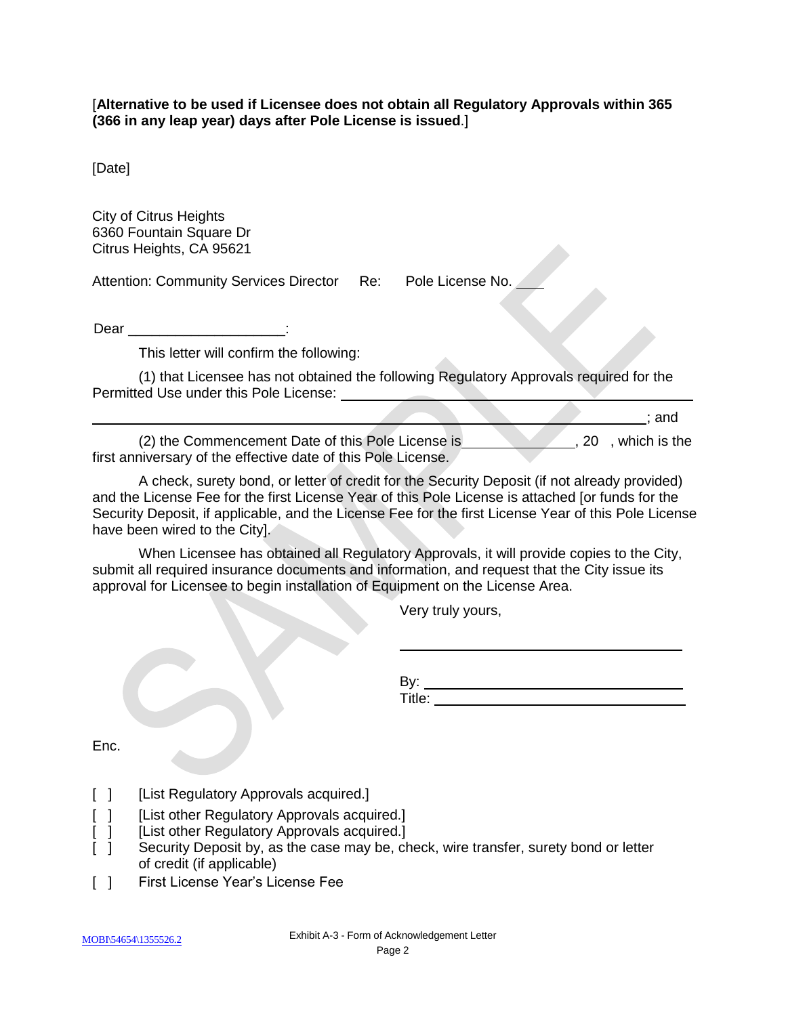[**Alternative to be used if Licensee does not obtain all Regulatory Approvals within 365 (366 in any leap year) days after Pole License is issued**.]

[Date]

City of Citrus Heights 6360 Fountain Square Dr Citrus Heights, CA 95621

Attention: Community Services Director Re: Pole License No.

Dear \_\_\_\_\_\_\_\_\_\_\_\_\_\_\_\_\_\_\_\_:

This letter will confirm the following:

(1) that Licensee has not obtained the following Regulatory Approvals required for the Permitted Use under this Pole License: University Assembly

(2) the Commencement Date of this Pole License is , 20, which is the first anniversary of the effective date of this Pole License.

A check, surety bond, or letter of credit for the Security Deposit (if not already provided) and the License Fee for the first License Year of this Pole License is attached [or funds for the Security Deposit, if applicable, and the License Fee for the first License Year of this Pole License have been wired to the City].

When Licensee has obtained all Regulatory Approvals, it will provide copies to the City, submit all required insurance documents and information, and request that the City issue its approval for Licensee to begin installation of Equipment on the License Area.

Very truly yours,

By: Title:

; and

Enc.

- [ ] [List Regulatory Approvals acquired.]
- [ ] [List other Regulatory Approvals acquired.]
- [ ] [List other Regulatory Approvals acquired.]
- [  $\vert$  ] Security Deposit by, as the case may be, check, wire transfer, surety bond or letter of credit (if applicable)
- [ ] First License Year's License Fee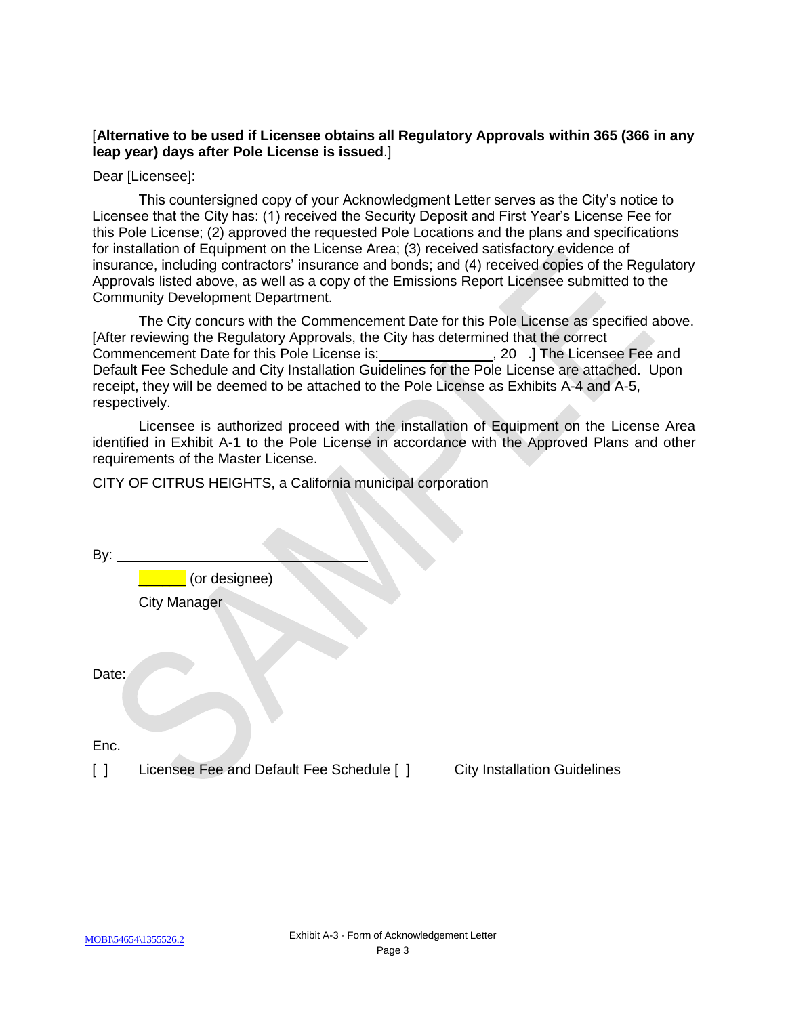### [**Alternative to be used if Licensee obtains all Regulatory Approvals within 365 (366 in any leap year) days after Pole License is issued**.]

Dear [Licensee]:

This countersigned copy of your Acknowledgment Letter serves as the City's notice to Licensee that the City has: (1) received the Security Deposit and First Year's License Fee for this Pole License; (2) approved the requested Pole Locations and the plans and specifications for installation of Equipment on the License Area; (3) received satisfactory evidence of insurance, including contractors' insurance and bonds; and (4) received copies of the Regulatory Approvals listed above, as well as a copy of the Emissions Report Licensee submitted to the Community Development Department.

The City concurs with the Commencement Date for this Pole License as specified above. [After reviewing the Regulatory Approvals, the City has determined that the correct Commencement Date for this Pole License is: \_\_\_\_\_\_\_\_\_\_\_\_\_\_\_\_, 20 .] The Licensee Fee and Default Fee Schedule and City Installation Guidelines for the Pole License are attached. Upon receipt, they will be deemed to be attached to the Pole License as Exhibits A-4 and A-5, respectively.

Licensee is authorized proceed with the installation of Equipment on the License Area identified in Exhibit A-1 to the Pole License in accordance with the Approved Plans and other requirements of the Master License.

CITY OF CITRUS HEIGHTS, a California municipal corporation

| By:                                     |                                           |                                     |
|-----------------------------------------|-------------------------------------------|-------------------------------------|
|                                         | (or designee)                             |                                     |
|                                         | <b>City Manager</b>                       |                                     |
|                                         |                                           |                                     |
| Date:                                   |                                           |                                     |
|                                         |                                           |                                     |
| Enc.                                    |                                           |                                     |
| $\begin{smallmatrix} \end{smallmatrix}$ | Licensee Fee and Default Fee Schedule [ ] | <b>City Installation Guidelines</b> |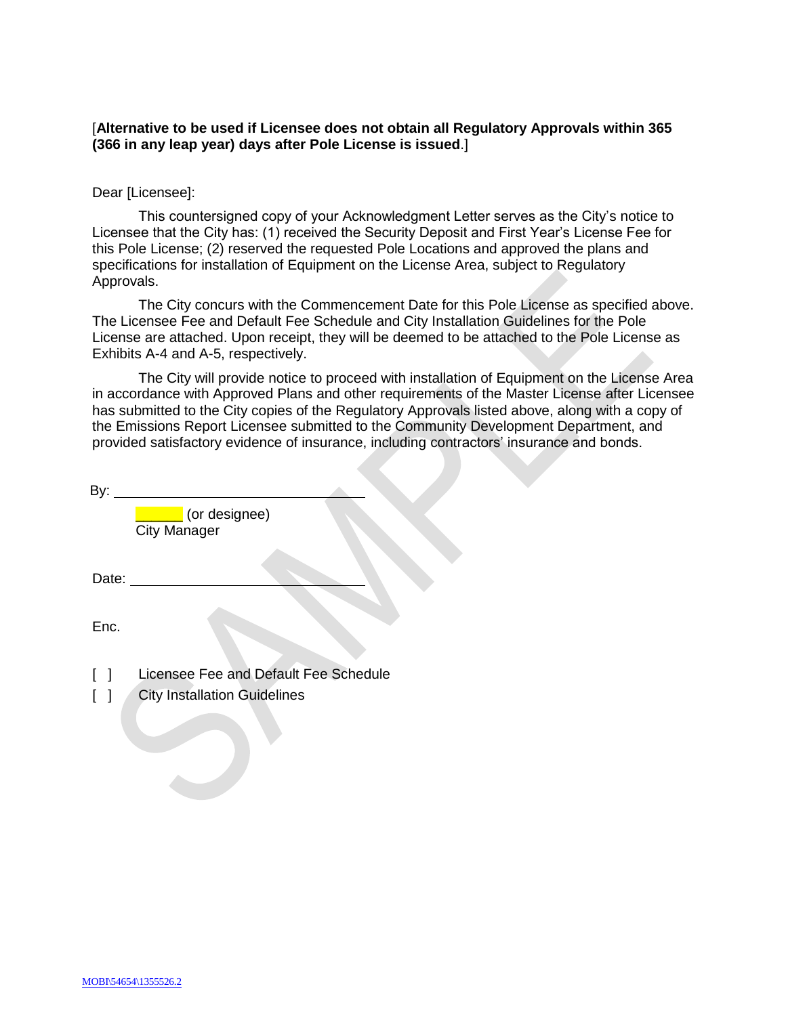[**Alternative to be used if Licensee does not obtain all Regulatory Approvals within 365 (366 in any leap year) days after Pole License is issued**.]

#### Dear [Licensee]:

This countersigned copy of your Acknowledgment Letter serves as the City's notice to Licensee that the City has: (1) received the Security Deposit and First Year's License Fee for this Pole License; (2) reserved the requested Pole Locations and approved the plans and specifications for installation of Equipment on the License Area, subject to Regulatory Approvals.

The City concurs with the Commencement Date for this Pole License as specified above. The Licensee Fee and Default Fee Schedule and City Installation Guidelines for the Pole License are attached. Upon receipt, they will be deemed to be attached to the Pole License as Exhibits A-4 and A-5, respectively.

The City will provide notice to proceed with installation of Equipment on the License Area in accordance with Approved Plans and other requirements of the Master License after Licensee has submitted to the City copies of the Regulatory Approvals listed above, along with a copy of the Emissions Report Licensee submitted to the Community Development Department, and provided satisfactory evidence of insurance, including contractors' insurance and bonds.

By:  $\mathcal{L}$ 

**Late 2** (or designee) City Manager

Date:

Enc.

- [ ] Licensee Fee and Default Fee Schedule
- [ ] City Installation Guidelines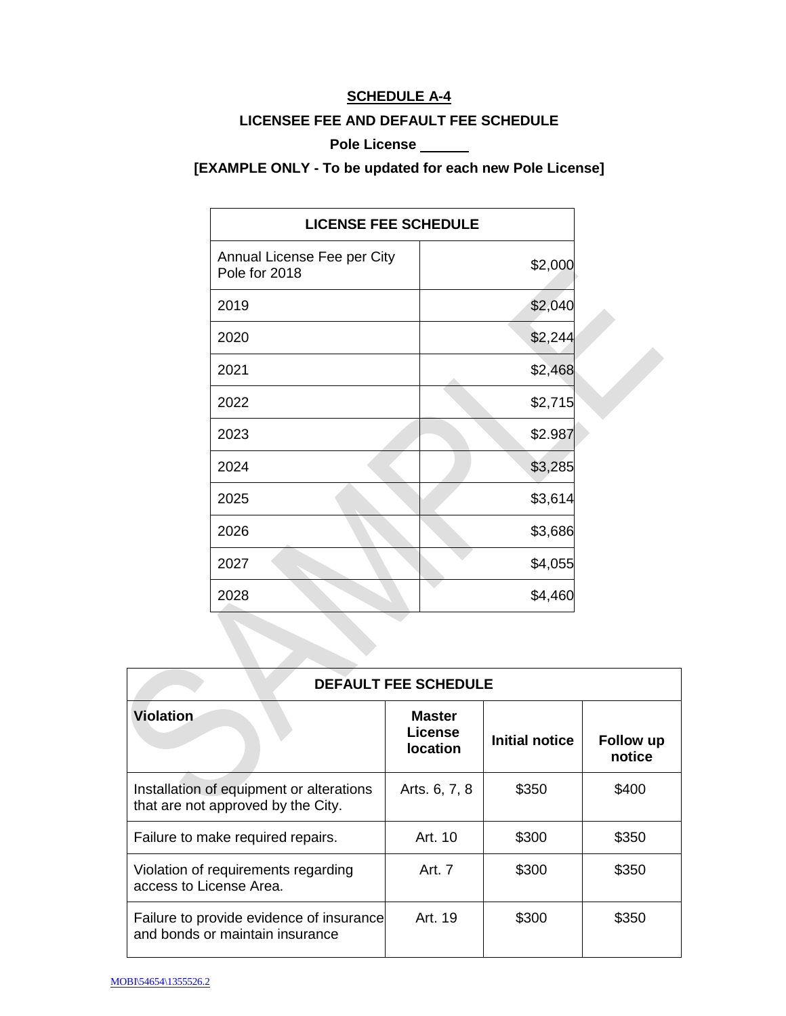## **SCHEDULE A-4**

### **LICENSEE FEE AND DEFAULT FEE SCHEDULE**

### **Pole License**

**[EXAMPLE ONLY - To be updated for each new Pole License]**

| <b>LICENSE FEE SCHEDULE</b>                  |         |  |  |  |
|----------------------------------------------|---------|--|--|--|
| Annual License Fee per City<br>Pole for 2018 | \$2,000 |  |  |  |
| 2019                                         | \$2,040 |  |  |  |
| 2020                                         | \$2,244 |  |  |  |
| 2021                                         | \$2,468 |  |  |  |
| 2022                                         | \$2,715 |  |  |  |
| 2023                                         | \$2.987 |  |  |  |
| 2024                                         | \$3,285 |  |  |  |
| 2025                                         | \$3,614 |  |  |  |
| 2026                                         | \$3,686 |  |  |  |
| 2027                                         | \$4,055 |  |  |  |
| 2028                                         | \$4,460 |  |  |  |

| <b>DEFAULT FEE SCHEDULE</b>                                                    |                                                    |                |                     |  |  |
|--------------------------------------------------------------------------------|----------------------------------------------------|----------------|---------------------|--|--|
| <b>Violation</b>                                                               | <b>Master</b><br><b>License</b><br><b>location</b> | Initial notice | Follow up<br>notice |  |  |
| Installation of equipment or alterations<br>that are not approved by the City. | Arts. 6, 7, 8                                      | \$350          | \$400               |  |  |
| Failure to make required repairs.                                              | Art. 10                                            | \$300          | \$350               |  |  |
| Violation of requirements regarding<br>access to License Area.                 | Art. 7                                             | \$300          | \$350               |  |  |
| Failure to provide evidence of insurance<br>and bonds or maintain insurance    | Art. 19                                            | \$300          | \$350               |  |  |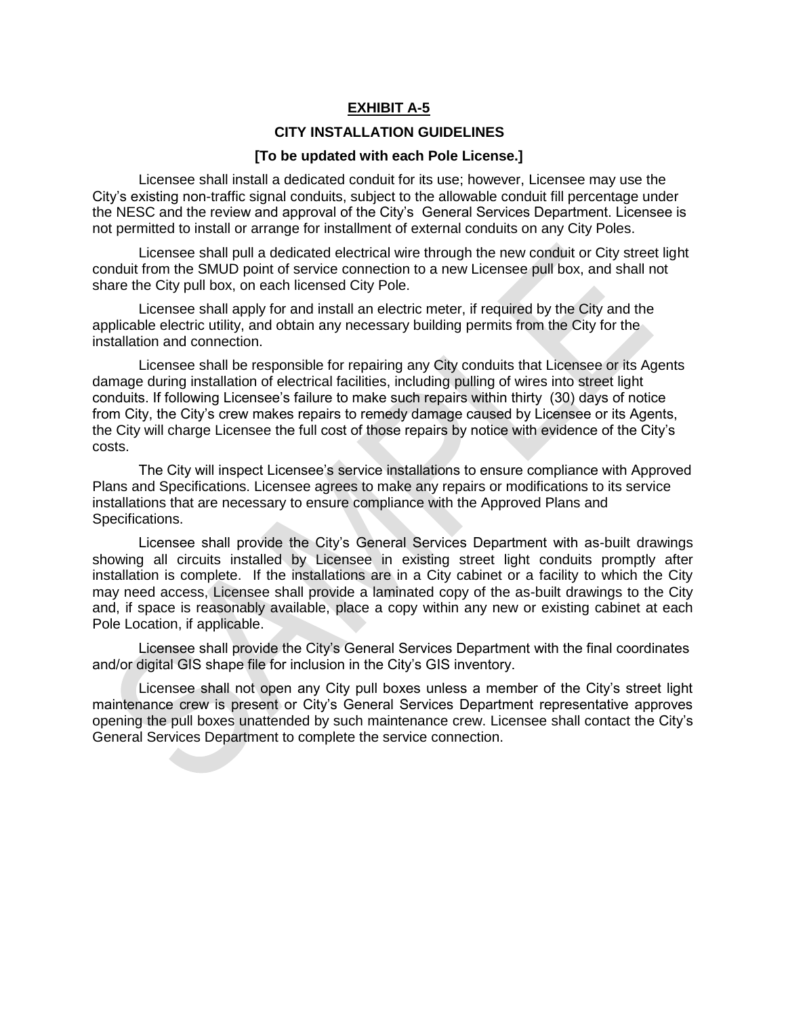## **EXHIBIT A-5**

#### **CITY INSTALLATION GUIDELINES**

#### **[To be updated with each Pole License.]**

Licensee shall install a dedicated conduit for its use; however, Licensee may use the City's existing non-traffic signal conduits, subject to the allowable conduit fill percentage under the NESC and the review and approval of the City's General Services Department. Licensee is not permitted to install or arrange for installment of external conduits on any City Poles.

Licensee shall pull a dedicated electrical wire through the new conduit or City street light conduit from the SMUD point of service connection to a new Licensee pull box, and shall not share the City pull box, on each licensed City Pole.

Licensee shall apply for and install an electric meter, if required by the City and the applicable electric utility, and obtain any necessary building permits from the City for the installation and connection.

Licensee shall be responsible for repairing any City conduits that Licensee or its Agents damage during installation of electrical facilities, including pulling of wires into street light conduits. If following Licensee's failure to make such repairs within thirty (30) days of notice from City, the City's crew makes repairs to remedy damage caused by Licensee or its Agents, the City will charge Licensee the full cost of those repairs by notice with evidence of the City's costs.

The City will inspect Licensee's service installations to ensure compliance with Approved Plans and Specifications. Licensee agrees to make any repairs or modifications to its service installations that are necessary to ensure compliance with the Approved Plans and Specifications.

Licensee shall provide the City's General Services Department with as-built drawings showing all circuits installed by Licensee in existing street light conduits promptly after installation is complete. If the installations are in a City cabinet or a facility to which the City may need access, Licensee shall provide a laminated copy of the as-built drawings to the City and, if space is reasonably available, place a copy within any new or existing cabinet at each Pole Location, if applicable.

Licensee shall provide the City's General Services Department with the final coordinates and/or digital GIS shape file for inclusion in the City's GIS inventory.

Licensee shall not open any City pull boxes unless a member of the City's street light maintenance crew is present or City's General Services Department representative approves opening the pull boxes unattended by such maintenance crew. Licensee shall contact the City's General Services Department to complete the service connection.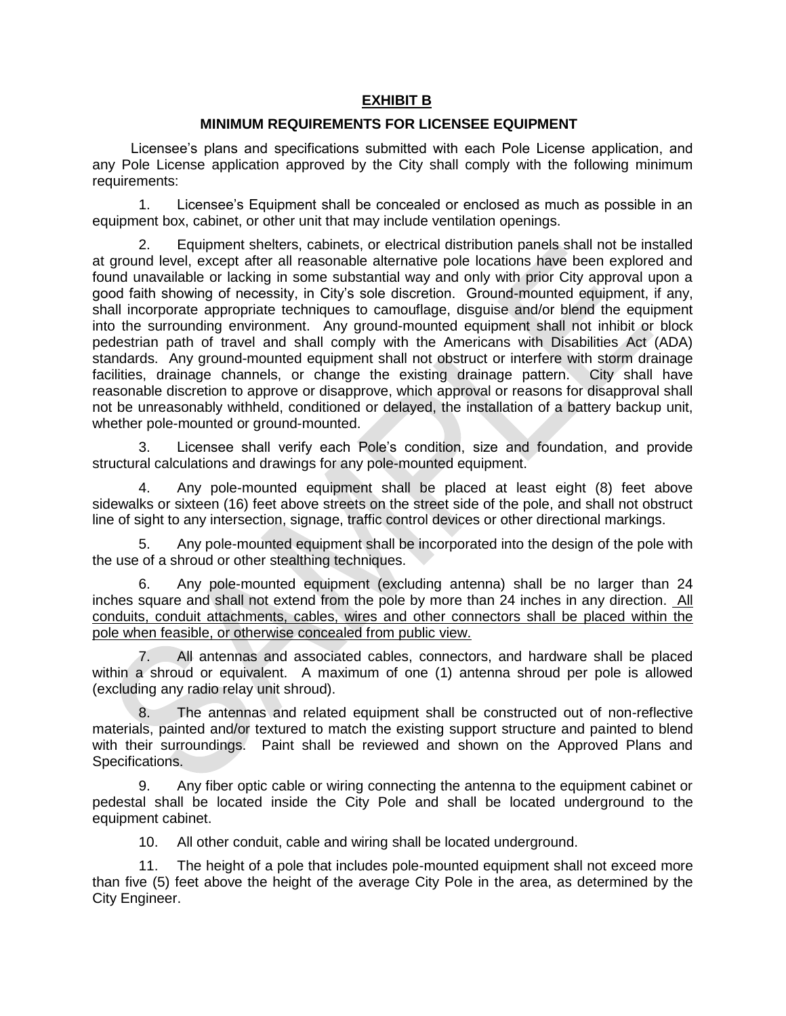## **EXHIBIT B**

### **MINIMUM REQUIREMENTS FOR LICENSEE EQUIPMENT**

Licensee's plans and specifications submitted with each Pole License application, and any Pole License application approved by the City shall comply with the following minimum requirements:

1. Licensee's Equipment shall be concealed or enclosed as much as possible in an equipment box, cabinet, or other unit that may include ventilation openings.

2. Equipment shelters, cabinets, or electrical distribution panels shall not be installed at ground level, except after all reasonable alternative pole locations have been explored and found unavailable or lacking in some substantial way and only with prior City approval upon a good faith showing of necessity, in City's sole discretion. Ground-mounted equipment, if any, shall incorporate appropriate techniques to camouflage, disguise and/or blend the equipment into the surrounding environment. Any ground-mounted equipment shall not inhibit or block pedestrian path of travel and shall comply with the Americans with Disabilities Act (ADA) standards. Any ground-mounted equipment shall not obstruct or interfere with storm drainage facilities, drainage channels, or change the existing drainage pattern. City shall have reasonable discretion to approve or disapprove, which approval or reasons for disapproval shall not be unreasonably withheld, conditioned or delayed, the installation of a battery backup unit, whether pole-mounted or ground-mounted.

3. Licensee shall verify each Pole's condition, size and foundation, and provide structural calculations and drawings for any pole-mounted equipment.

4. Any pole-mounted equipment shall be placed at least eight (8) feet above sidewalks or sixteen (16) feet above streets on the street side of the pole, and shall not obstruct line of sight to any intersection, signage, traffic control devices or other directional markings.

5. Any pole-mounted equipment shall be incorporated into the design of the pole with the use of a shroud or other stealthing techniques.

6. Any pole-mounted equipment (excluding antenna) shall be no larger than 24 inches square and shall not extend from the pole by more than 24 inches in any direction. All conduits, conduit attachments, cables, wires and other connectors shall be placed within the pole when feasible, or otherwise concealed from public view.

7. All antennas and associated cables, connectors, and hardware shall be placed within a shroud or equivalent. A maximum of one (1) antenna shroud per pole is allowed (excluding any radio relay unit shroud).

8. The antennas and related equipment shall be constructed out of non-reflective materials, painted and/or textured to match the existing support structure and painted to blend with their surroundings. Paint shall be reviewed and shown on the Approved Plans and Specifications.

9. Any fiber optic cable or wiring connecting the antenna to the equipment cabinet or pedestal shall be located inside the City Pole and shall be located underground to the equipment cabinet.

10. All other conduit, cable and wiring shall be located underground.

11. The height of a pole that includes pole-mounted equipment shall not exceed more than five (5) feet above the height of the average City Pole in the area, as determined by the City Engineer.